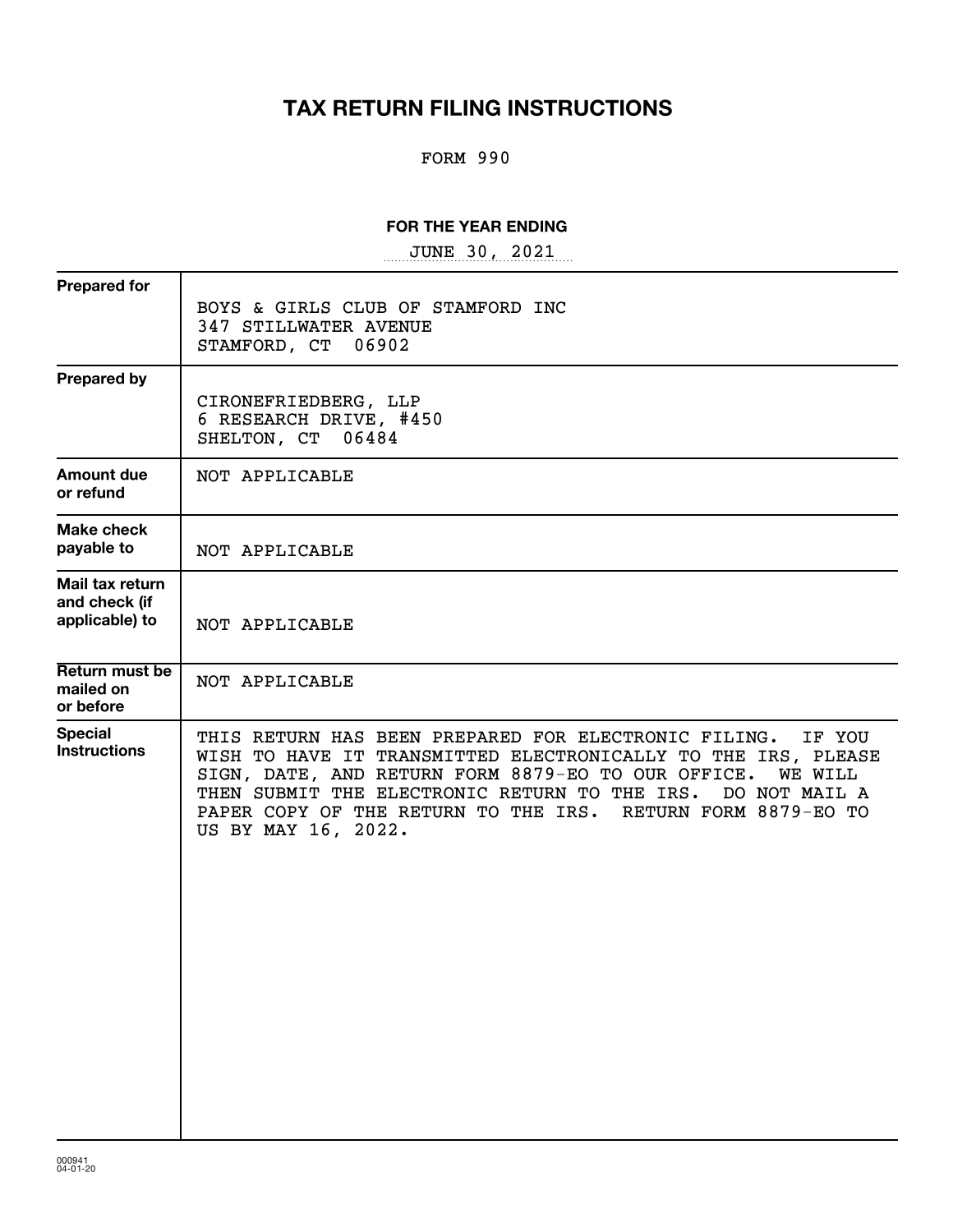## **TAX RETURN FILING INSTRUCTIONS**

### FORM 990

### **FOR THE YEAR ENDING**

~~~~~~~~~~~~~~~~~ JUNE 30, 2021

| BOYS & GIRLS CLUB OF STAMFORD INC<br>347 STILLWATER AVENUE<br>STAMFORD, CT<br>06902                                                                                                                                                                                                                                                                          |
|--------------------------------------------------------------------------------------------------------------------------------------------------------------------------------------------------------------------------------------------------------------------------------------------------------------------------------------------------------------|
| CIRONEFRIEDBERG, LLP<br>6 RESEARCH DRIVE, #450<br>SHELTON, CT 06484                                                                                                                                                                                                                                                                                          |
| NOT APPLICABLE                                                                                                                                                                                                                                                                                                                                               |
| NOT APPLICABLE                                                                                                                                                                                                                                                                                                                                               |
| NOT APPLICABLE                                                                                                                                                                                                                                                                                                                                               |
| NOT APPLICABLE                                                                                                                                                                                                                                                                                                                                               |
| THIS RETURN HAS BEEN PREPARED FOR ELECTRONIC FILING.<br>IF YOU<br>WISH TO HAVE IT TRANSMITTED ELECTRONICALLY TO THE IRS, PLEASE<br>SIGN, DATE, AND RETURN FORM 8879-EO TO OUR OFFICE.<br><b>WE WILL</b><br>THEN SUBMIT THE ELECTRONIC RETURN TO THE IRS. DO NOT MAIL A<br>PAPER COPY OF THE RETURN TO THE IRS. RETURN FORM 8879-EO TO<br>US BY MAY 16, 2022. |
|                                                                                                                                                                                                                                                                                                                                                              |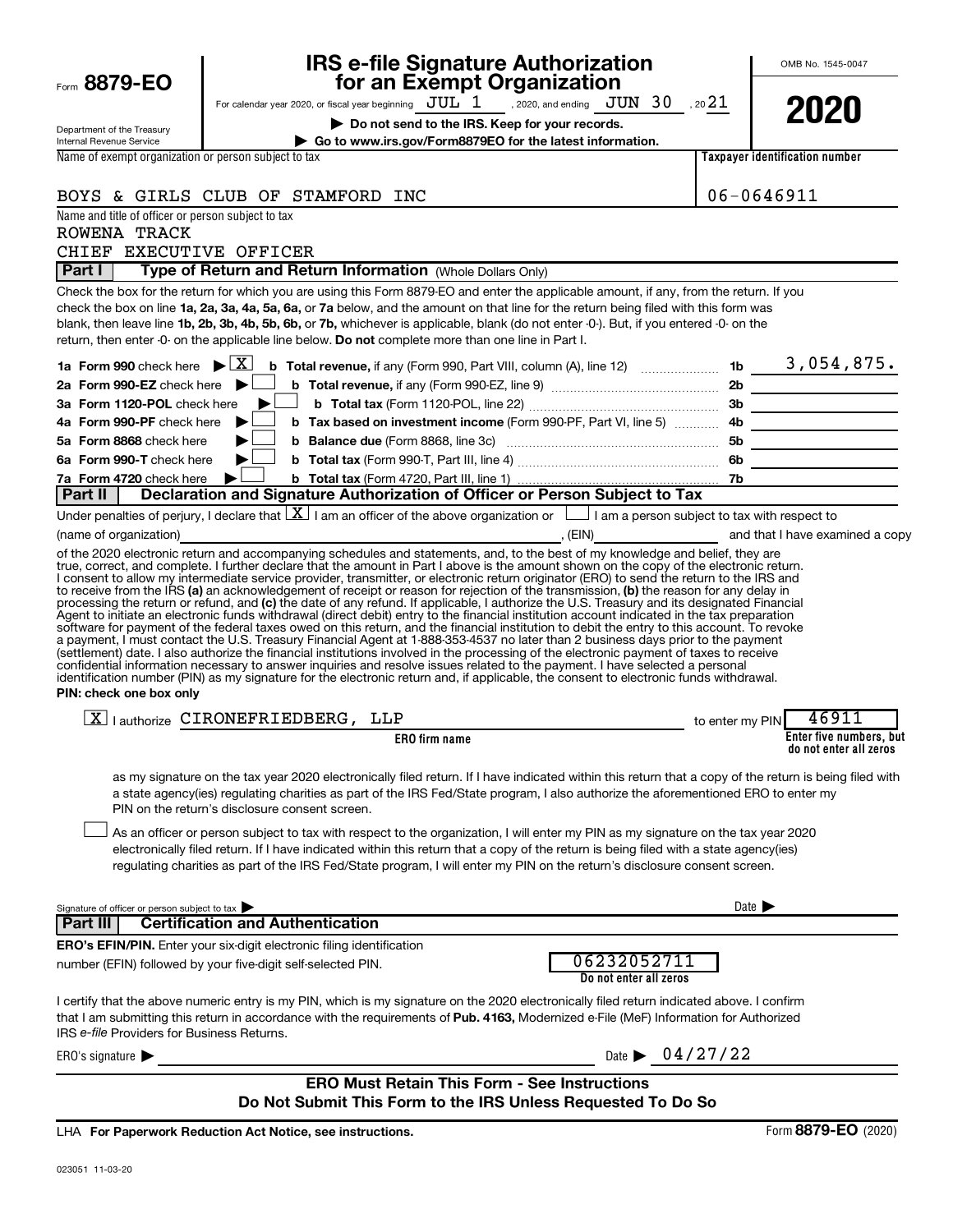|                                                                    | <b>IRS e-file Signature Authorization</b><br>for an Exempt Organization                                                                                                                                                                                                                                                                                                                                                                                                                                                                                                                                                                                                                                                                                                                                                                                                                                                                                                                         |                                       |                            | OMB No. 1545-0047                                 |
|--------------------------------------------------------------------|-------------------------------------------------------------------------------------------------------------------------------------------------------------------------------------------------------------------------------------------------------------------------------------------------------------------------------------------------------------------------------------------------------------------------------------------------------------------------------------------------------------------------------------------------------------------------------------------------------------------------------------------------------------------------------------------------------------------------------------------------------------------------------------------------------------------------------------------------------------------------------------------------------------------------------------------------------------------------------------------------|---------------------------------------|----------------------------|---------------------------------------------------|
| Form 8879-EO                                                       | For calendar year 2020, or fiscal year beginning $JUL$ $1$ , 2020, and ending $JUN$ $30$ , 2021                                                                                                                                                                                                                                                                                                                                                                                                                                                                                                                                                                                                                                                                                                                                                                                                                                                                                                 |                                       |                            |                                                   |
| Department of the Treasury<br>Internal Revenue Service             | Do not send to the IRS. Keep for your records.<br>Go to www.irs.gov/Form8879EO for the latest information.                                                                                                                                                                                                                                                                                                                                                                                                                                                                                                                                                                                                                                                                                                                                                                                                                                                                                      |                                       |                            | 2020                                              |
| Name of exempt organization or person subject to tax               |                                                                                                                                                                                                                                                                                                                                                                                                                                                                                                                                                                                                                                                                                                                                                                                                                                                                                                                                                                                                 |                                       |                            | <b>Taxpaver identification number</b>             |
|                                                                    |                                                                                                                                                                                                                                                                                                                                                                                                                                                                                                                                                                                                                                                                                                                                                                                                                                                                                                                                                                                                 |                                       |                            |                                                   |
|                                                                    | BOYS & GIRLS CLUB OF STAMFORD INC                                                                                                                                                                                                                                                                                                                                                                                                                                                                                                                                                                                                                                                                                                                                                                                                                                                                                                                                                               |                                       | 06-0646911                 |                                                   |
| Name and title of officer or person subject to tax<br>ROWENA TRACK |                                                                                                                                                                                                                                                                                                                                                                                                                                                                                                                                                                                                                                                                                                                                                                                                                                                                                                                                                                                                 |                                       |                            |                                                   |
| CHIEF EXECUTIVE OFFICER                                            |                                                                                                                                                                                                                                                                                                                                                                                                                                                                                                                                                                                                                                                                                                                                                                                                                                                                                                                                                                                                 |                                       |                            |                                                   |
| Part I                                                             | Type of Return and Return Information (Whole Dollars Only)                                                                                                                                                                                                                                                                                                                                                                                                                                                                                                                                                                                                                                                                                                                                                                                                                                                                                                                                      |                                       |                            |                                                   |
|                                                                    | Check the box for the return for which you are using this Form 8879-EO and enter the applicable amount, if any, from the return. If you<br>check the box on line 1a, 2a, 3a, 4a, 5a, 6a, or 7a below, and the amount on that line for the return being filed with this form was<br>blank, then leave line 1b, 2b, 3b, 4b, 5b, 6b, or 7b, whichever is applicable, blank (do not enter -0-). But, if you entered -0- on the<br>return, then enter -0- on the applicable line below. Do not complete more than one line in Part I.                                                                                                                                                                                                                                                                                                                                                                                                                                                                |                                       |                            |                                                   |
| 1a Form 990 check here $\blacktriangleright \boxed{X}$             |                                                                                                                                                                                                                                                                                                                                                                                                                                                                                                                                                                                                                                                                                                                                                                                                                                                                                                                                                                                                 |                                       |                            |                                                   |
| 2a Form 990-EZ check here $\blacktriangleright$                    |                                                                                                                                                                                                                                                                                                                                                                                                                                                                                                                                                                                                                                                                                                                                                                                                                                                                                                                                                                                                 |                                       |                            |                                                   |
| 3a Form 1120-POL check here                                        |                                                                                                                                                                                                                                                                                                                                                                                                                                                                                                                                                                                                                                                                                                                                                                                                                                                                                                                                                                                                 |                                       |                            | 3b                                                |
| 4a Form 990-PF check here                                          |                                                                                                                                                                                                                                                                                                                                                                                                                                                                                                                                                                                                                                                                                                                                                                                                                                                                                                                                                                                                 |                                       |                            |                                                   |
| 5a Form 8868 check here<br>6a Form 990-T check here                |                                                                                                                                                                                                                                                                                                                                                                                                                                                                                                                                                                                                                                                                                                                                                                                                                                                                                                                                                                                                 |                                       |                            |                                                   |
| 7a Form 4720 check here                                            |                                                                                                                                                                                                                                                                                                                                                                                                                                                                                                                                                                                                                                                                                                                                                                                                                                                                                                                                                                                                 |                                       |                            |                                                   |
| Part II                                                            | Declaration and Signature Authorization of Officer or Person Subject to Tax                                                                                                                                                                                                                                                                                                                                                                                                                                                                                                                                                                                                                                                                                                                                                                                                                                                                                                                     |                                       |                            |                                                   |
|                                                                    | Under penalties of perjury, I declare that $ X $ I am an officer of the above organization or $\Box$ I am a person subject to tax with respect to                                                                                                                                                                                                                                                                                                                                                                                                                                                                                                                                                                                                                                                                                                                                                                                                                                               |                                       |                            |                                                   |
| (name of organization)                                             | examined a copy of the state of the state of the state of the state of the state of the state of the state of the state of the state of the state of the state of the state of the state of the state of the state of the stat                                                                                                                                                                                                                                                                                                                                                                                                                                                                                                                                                                                                                                                                                                                                                                  |                                       |                            |                                                   |
| PIN: check one box only                                            | processing the return or refund, and (c) the date of any refund. If applicable, I authorize the U.S. Treasury and its designated Financial<br>Agent to initiate an electronic funds withdrawal (direct debit) entry to the financial institution account indicated in the tax preparation<br>software for payment of the federal taxes owed on this return, and the financial institution to debit the entry to this account. To revoke<br>a payment, I must contact the U.S. Treasury Financial Agent at 1-888-353-4537 no later than 2 business days prior to the payment<br>(settlement) date. I also authorize the financial institutions involved in the processing of the electronic payment of taxes to receive<br>confidential information necessary to answer inquiries and resolve issues related to the payment. I have selected a personal<br>identification number (PIN) as my signature for the electronic return and, if applicable, the consent to electronic funds withdrawal. |                                       |                            |                                                   |
|                                                                    | $\boxed{\text{X}}$   authorize CIRONEFRIEDBERG, LLP                                                                                                                                                                                                                                                                                                                                                                                                                                                                                                                                                                                                                                                                                                                                                                                                                                                                                                                                             |                                       | to enter my PIN            | 46911                                             |
|                                                                    | <b>ERO</b> firm name                                                                                                                                                                                                                                                                                                                                                                                                                                                                                                                                                                                                                                                                                                                                                                                                                                                                                                                                                                            |                                       |                            | Enter five numbers, but<br>do not enter all zeros |
|                                                                    | as my signature on the tax year 2020 electronically filed return. If I have indicated within this return that a copy of the return is being filed with<br>a state agency(ies) regulating charities as part of the IRS Fed/State program, I also authorize the aforementioned ERO to enter my<br>PIN on the return's disclosure consent screen.<br>As an officer or person subject to tax with respect to the organization, I will enter my PIN as my signature on the tax year 2020<br>electronically filed return. If I have indicated within this return that a copy of the return is being filed with a state agency(ies)<br>regulating charities as part of the IRS Fed/State program, I will enter my PIN on the return's disclosure consent screen.                                                                                                                                                                                                                                       |                                       |                            |                                                   |
| Signature of officer or person subject to tax                      |                                                                                                                                                                                                                                                                                                                                                                                                                                                                                                                                                                                                                                                                                                                                                                                                                                                                                                                                                                                                 |                                       | Date $\blacktriangleright$ |                                                   |
| Part III                                                           | <b>Certification and Authentication</b>                                                                                                                                                                                                                                                                                                                                                                                                                                                                                                                                                                                                                                                                                                                                                                                                                                                                                                                                                         |                                       |                            |                                                   |
|                                                                    | <b>ERO's EFIN/PIN.</b> Enter your six-digit electronic filing identification<br>number (EFIN) followed by your five-digit self-selected PIN.                                                                                                                                                                                                                                                                                                                                                                                                                                                                                                                                                                                                                                                                                                                                                                                                                                                    | 06232052711<br>Do not enter all zeros |                            |                                                   |
| IRS e-file Providers for Business Returns.                         | I certify that the above numeric entry is my PIN, which is my signature on the 2020 electronically filed return indicated above. I confirm<br>that I am submitting this return in accordance with the requirements of Pub. 4163, Modernized e-File (MeF) Information for Authorized                                                                                                                                                                                                                                                                                                                                                                                                                                                                                                                                                                                                                                                                                                             |                                       |                            |                                                   |
| ERO's signature $\blacktriangleright$                              |                                                                                                                                                                                                                                                                                                                                                                                                                                                                                                                                                                                                                                                                                                                                                                                                                                                                                                                                                                                                 | Date $\triangleright$ 04/27/22        |                            |                                                   |
|                                                                    | <b>ERO Must Retain This Form - See Instructions</b><br>Do Not Submit This Form to the IRS Unless Requested To Do So                                                                                                                                                                                                                                                                                                                                                                                                                                                                                                                                                                                                                                                                                                                                                                                                                                                                             |                                       |                            |                                                   |

**For Paperwork Reduction Act Notice, see instructions.** LHA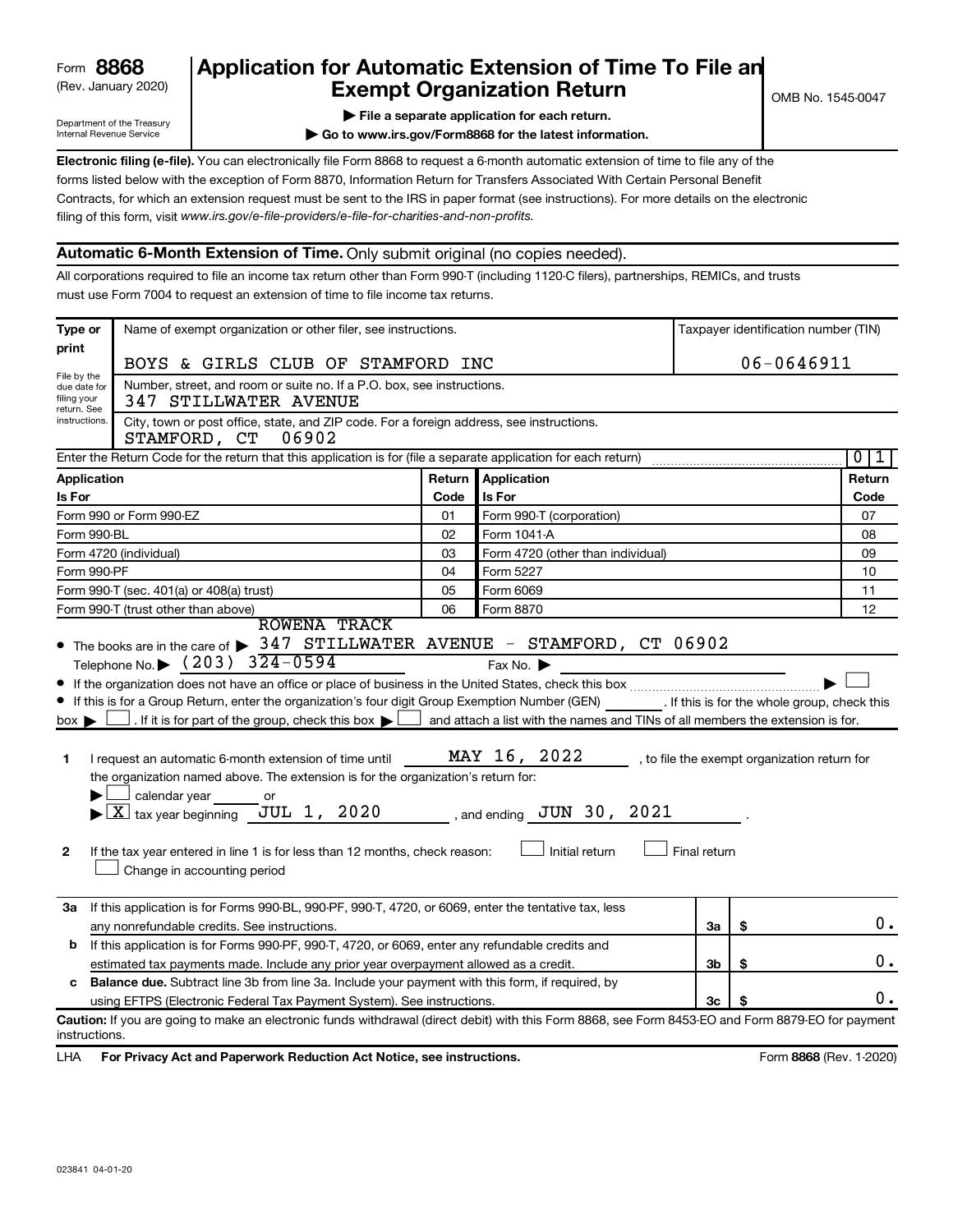### (Rev. January 2020) **Cxempt Organization Return** Manuary 2020) and the settern **Canadian Exempt Organization Return 8868 Application for Automatic Extension of Time To File an**

Department of the Treasury Internal Revenue Service

|  | File a separate application for each return. |  |  |
|--|----------------------------------------------|--|--|
|  |                                              |  |  |

**| Go to www.irs.gov/Form8868 for the latest information.**

**Electronic filing (e-file).** You can electronically file Form 8868 to request a 6-month automatic extension of time to file any of the filing of this form, visit www.irs.gov/e-file-providers/e-file-for-charities-and-non-profits. forms listed below with the exception of Form 8870, Information Return for Transfers Associated With Certain Personal Benefit Contracts, for which an extension request must be sent to the IRS in paper format (see instructions). For more details on the electronic

### **Automatic 6-Month Extension of Time.** Only submit original (no copies needed).

All corporations required to file an income tax return other than Form 990-T (including 1120-C filers), partnerships, REMICs, and trusts must use Form 7004 to request an extension of time to file income tax returns.

| Type or                                                   | Name of exempt organization or other filer, see instructions.                                                                                                                                                                                                                                                                                                                                                                                                                                                                                                                                        |        |                                                                                                                                                   |              |    | Taxpayer identification number (TIN)         |
|-----------------------------------------------------------|------------------------------------------------------------------------------------------------------------------------------------------------------------------------------------------------------------------------------------------------------------------------------------------------------------------------------------------------------------------------------------------------------------------------------------------------------------------------------------------------------------------------------------------------------------------------------------------------------|--------|---------------------------------------------------------------------------------------------------------------------------------------------------|--------------|----|----------------------------------------------|
| print                                                     | BOYS & GIRLS CLUB OF STAMFORD INC                                                                                                                                                                                                                                                                                                                                                                                                                                                                                                                                                                    |        |                                                                                                                                                   |              |    | $06 - 0646911$                               |
| File by the<br>due date for<br>filing your<br>return. See | Number, street, and room or suite no. If a P.O. box, see instructions.<br>347 STILLWATER AVENUE                                                                                                                                                                                                                                                                                                                                                                                                                                                                                                      |        |                                                                                                                                                   |              |    |                                              |
| instructions.                                             | City, town or post office, state, and ZIP code. For a foreign address, see instructions.<br>STAMFORD, CT<br>06902                                                                                                                                                                                                                                                                                                                                                                                                                                                                                    |        |                                                                                                                                                   |              |    |                                              |
|                                                           | Enter the Return Code for the return that this application is for (file a separate application for each return)                                                                                                                                                                                                                                                                                                                                                                                                                                                                                      |        |                                                                                                                                                   |              |    | $\overline{0}$<br>1                          |
| <b>Application</b>                                        |                                                                                                                                                                                                                                                                                                                                                                                                                                                                                                                                                                                                      | Return | <b>Application</b>                                                                                                                                |              |    | Return                                       |
| <b>Is For</b>                                             |                                                                                                                                                                                                                                                                                                                                                                                                                                                                                                                                                                                                      | Code   | Is For                                                                                                                                            |              |    | Code                                         |
|                                                           | Form 990 or Form 990-EZ                                                                                                                                                                                                                                                                                                                                                                                                                                                                                                                                                                              | 01     | Form 990-T (corporation)                                                                                                                          |              |    | 07                                           |
| Form 990-BL                                               |                                                                                                                                                                                                                                                                                                                                                                                                                                                                                                                                                                                                      | 02     | Form 1041-A                                                                                                                                       |              |    | 08                                           |
|                                                           | Form 4720 (individual)                                                                                                                                                                                                                                                                                                                                                                                                                                                                                                                                                                               | 03     | Form 4720 (other than individual)                                                                                                                 |              |    | 09                                           |
| Form 990-PF                                               |                                                                                                                                                                                                                                                                                                                                                                                                                                                                                                                                                                                                      | 04     | Form 5227                                                                                                                                         |              |    | 10                                           |
|                                                           | Form 990-T (sec. 401(a) or 408(a) trust)                                                                                                                                                                                                                                                                                                                                                                                                                                                                                                                                                             | 05     | Form 6069                                                                                                                                         |              |    | 11                                           |
|                                                           | Form 990-T (trust other than above)<br><b>ROWENA TRACK</b>                                                                                                                                                                                                                                                                                                                                                                                                                                                                                                                                           | 06     | Form 8870                                                                                                                                         |              |    | 12                                           |
| box ▶<br>1<br>2                                           | If this is for a Group Return, enter the organization's four digit Group Exemption Number (GEN) [If this is for the whole group, check this<br>. If it is for part of the group, check this box $\blacktriangleright$ $\lfloor$<br>I request an automatic 6-month extension of time until<br>the organization named above. The extension is for the organization's return for:<br>calendar year<br>or<br>JUL 1, 2020<br>$\blacktriangleright$ $\lfloor$ X $\rfloor$ tax year beginning<br>If the tax year entered in line 1 is for less than 12 months, check reason:<br>Change in accounting period |        | and attach a list with the names and TINs of all members the extension is for.<br>MAY 16, 2022<br>, and ending $JUN$ 30, $2021$<br>Initial return | Final return |    | , to file the exempt organization return for |
|                                                           | 3a If this application is for Forms 990-BL, 990-PF, 990-T, 4720, or 6069, enter the tentative tax, less                                                                                                                                                                                                                                                                                                                                                                                                                                                                                              |        |                                                                                                                                                   |              |    |                                              |
|                                                           | any nonrefundable credits. See instructions.                                                                                                                                                                                                                                                                                                                                                                                                                                                                                                                                                         |        |                                                                                                                                                   | За           | \$ | $0$ .                                        |
| b                                                         | If this application is for Forms 990-PF, 990-T, 4720, or 6069, enter any refundable credits and                                                                                                                                                                                                                                                                                                                                                                                                                                                                                                      |        |                                                                                                                                                   |              |    |                                              |
|                                                           | estimated tax payments made. Include any prior year overpayment allowed as a credit.                                                                                                                                                                                                                                                                                                                                                                                                                                                                                                                 |        |                                                                                                                                                   | Зb           | \$ | 0.                                           |
| c                                                         | <b>Balance due.</b> Subtract line 3b from line 3a. Include your payment with this form, if required, by                                                                                                                                                                                                                                                                                                                                                                                                                                                                                              |        |                                                                                                                                                   |              |    | 0.                                           |
|                                                           | using EFTPS (Electronic Federal Tax Payment System). See instructions.                                                                                                                                                                                                                                                                                                                                                                                                                                                                                                                               |        |                                                                                                                                                   | Зс           |    |                                              |
| instructions.                                             | Caution: If you are going to make an electronic funds withdrawal (direct debit) with this Form 8868, see Form 8453-EO and Form 8879-EO for payment                                                                                                                                                                                                                                                                                                                                                                                                                                                   |        |                                                                                                                                                   |              |    |                                              |
|                                                           | $\cdots$                                                                                                                                                                                                                                                                                                                                                                                                                                                                                                                                                                                             |        |                                                                                                                                                   |              |    | $\sim$                                       |

LHA For Privacy Act and Paperwork Reduction Act Notice, see instructions. **8868** CREV. 1-2020)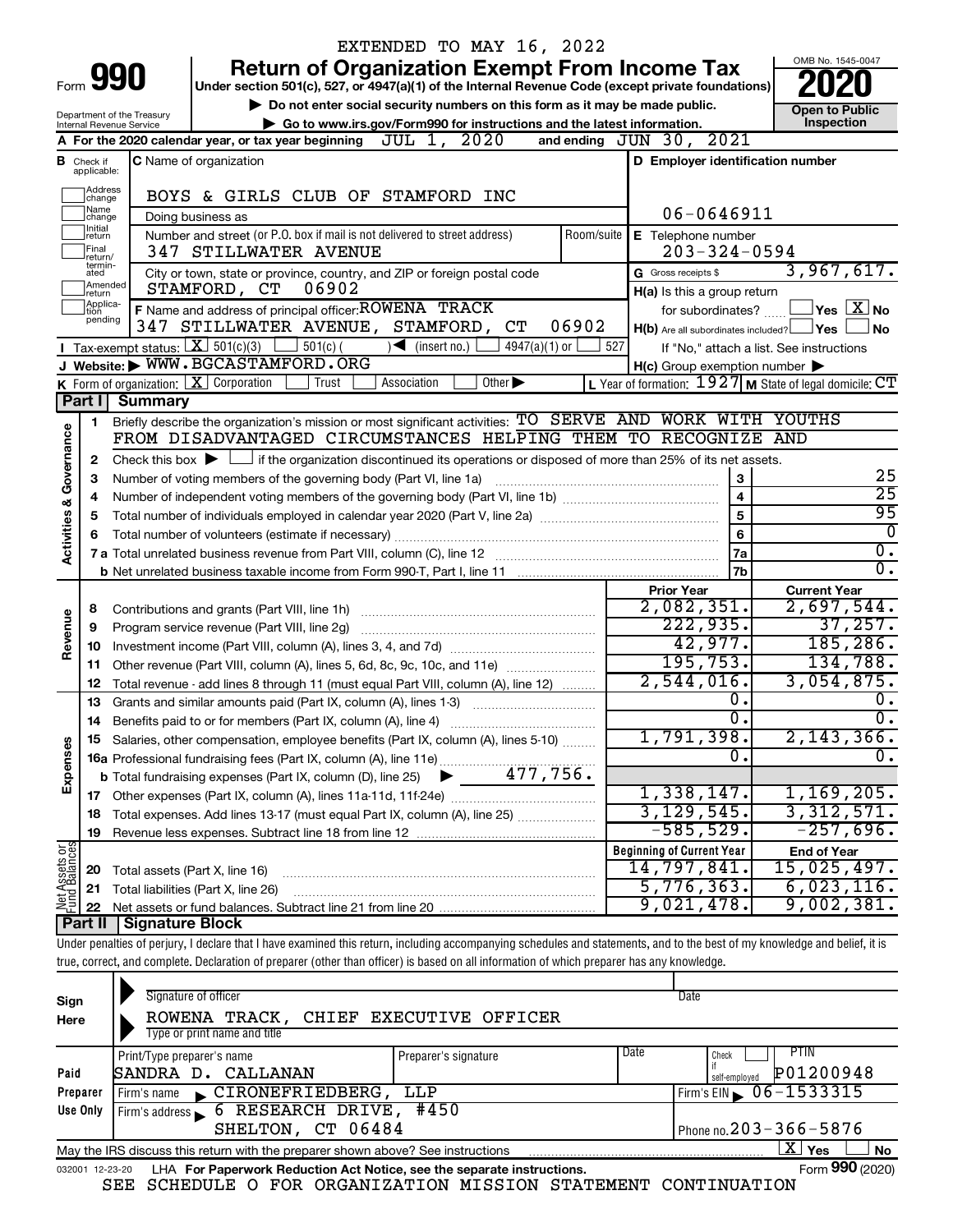|                         |                              |                                                                                                    | EXTENDED TO MAY 16, 2022                                                                                                                                                   |                                                             |                                  |
|-------------------------|------------------------------|----------------------------------------------------------------------------------------------------|----------------------------------------------------------------------------------------------------------------------------------------------------------------------------|-------------------------------------------------------------|----------------------------------|
|                         |                              | Form 990                                                                                           | <b>Return of Organization Exempt From Income Tax</b>                                                                                                                       |                                                             | OMB No. 1545-0047                |
|                         |                              | Under section 501(c), 527, or 4947(a)(1) of the Internal Revenue Code (except private foundations) |                                                                                                                                                                            |                                                             |                                  |
|                         |                              | Department of the Treasury                                                                         | Do not enter social security numbers on this form as it may be made public.                                                                                                |                                                             | <b>Open to Public</b>            |
|                         |                              | Internal Revenue Service                                                                           | Go to www.irs.gov/Form990 for instructions and the latest information.                                                                                                     |                                                             | Inspection                       |
|                         |                              |                                                                                                    | A For the 2020 calendar year, or tax year beginning $JUL$ 1, $2020$                                                                                                        | and ending JUN 30, 2021                                     |                                  |
| в                       | Check if<br>applicable:      |                                                                                                    | <b>C</b> Name of organization                                                                                                                                              | D Employer identification number                            |                                  |
|                         | Address<br> change           |                                                                                                    | BOYS & GIRLS CLUB OF STAMFORD INC                                                                                                                                          |                                                             |                                  |
|                         | Name<br>change               |                                                                                                    | Doing business as                                                                                                                                                          | 06-0646911                                                  |                                  |
|                         | Initial<br>return<br>Final   |                                                                                                    | Number and street (or P.O. box if mail is not delivered to street address)<br>Room/suite<br>347 STILLWATER AVENUE                                                          | E Telephone number<br>$203 - 324 - 0594$                    |                                  |
|                         | return/<br>termin-<br>ated   |                                                                                                    | City or town, state or province, country, and ZIP or foreign postal code                                                                                                   | G Gross receipts \$                                         | 3,967,617.                       |
|                         | Amended                      |                                                                                                    | 06902<br>STAMFORD, CT                                                                                                                                                      | H(a) Is this a group return                                 |                                  |
|                         | Ireturn<br>Applica-<br>Ition |                                                                                                    | F Name and address of principal officer: ROWENA TRACK                                                                                                                      | for subordinates?                                           | $\,$ Yes $\,$ $\rm X$ No $\,$    |
|                         | pending                      |                                                                                                    | 06902<br>347 STILLWATER AVENUE, STAMFORD,<br>C <sub>T</sub>                                                                                                                | $H(b)$ Are all subordinates included? $\Box$ Yes            | No                               |
|                         |                              |                                                                                                    | Tax-exempt status: $X \over 301(c)(3)$<br>$\frac{1}{2}$ 501(c) (<br>$\sqrt{\frac{1}{1}}$ (insert no.)<br>4947(a)(1) or                                                     | 527<br>If "No," attach a list. See instructions             |                                  |
|                         |                              |                                                                                                    | Website: WWW.BGCASTAMFORD.ORG                                                                                                                                              | $H(c)$ Group exemption number $\blacktriangleright$         |                                  |
|                         |                              |                                                                                                    | K Form of organization: $X$ Corporation<br>Trust<br>Association<br>Other $\blacktriangleright$                                                                             | L Year of formation: $1927$ M State of legal domicile: $CT$ |                                  |
|                         | Part II                      | Summary                                                                                            |                                                                                                                                                                            |                                                             |                                  |
|                         | 1.                           |                                                                                                    | Briefly describe the organization's mission or most significant activities: TO SERVE AND WORK WITH YOUTHS                                                                  |                                                             |                                  |
|                         |                              |                                                                                                    | FROM DISADVANTAGED CIRCUMSTANCES HELPING THEM TO RECOGNIZE AND                                                                                                             |                                                             |                                  |
|                         | 2                            |                                                                                                    | Check this box $\blacktriangleright \Box$ if the organization discontinued its operations or disposed of more than 25% of its net assets.                                  |                                                             |                                  |
|                         | 3                            |                                                                                                    | Number of voting members of the governing body (Part VI, line 1a)                                                                                                          | 3                                                           | 25                               |
|                         | 4                            |                                                                                                    |                                                                                                                                                                            | $\overline{\mathbf{4}}$                                     | $\overline{25}$                  |
| Activities & Governance | 5                            |                                                                                                    |                                                                                                                                                                            | 5                                                           | 95                               |
|                         |                              | 6                                                                                                  |                                                                                                                                                                            |                                                             |                                  |
|                         |                              |                                                                                                    |                                                                                                                                                                            | 7a                                                          | 0<br>$\overline{\mathfrak{o}}$ . |
|                         |                              |                                                                                                    |                                                                                                                                                                            | 7 <sub>b</sub>                                              | σ.                               |
|                         |                              |                                                                                                    |                                                                                                                                                                            | <b>Prior Year</b>                                           | <b>Current Year</b>              |
|                         | 8                            |                                                                                                    | Contributions and grants (Part VIII, line 1h)                                                                                                                              | 2,082,351.                                                  | 2,697,544.                       |
| Revenue                 | 9                            |                                                                                                    | Program service revenue (Part VIII, line 2g)                                                                                                                               | 222,935.                                                    | 37,257.                          |
|                         | 10                           |                                                                                                    |                                                                                                                                                                            | 42,977.                                                     | 185, 286.                        |
|                         | 11                           |                                                                                                    | Other revenue (Part VIII, column (A), lines 5, 6d, 8c, 9c, 10c, and 11e)                                                                                                   | 195, 753.                                                   | 134,788.                         |
|                         | 12                           |                                                                                                    | Total revenue - add lines 8 through 11 (must equal Part VIII, column (A), line 12)                                                                                         | $2,544,016$ .                                               | 3,054,875.                       |
|                         | 13                           |                                                                                                    | Grants and similar amounts paid (Part IX, column (A), lines 1-3)                                                                                                           | 0.                                                          | υ.                               |
|                         | 14                           |                                                                                                    |                                                                                                                                                                            | σ.                                                          | σ.                               |
|                         |                              |                                                                                                    | Salaries, other compensation, employee benefits (Part IX, column (A), lines 5-10)                                                                                          | 1,791,398.                                                  | 2,143,366.                       |
| Expenses                |                              |                                                                                                    |                                                                                                                                                                            | 0.                                                          | $\overline{0}$ .                 |
|                         |                              |                                                                                                    |                                                                                                                                                                            |                                                             |                                  |
|                         |                              |                                                                                                    |                                                                                                                                                                            | 1,338,147.                                                  | 1,169,205.                       |
|                         | 18                           |                                                                                                    | Total expenses. Add lines 13-17 (must equal Part IX, column (A), line 25)                                                                                                  | 3, 129, 545.                                                | 3,312,571.                       |
|                         | 19                           |                                                                                                    |                                                                                                                                                                            | $-585,529.$                                                 | $-257,696.$                      |
|                         |                              |                                                                                                    |                                                                                                                                                                            | <b>Beginning of Current Year</b>                            | <b>End of Year</b>               |
| Net Assets or           | 20                           | Total assets (Part X, line 16)                                                                     |                                                                                                                                                                            | 14,797,841.                                                 | 15,025,497.                      |
|                         | 21                           |                                                                                                    | Total liabilities (Part X, line 26)                                                                                                                                        | 5,776,363.                                                  | 6,023,116.                       |
|                         | 22                           |                                                                                                    |                                                                                                                                                                            | 9,021,478.                                                  | 9,002,381.                       |
|                         | ∣ Part II                    | <b>Signature Block</b>                                                                             |                                                                                                                                                                            |                                                             |                                  |
|                         |                              |                                                                                                    | Under penalties of perjury, I declare that I have examined this return, including accompanying schedules and statements, and to the best of my knowledge and belief, it is |                                                             |                                  |
|                         |                              |                                                                                                    | true, correct, and complete. Declaration of preparer (other than officer) is based on all information of which preparer has any knowledge.                                 |                                                             |                                  |
|                         |                              |                                                                                                    |                                                                                                                                                                            |                                                             |                                  |

| Sign     | Signature of officer                                                                                                |                         |                              | Date                                       |  |  |  |
|----------|---------------------------------------------------------------------------------------------------------------------|-------------------------|------------------------------|--------------------------------------------|--|--|--|
| Here     | ROWENA TRACK,                                                                                                       | CHIEF EXECUTIVE OFFICER |                              |                                            |  |  |  |
|          | Type or print name and title                                                                                        |                         |                              |                                            |  |  |  |
|          | Print/Type preparer's name                                                                                          | Preparer's signature    | Date                         | PTIN<br>Check                              |  |  |  |
| Paid     | SANDRA D. CALLANAN                                                                                                  |                         |                              | P01200948<br>self-employed                 |  |  |  |
| Preparer | CIRONEFRIEDBERG,<br>LLP<br>Firm's name<br>$\mathbf{r}$                                                              |                         |                              | Firm's EIN $\bigtriangledown 06 - 1533315$ |  |  |  |
| Use Only | Firm's address 6 RESEARCH DRIVE,                                                                                    | #450                    |                              |                                            |  |  |  |
|          | SHELTON, CT 06484                                                                                                   |                         | Phone no. $203 - 366 - 5876$ |                                            |  |  |  |
|          | $\mathbf{X}$<br>Yes<br><b>No</b><br>May the IRS discuss this return with the preparer shown above? See instructions |                         |                              |                                            |  |  |  |
|          | Form 990 (2020)<br>LHA For Paperwork Reduction Act Notice, see the separate instructions.<br>032001 12-23-20        |                         |                              |                                            |  |  |  |

SEE SCHEDULE O FOR ORGANIZATION MISSION STATEMENT CONTINUATION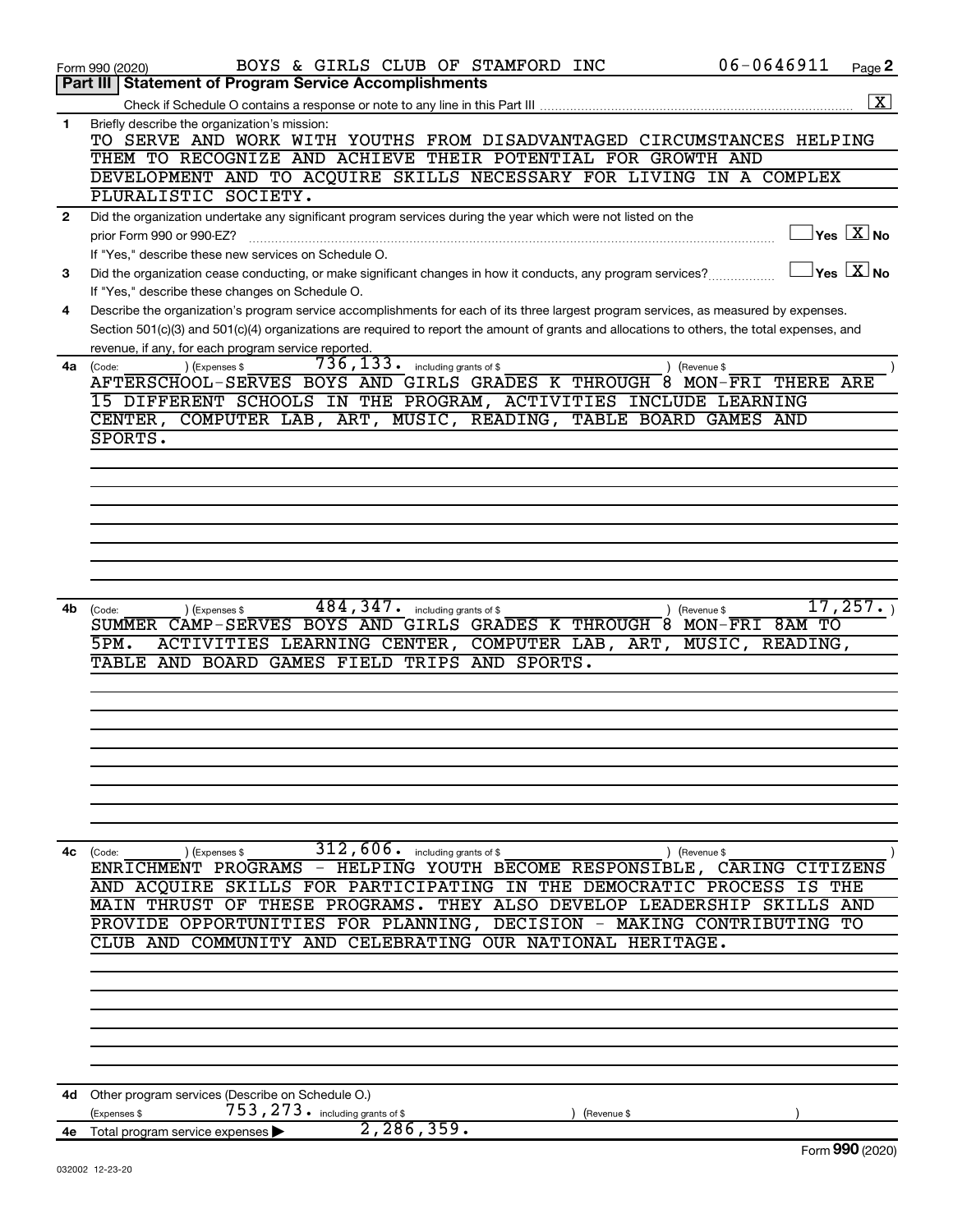|              | $06 - 0646911$<br>BOYS & GIRLS CLUB OF STAMFORD INC<br>Page 2<br>Form 990 (2020)                                                                                                                                                                                                     |  |
|--------------|--------------------------------------------------------------------------------------------------------------------------------------------------------------------------------------------------------------------------------------------------------------------------------------|--|
|              | <b>Statement of Program Service Accomplishments</b><br><b>Part III</b>                                                                                                                                                                                                               |  |
|              | $\overline{\mathbf{x}}$                                                                                                                                                                                                                                                              |  |
| 1            | Briefly describe the organization's mission:<br>TO SERVE AND WORK WITH YOUTHS FROM DISADVANTAGED CIRCUMSTANCES HELPING                                                                                                                                                               |  |
|              | THEM TO RECOGNIZE AND ACHIEVE THEIR POTENTIAL FOR GROWTH AND                                                                                                                                                                                                                         |  |
|              | DEVELOPMENT AND TO ACQUIRE SKILLS NECESSARY FOR LIVING IN A COMPLEX                                                                                                                                                                                                                  |  |
|              | PLURALISTIC SOCIETY.                                                                                                                                                                                                                                                                 |  |
| $\mathbf{2}$ | Did the organization undertake any significant program services during the year which were not listed on the                                                                                                                                                                         |  |
|              | $\sqrt{}$ Yes $\sqrt{}\,\overline{\mathrm{X}}$ No<br>prior Form 990 or 990-EZ?                                                                                                                                                                                                       |  |
|              | If "Yes," describe these new services on Schedule O.                                                                                                                                                                                                                                 |  |
| 3            | $\sqrt{}$ Yes $\sqrt{X}$ No<br>Did the organization cease conducting, or make significant changes in how it conducts, any program services?                                                                                                                                          |  |
|              | If "Yes," describe these changes on Schedule O.                                                                                                                                                                                                                                      |  |
| 4            | Describe the organization's program service accomplishments for each of its three largest program services, as measured by expenses.<br>Section 501(c)(3) and 501(c)(4) organizations are required to report the amount of grants and allocations to others, the total expenses, and |  |
|              | revenue, if any, for each program service reported.                                                                                                                                                                                                                                  |  |
| 4a           | 736, 133.<br>) (Expenses \$<br>including grants of \$<br>(Revenue \$<br>(Code:                                                                                                                                                                                                       |  |
|              | AFTERSCHOOL-SERVES BOYS AND GIRLS GRADES K THROUGH 8 MON-FRI<br>THERE ARE                                                                                                                                                                                                            |  |
|              | 15 DIFFERENT SCHOOLS IN THE PROGRAM, ACTIVITIES INCLUDE LEARNING                                                                                                                                                                                                                     |  |
|              | MUSIC, READING, TABLE BOARD GAMES AND<br>CENTER, COMPUTER LAB, ART,                                                                                                                                                                                                                  |  |
|              | SPORTS.                                                                                                                                                                                                                                                                              |  |
|              |                                                                                                                                                                                                                                                                                      |  |
|              |                                                                                                                                                                                                                                                                                      |  |
|              |                                                                                                                                                                                                                                                                                      |  |
|              |                                                                                                                                                                                                                                                                                      |  |
|              |                                                                                                                                                                                                                                                                                      |  |
|              |                                                                                                                                                                                                                                                                                      |  |
|              |                                                                                                                                                                                                                                                                                      |  |
| 4b           | 484,347.<br>17,257.<br>including grants of \$<br>(Expenses \$<br>(Revenue \$<br>(Code:<br>SUMMER CAMP-SERVES BOYS AND GIRLS GRADES K THROUGH 8 MON-FRI<br>8AM TO                                                                                                                     |  |
|              | 5PM.<br>ACTIVITIES LEARNING CENTER,<br>COMPUTER LAB, ART,<br>MUSIC,<br>READING,                                                                                                                                                                                                      |  |
|              | TABLE AND BOARD GAMES FIELD TRIPS AND SPORTS.                                                                                                                                                                                                                                        |  |
|              |                                                                                                                                                                                                                                                                                      |  |
|              |                                                                                                                                                                                                                                                                                      |  |
|              |                                                                                                                                                                                                                                                                                      |  |
|              |                                                                                                                                                                                                                                                                                      |  |
|              |                                                                                                                                                                                                                                                                                      |  |
|              |                                                                                                                                                                                                                                                                                      |  |
|              |                                                                                                                                                                                                                                                                                      |  |
|              |                                                                                                                                                                                                                                                                                      |  |
| 4с           | $\overline{312}$ , $606$ . including grants of \$<br>) (Revenue \$<br>(Code:<br>) (Expenses \$                                                                                                                                                                                       |  |
|              | ENRICHMENT PROGRAMS - HELPING YOUTH BECOME RESPONSIBLE, CARING CITIZENS                                                                                                                                                                                                              |  |
|              | AND ACQUIRE SKILLS FOR PARTICIPATING IN<br>THE DEMOCRATIC PROCESS IS THE                                                                                                                                                                                                             |  |
|              | MAIN THRUST OF THESE PROGRAMS. THEY ALSO DEVELOP LEADERSHIP<br>SKILLS AND<br>PROVIDE OPPORTUNITIES FOR PLANNING, DECISION - MAKING CONTRIBUTING<br>TО                                                                                                                                |  |
|              | CLUB AND COMMUNITY AND CELEBRATING OUR NATIONAL HERITAGE.                                                                                                                                                                                                                            |  |
|              |                                                                                                                                                                                                                                                                                      |  |
|              |                                                                                                                                                                                                                                                                                      |  |
|              |                                                                                                                                                                                                                                                                                      |  |
|              |                                                                                                                                                                                                                                                                                      |  |
|              |                                                                                                                                                                                                                                                                                      |  |
|              |                                                                                                                                                                                                                                                                                      |  |
|              |                                                                                                                                                                                                                                                                                      |  |
|              | 4d Other program services (Describe on Schedule O.)<br>753, 273. including grants of \$                                                                                                                                                                                              |  |
|              | Expenses \$<br>(Revenue \$<br>2, 286, 359.<br>4e Total program service expenses                                                                                                                                                                                                      |  |
|              | Form 990 (2020)                                                                                                                                                                                                                                                                      |  |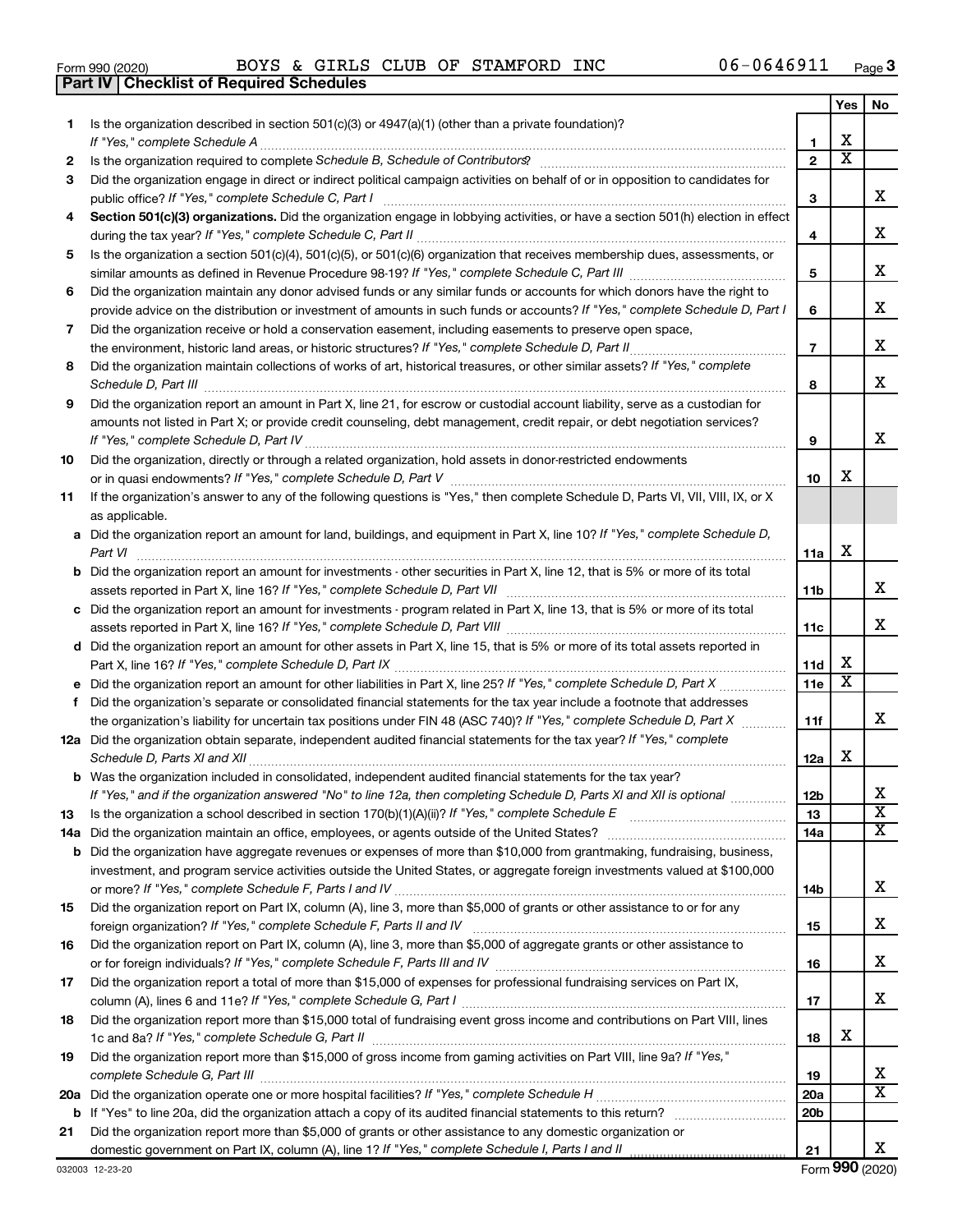|  | Form 990 (2020) |
|--|-----------------|

**Part IV Checklist of Required Schedules**

 $_{\rm Form}$ 990 $(2020)$  BOYS & GIRLS CLUB OF STAMFORD INC  $_{\rm U}$  06-0646911  $_{\rm Page}$ BOYS & GIRLS CLUB OF STAMFORD INC 06-0646911

|    |                                                                                                                                                                                                                                                           |                 | Yes                          | No                      |
|----|-----------------------------------------------------------------------------------------------------------------------------------------------------------------------------------------------------------------------------------------------------------|-----------------|------------------------------|-------------------------|
| 1. | Is the organization described in section $501(c)(3)$ or $4947(a)(1)$ (other than a private foundation)?                                                                                                                                                   |                 |                              |                         |
|    | If "Yes," complete Schedule A                                                                                                                                                                                                                             | 1               | х<br>$\overline{\textbf{x}}$ |                         |
| 2  |                                                                                                                                                                                                                                                           | $\overline{2}$  |                              |                         |
| 3  | Did the organization engage in direct or indirect political campaign activities on behalf of or in opposition to candidates for                                                                                                                           |                 |                              | x                       |
|    | public office? If "Yes," complete Schedule C, Part I                                                                                                                                                                                                      | 3               |                              |                         |
| 4  | Section 501(c)(3) organizations. Did the organization engage in lobbying activities, or have a section 501(h) election in effect                                                                                                                          | 4               |                              | x                       |
| 5  | Is the organization a section 501(c)(4), 501(c)(5), or 501(c)(6) organization that receives membership dues, assessments, or                                                                                                                              |                 |                              |                         |
|    |                                                                                                                                                                                                                                                           | 5               |                              | х                       |
| 6  | Did the organization maintain any donor advised funds or any similar funds or accounts for which donors have the right to<br>provide advice on the distribution or investment of amounts in such funds or accounts? If "Yes," complete Schedule D, Part I | 6               |                              | х                       |
| 7  | Did the organization receive or hold a conservation easement, including easements to preserve open space,                                                                                                                                                 |                 |                              |                         |
|    |                                                                                                                                                                                                                                                           | $\overline{7}$  |                              | x                       |
| 8  | Did the organization maintain collections of works of art, historical treasures, or other similar assets? If "Yes," complete                                                                                                                              |                 |                              |                         |
|    | Schedule D, Part III <b>Election Communication</b> Contract and Technical Communication Contract and Technical Communication                                                                                                                              | 8               |                              | x                       |
| 9  | Did the organization report an amount in Part X, line 21, for escrow or custodial account liability, serve as a custodian for                                                                                                                             |                 |                              |                         |
|    | amounts not listed in Part X; or provide credit counseling, debt management, credit repair, or debt negotiation services?                                                                                                                                 |                 |                              |                         |
|    |                                                                                                                                                                                                                                                           | 9               |                              | x                       |
| 10 | Did the organization, directly or through a related organization, hold assets in donor-restricted endowments                                                                                                                                              |                 |                              |                         |
|    |                                                                                                                                                                                                                                                           | 10              | х                            |                         |
| 11 | If the organization's answer to any of the following questions is "Yes," then complete Schedule D, Parts VI, VII, VIII, IX, or X                                                                                                                          |                 |                              |                         |
|    | as applicable.                                                                                                                                                                                                                                            |                 |                              |                         |
|    | a Did the organization report an amount for land, buildings, and equipment in Part X, line 10? If "Yes," complete Schedule D,                                                                                                                             |                 |                              |                         |
|    | Part VI                                                                                                                                                                                                                                                   | 11a             | x                            |                         |
|    | <b>b</b> Did the organization report an amount for investments - other securities in Part X, line 12, that is 5% or more of its total                                                                                                                     |                 |                              |                         |
|    |                                                                                                                                                                                                                                                           | 11 <sub>b</sub> |                              | x                       |
|    | c Did the organization report an amount for investments - program related in Part X, line 13, that is 5% or more of its total                                                                                                                             |                 |                              | x                       |
|    | d Did the organization report an amount for other assets in Part X, line 15, that is 5% or more of its total assets reported in                                                                                                                           | 11c             |                              |                         |
|    |                                                                                                                                                                                                                                                           | 11d             | х                            |                         |
|    |                                                                                                                                                                                                                                                           | 11e             | $\overline{\textbf{x}}$      |                         |
| f  | Did the organization's separate or consolidated financial statements for the tax year include a footnote that addresses                                                                                                                                   |                 |                              |                         |
|    | the organization's liability for uncertain tax positions under FIN 48 (ASC 740)? If "Yes," complete Schedule D, Part X                                                                                                                                    | 11f             |                              | x                       |
|    | 12a Did the organization obtain separate, independent audited financial statements for the tax year? If "Yes," complete                                                                                                                                   |                 |                              |                         |
|    |                                                                                                                                                                                                                                                           | 12a             | X                            |                         |
|    | b Was the organization included in consolidated, independent audited financial statements for the tax year?                                                                                                                                               |                 |                              |                         |
|    | If "Yes," and if the organization answered "No" to line 12a, then completing Schedule D, Parts XI and XII is optional                                                                                                                                     | 12 <sub>b</sub> |                              | х                       |
| 13 |                                                                                                                                                                                                                                                           | 13              |                              | $\overline{\textbf{X}}$ |
|    |                                                                                                                                                                                                                                                           | 14a             |                              | $\overline{\mathbf{X}}$ |
|    | <b>b</b> Did the organization have aggregate revenues or expenses of more than \$10,000 from grantmaking, fundraising, business,                                                                                                                          |                 |                              |                         |
|    | investment, and program service activities outside the United States, or aggregate foreign investments valued at \$100,000                                                                                                                                |                 |                              | x                       |
|    |                                                                                                                                                                                                                                                           | 14b             |                              |                         |
| 15 | Did the organization report on Part IX, column (A), line 3, more than \$5,000 of grants or other assistance to or for any                                                                                                                                 | 15              |                              | x                       |
| 16 | Did the organization report on Part IX, column (A), line 3, more than \$5,000 of aggregate grants or other assistance to                                                                                                                                  |                 |                              |                         |
|    |                                                                                                                                                                                                                                                           | 16              |                              | x                       |
| 17 | Did the organization report a total of more than \$15,000 of expenses for professional fundraising services on Part IX,                                                                                                                                   |                 |                              |                         |
|    |                                                                                                                                                                                                                                                           | 17              |                              | x                       |
| 18 | Did the organization report more than \$15,000 total of fundraising event gross income and contributions on Part VIII, lines                                                                                                                              |                 |                              |                         |
|    |                                                                                                                                                                                                                                                           | 18              | х                            |                         |
| 19 | Did the organization report more than \$15,000 of gross income from gaming activities on Part VIII, line 9a? If "Yes,"                                                                                                                                    |                 |                              |                         |
|    |                                                                                                                                                                                                                                                           | 19              |                              | х                       |
|    |                                                                                                                                                                                                                                                           | 20a             |                              | $\overline{\mathbf{X}}$ |
|    |                                                                                                                                                                                                                                                           | 20 <sub>b</sub> |                              |                         |
| 21 | Did the organization report more than \$5,000 of grants or other assistance to any domestic organization or                                                                                                                                               |                 |                              | x                       |
|    |                                                                                                                                                                                                                                                           | 21              |                              |                         |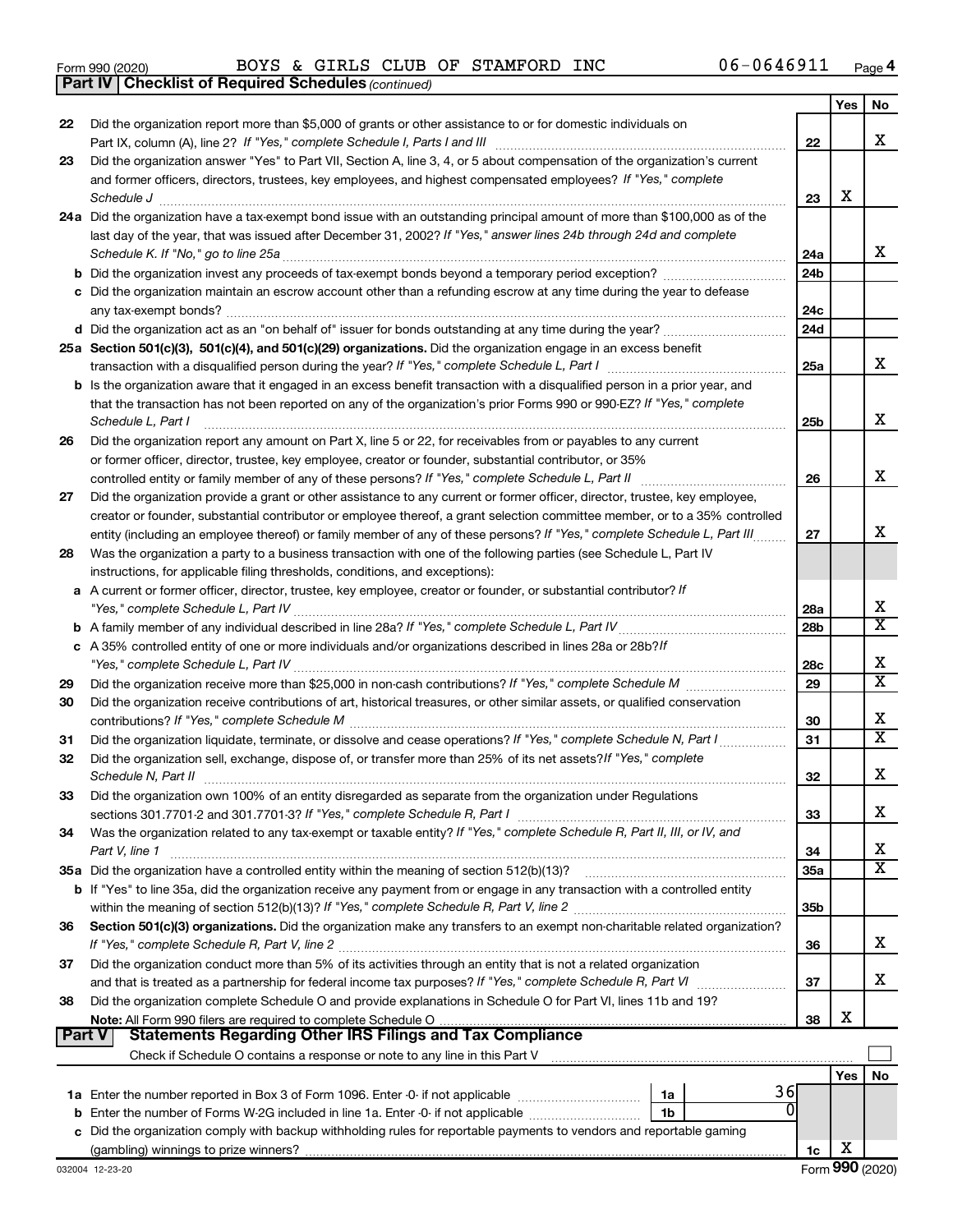|  | Form 990 (2020) |
|--|-----------------|
|  |                 |

*(continued)* **Part IV Checklist of Required Schedules**

|               |                                                                                                                                                                                                                                                              |                 | Yes | No                         |
|---------------|--------------------------------------------------------------------------------------------------------------------------------------------------------------------------------------------------------------------------------------------------------------|-----------------|-----|----------------------------|
| 22            | Did the organization report more than \$5,000 of grants or other assistance to or for domestic individuals on                                                                                                                                                |                 |     | x                          |
| 23            | Did the organization answer "Yes" to Part VII, Section A, line 3, 4, or 5 about compensation of the organization's current                                                                                                                                   | 22              |     |                            |
|               | and former officers, directors, trustees, key employees, and highest compensated employees? If "Yes," complete                                                                                                                                               |                 |     |                            |
|               | Schedule J                                                                                                                                                                                                                                                   | 23              | X   |                            |
|               | 24a Did the organization have a tax-exempt bond issue with an outstanding principal amount of more than \$100,000 as of the                                                                                                                                  |                 |     |                            |
|               | last day of the year, that was issued after December 31, 2002? If "Yes," answer lines 24b through 24d and complete                                                                                                                                           |                 |     |                            |
|               |                                                                                                                                                                                                                                                              | 24a             |     | x                          |
|               | <b>b</b> Did the organization invest any proceeds of tax-exempt bonds beyond a temporary period exception?                                                                                                                                                   | 24 <sub>b</sub> |     |                            |
|               | c Did the organization maintain an escrow account other than a refunding escrow at any time during the year to defease                                                                                                                                       |                 |     |                            |
|               | any tax-exempt bonds?                                                                                                                                                                                                                                        | 24c             |     |                            |
|               |                                                                                                                                                                                                                                                              | 24d             |     |                            |
|               | 25a Section 501(c)(3), 501(c)(4), and 501(c)(29) organizations. Did the organization engage in an excess benefit                                                                                                                                             |                 |     | x                          |
|               | transaction with a disqualified person during the year? If "Yes," complete Schedule L, Part I                                                                                                                                                                | 25a             |     |                            |
|               | <b>b</b> Is the organization aware that it engaged in an excess benefit transaction with a disqualified person in a prior year, and<br>that the transaction has not been reported on any of the organization's prior Forms 990 or 990-EZ? If "Yes," complete |                 |     |                            |
|               | Schedule L, Part I                                                                                                                                                                                                                                           | 25 <sub>b</sub> |     | х                          |
| 26            | Did the organization report any amount on Part X, line 5 or 22, for receivables from or payables to any current                                                                                                                                              |                 |     |                            |
|               | or former officer, director, trustee, key employee, creator or founder, substantial contributor, or 35%                                                                                                                                                      |                 |     |                            |
|               | controlled entity or family member of any of these persons? If "Yes," complete Schedule L, Part II                                                                                                                                                           | 26              |     | х                          |
| 27            | Did the organization provide a grant or other assistance to any current or former officer, director, trustee, key employee,                                                                                                                                  |                 |     |                            |
|               | creator or founder, substantial contributor or employee thereof, a grant selection committee member, or to a 35% controlled                                                                                                                                  |                 |     |                            |
|               | entity (including an employee thereof) or family member of any of these persons? If "Yes," complete Schedule L, Part III                                                                                                                                     | 27              |     | х                          |
| 28            | Was the organization a party to a business transaction with one of the following parties (see Schedule L, Part IV                                                                                                                                            |                 |     |                            |
|               | instructions, for applicable filing thresholds, conditions, and exceptions):                                                                                                                                                                                 |                 |     |                            |
|               | a A current or former officer, director, trustee, key employee, creator or founder, or substantial contributor? If                                                                                                                                           |                 |     |                            |
|               |                                                                                                                                                                                                                                                              | 28a             |     | х<br>$\overline{\text{x}}$ |
|               |                                                                                                                                                                                                                                                              | 28 <sub>b</sub> |     |                            |
|               | c A 35% controlled entity of one or more individuals and/or organizations described in lines 28a or 28b?If                                                                                                                                                   | 28c             |     | х                          |
| 29            |                                                                                                                                                                                                                                                              | 29              |     | $\overline{\text{x}}$      |
| 30            | Did the organization receive contributions of art, historical treasures, or other similar assets, or qualified conservation                                                                                                                                  |                 |     |                            |
|               |                                                                                                                                                                                                                                                              | 30              |     | х                          |
| 31            |                                                                                                                                                                                                                                                              | 31              |     | $\overline{\textbf{X}}$    |
| 32            | Did the organization sell, exchange, dispose of, or transfer more than 25% of its net assets? If "Yes," complete                                                                                                                                             |                 |     |                            |
|               | Schedule N, Part II                                                                                                                                                                                                                                          | 32              |     | х                          |
| 33            | Did the organization own 100% of an entity disregarded as separate from the organization under Regulations                                                                                                                                                   |                 |     |                            |
|               |                                                                                                                                                                                                                                                              | 33              |     | х                          |
| 34            | Was the organization related to any tax-exempt or taxable entity? If "Yes," complete Schedule R, Part II, III, or IV, and                                                                                                                                    |                 |     |                            |
|               | Part V, line 1                                                                                                                                                                                                                                               | 34              |     | х<br>$\overline{\text{X}}$ |
|               |                                                                                                                                                                                                                                                              | 35a             |     |                            |
|               | b If "Yes" to line 35a, did the organization receive any payment from or engage in any transaction with a controlled entity                                                                                                                                  | 35 <sub>b</sub> |     |                            |
| 36            | Section 501(c)(3) organizations. Did the organization make any transfers to an exempt non-charitable related organization?                                                                                                                                   |                 |     |                            |
|               |                                                                                                                                                                                                                                                              | 36              |     | x                          |
| 37            | Did the organization conduct more than 5% of its activities through an entity that is not a related organization                                                                                                                                             |                 |     |                            |
|               |                                                                                                                                                                                                                                                              | 37              |     | x                          |
| 38            | Did the organization complete Schedule O and provide explanations in Schedule O for Part VI, lines 11b and 19?                                                                                                                                               |                 |     |                            |
|               |                                                                                                                                                                                                                                                              | 38              | х   |                            |
| <b>Part V</b> | <b>Statements Regarding Other IRS Filings and Tax Compliance</b>                                                                                                                                                                                             |                 |     |                            |
|               |                                                                                                                                                                                                                                                              |                 |     |                            |
|               |                                                                                                                                                                                                                                                              |                 | Yes | No                         |
|               | 36<br>1a<br>0                                                                                                                                                                                                                                                |                 |     |                            |
| b             | Enter the number of Forms W-2G included in line 1a. Enter -0- if not applicable<br>1b<br>c Did the organization comply with backup withholding rules for reportable payments to vendors and reportable gaming                                                |                 |     |                            |
|               |                                                                                                                                                                                                                                                              | 1c              | х   |                            |
|               |                                                                                                                                                                                                                                                              |                 |     |                            |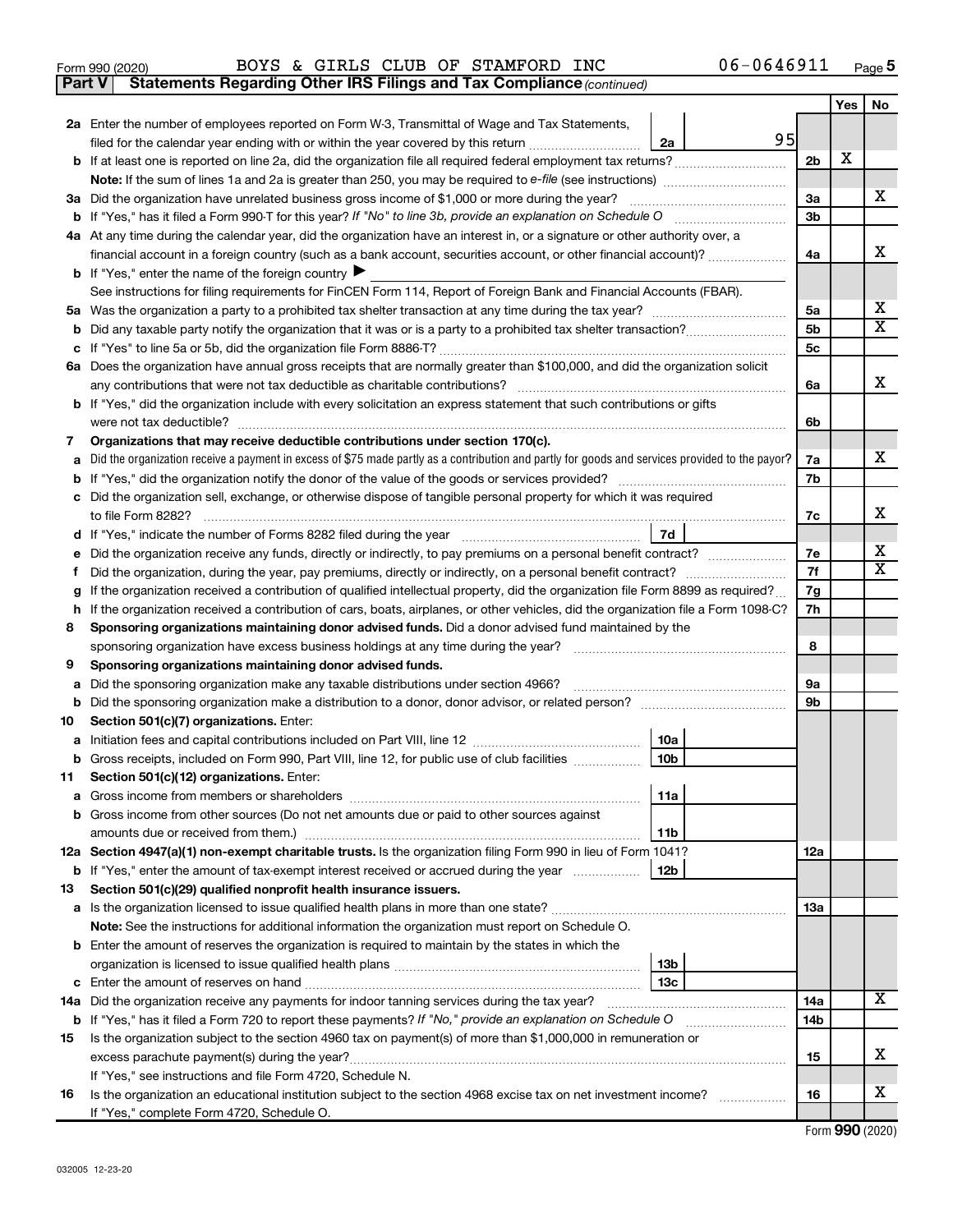- 
- Form 990 (2020) Page BOYS & GIRLS CLUB OF STAMFORD INC 06-0646911

**Part V** Statements Regarding Other IRS Filings and Tax Compliance (continued)

|         |                                                                                                                                                   |                | Yes | No                           |  |  |
|---------|---------------------------------------------------------------------------------------------------------------------------------------------------|----------------|-----|------------------------------|--|--|
|         | 2a Enter the number of employees reported on Form W-3, Transmittal of Wage and Tax Statements,                                                    |                |     |                              |  |  |
|         | 95<br>filed for the calendar year ending with or within the year covered by this return<br>2a                                                     |                |     |                              |  |  |
|         |                                                                                                                                                   | 2 <sub>b</sub> | х   |                              |  |  |
|         |                                                                                                                                                   |                |     |                              |  |  |
|         | 3a Did the organization have unrelated business gross income of \$1,000 or more during the year?                                                  | 3a             |     | x                            |  |  |
|         |                                                                                                                                                   | 3b             |     |                              |  |  |
|         | 4a At any time during the calendar year, did the organization have an interest in, or a signature or other authority over, a                      |                |     | х                            |  |  |
|         | financial account in a foreign country (such as a bank account, securities account, or other financial account)?                                  | 4a             |     |                              |  |  |
|         | <b>b</b> If "Yes," enter the name of the foreign country $\triangleright$                                                                         |                |     |                              |  |  |
|         | See instructions for filing requirements for FinCEN Form 114, Report of Foreign Bank and Financial Accounts (FBAR).                               |                |     |                              |  |  |
|         |                                                                                                                                                   | 5a<br>5b       |     | х<br>$\overline{\textbf{X}}$ |  |  |
|         |                                                                                                                                                   | 5 <sub>c</sub> |     |                              |  |  |
|         | 6a Does the organization have annual gross receipts that are normally greater than \$100,000, and did the organization solicit                    |                |     |                              |  |  |
|         |                                                                                                                                                   | 6a             |     | x                            |  |  |
|         | <b>b</b> If "Yes," did the organization include with every solicitation an express statement that such contributions or gifts                     |                |     |                              |  |  |
|         |                                                                                                                                                   | 6b             |     |                              |  |  |
| 7       | Organizations that may receive deductible contributions under section 170(c).                                                                     |                |     |                              |  |  |
|         | a Did the organization receive a payment in excess of \$75 made partly as a contribution and partly for goods and services provided to the payor? | 7a             |     | x                            |  |  |
|         |                                                                                                                                                   | 7b             |     |                              |  |  |
|         | c Did the organization sell, exchange, or otherwise dispose of tangible personal property for which it was required                               |                |     |                              |  |  |
|         |                                                                                                                                                   | 7c             |     | х                            |  |  |
|         | 7d                                                                                                                                                |                |     |                              |  |  |
| е       | Did the organization receive any funds, directly or indirectly, to pay premiums on a personal benefit contract?                                   | 7e             |     | х                            |  |  |
|         |                                                                                                                                                   | 7f             |     | X                            |  |  |
| g       | If the organization received a contribution of qualified intellectual property, did the organization file Form 8899 as required?                  | 7g             |     |                              |  |  |
| h.      | If the organization received a contribution of cars, boats, airplanes, or other vehicles, did the organization file a Form 1098-C?                | 7h             |     |                              |  |  |
| 8       | Sponsoring organizations maintaining donor advised funds. Did a donor advised fund maintained by the                                              |                |     |                              |  |  |
|         |                                                                                                                                                   | 8              |     |                              |  |  |
| 9       | Sponsoring organizations maintaining donor advised funds.                                                                                         |                |     |                              |  |  |
| а       | Did the sponsoring organization make any taxable distributions under section 4966?                                                                | 9а             |     |                              |  |  |
| b       |                                                                                                                                                   | 9b             |     |                              |  |  |
| 10      | Section 501(c)(7) organizations. Enter:                                                                                                           |                |     |                              |  |  |
|         | 10a<br>10 <sub>b</sub><br>Gross receipts, included on Form 990, Part VIII, line 12, for public use of club facilities                             |                |     |                              |  |  |
| b<br>11 | Section 501(c)(12) organizations. Enter:                                                                                                          |                |     |                              |  |  |
|         | 11a<br><b>a</b> Gross income from members or shareholders                                                                                         |                |     |                              |  |  |
|         | <b>b</b> Gross income from other sources (Do not net amounts due or paid to other sources against                                                 |                |     |                              |  |  |
|         | 11b                                                                                                                                               |                |     |                              |  |  |
|         | 12a Section 4947(a)(1) non-exempt charitable trusts. Is the organization filing Form 990 in lieu of Form 1041?                                    | 12a            |     |                              |  |  |
|         | 12b<br><b>b</b> If "Yes," enter the amount of tax-exempt interest received or accrued during the year                                             |                |     |                              |  |  |
| 13      | Section 501(c)(29) qualified nonprofit health insurance issuers.                                                                                  |                |     |                              |  |  |
|         |                                                                                                                                                   | 13a            |     |                              |  |  |
|         | Note: See the instructions for additional information the organization must report on Schedule O.                                                 |                |     |                              |  |  |
|         | <b>b</b> Enter the amount of reserves the organization is required to maintain by the states in which the                                         |                |     |                              |  |  |
|         | 13 <sub>b</sub>                                                                                                                                   |                |     |                              |  |  |
|         | 13с                                                                                                                                               |                |     |                              |  |  |
|         | 14a Did the organization receive any payments for indoor tanning services during the tax year?                                                    | 14a            |     | x                            |  |  |
|         | <b>b</b> If "Yes," has it filed a Form 720 to report these payments? If "No," provide an explanation on Schedule O                                | 14b            |     |                              |  |  |
| 15      | Is the organization subject to the section 4960 tax on payment(s) of more than \$1,000,000 in remuneration or                                     |                |     |                              |  |  |
|         |                                                                                                                                                   | 15             |     | х                            |  |  |
|         | If "Yes," see instructions and file Form 4720, Schedule N.                                                                                        |                |     |                              |  |  |
| 16      | Is the organization an educational institution subject to the section 4968 excise tax on net investment income?                                   | 16             |     | х                            |  |  |
|         | If "Yes," complete Form 4720, Schedule O.                                                                                                         |                |     |                              |  |  |

Form (2020) **990**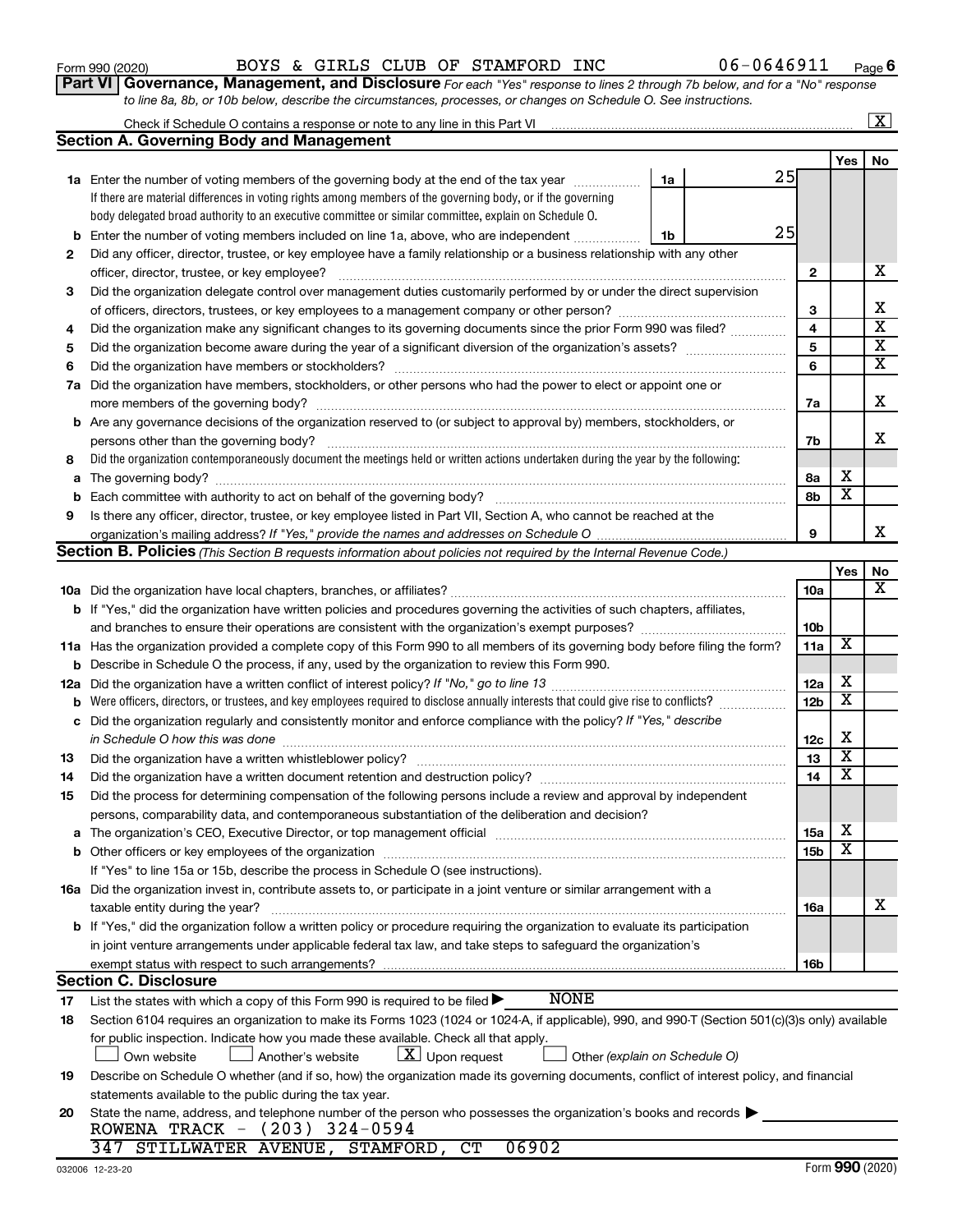| 032006 12-23-20 |
|-----------------|
|                 |

|  | Form 990 (2020) |
|--|-----------------|

|     | <b>Section A. Governing Body and Management</b>                                                                                                                                                          |    |    |                 |                         |                               |  |  |  |
|-----|----------------------------------------------------------------------------------------------------------------------------------------------------------------------------------------------------------|----|----|-----------------|-------------------------|-------------------------------|--|--|--|
|     |                                                                                                                                                                                                          |    |    |                 | Yes                     | No                            |  |  |  |
|     | <b>1a</b> Enter the number of voting members of the governing body at the end of the tax year                                                                                                            | 1a | 25 |                 |                         |                               |  |  |  |
|     | If there are material differences in voting rights among members of the governing body, or if the governing                                                                                              |    |    |                 |                         |                               |  |  |  |
|     | body delegated broad authority to an executive committee or similar committee, explain on Schedule O.                                                                                                    |    |    |                 |                         |                               |  |  |  |
| b   | Enter the number of voting members included on line 1a, above, who are independent                                                                                                                       | 1b | 25 |                 |                         |                               |  |  |  |
| 2   | Did any officer, director, trustee, or key employee have a family relationship or a business relationship with any other                                                                                 |    |    |                 |                         |                               |  |  |  |
|     | officer, director, trustee, or key employee?                                                                                                                                                             |    |    | 2               |                         | x                             |  |  |  |
| 3   | Did the organization delegate control over management duties customarily performed by or under the direct supervision                                                                                    |    |    |                 |                         |                               |  |  |  |
|     |                                                                                                                                                                                                          |    |    | 3               |                         | х                             |  |  |  |
| 4   | Did the organization make any significant changes to its governing documents since the prior Form 990 was filed?                                                                                         |    |    | 4               |                         | $\overline{\textbf{x}}$       |  |  |  |
| 5   | Did the organization become aware during the year of a significant diversion of the organization's assets?                                                                                               |    |    | 5               |                         | $\overline{\textbf{X}}$       |  |  |  |
| 6   | Did the organization have members or stockholders?                                                                                                                                                       |    |    | 6               |                         | $\overline{\mathbf{X}}$       |  |  |  |
| 7a  | Did the organization have members, stockholders, or other persons who had the power to elect or appoint one or                                                                                           |    |    |                 |                         |                               |  |  |  |
|     | more members of the governing body?                                                                                                                                                                      |    |    | 7a              |                         | х                             |  |  |  |
|     | <b>b</b> Are any governance decisions of the organization reserved to (or subject to approval by) members, stockholders, or                                                                              |    |    |                 |                         |                               |  |  |  |
|     | persons other than the governing body?                                                                                                                                                                   |    |    | 7b              |                         | x                             |  |  |  |
| 8   | Did the organization contemporaneously document the meetings held or written actions undertaken during the year by the following:                                                                        |    |    |                 | х                       |                               |  |  |  |
| a   |                                                                                                                                                                                                          |    |    | 8а              | $\overline{\textbf{x}}$ |                               |  |  |  |
| b   |                                                                                                                                                                                                          |    |    | 8b              |                         |                               |  |  |  |
| 9   | Is there any officer, director, trustee, or key employee listed in Part VII, Section A, who cannot be reached at the                                                                                     |    |    |                 |                         | x                             |  |  |  |
|     |                                                                                                                                                                                                          |    |    | 9               |                         |                               |  |  |  |
|     | <b>Section B. Policies</b> (This Section B requests information about policies not required by the Internal Revenue Code.)                                                                               |    |    |                 |                         |                               |  |  |  |
|     |                                                                                                                                                                                                          |    |    | 10a             | Yes                     | No<br>$\overline{\mathbf{x}}$ |  |  |  |
|     | b If "Yes," did the organization have written policies and procedures governing the activities of such chapters, affiliates,                                                                             |    |    |                 |                         |                               |  |  |  |
|     |                                                                                                                                                                                                          |    |    | 10 <sub>b</sub> |                         |                               |  |  |  |
|     | 11a Has the organization provided a complete copy of this Form 990 to all members of its governing body before filing the form?                                                                          |    |    | 11a             | X                       |                               |  |  |  |
| b   | Describe in Schedule O the process, if any, used by the organization to review this Form 990.                                                                                                            |    |    |                 |                         |                               |  |  |  |
| 12a |                                                                                                                                                                                                          |    |    | 12a             | x                       |                               |  |  |  |
| b   |                                                                                                                                                                                                          |    |    |                 |                         |                               |  |  |  |
| с   | Did the organization regularly and consistently monitor and enforce compliance with the policy? If "Yes," describe                                                                                       |    |    | 12 <sub>b</sub> | X                       |                               |  |  |  |
|     | in Schedule O how this was done                                                                                                                                                                          |    |    | 12c             | x                       |                               |  |  |  |
| 13  |                                                                                                                                                                                                          |    |    | 13              | $\overline{\mathbf{X}}$ |                               |  |  |  |
| 14  |                                                                                                                                                                                                          |    |    | 14              | $\overline{\mathbf{X}}$ |                               |  |  |  |
| 15  | Did the process for determining compensation of the following persons include a review and approval by independent                                                                                       |    |    |                 |                         |                               |  |  |  |
|     | persons, comparability data, and contemporaneous substantiation of the deliberation and decision?                                                                                                        |    |    |                 |                         |                               |  |  |  |
|     | The organization's CEO, Executive Director, or top management official manufactured content of the organization's CEO, Executive Director, or top management official manufactured in the organization's |    |    | 15a             | X                       |                               |  |  |  |
|     | <b>b</b> Other officers or key employees of the organization                                                                                                                                             |    |    | 15b             | $\overline{\texttt{x}}$ |                               |  |  |  |
|     | If "Yes" to line 15a or 15b, describe the process in Schedule O (see instructions).                                                                                                                      |    |    |                 |                         |                               |  |  |  |
|     | 16a Did the organization invest in, contribute assets to, or participate in a joint venture or similar arrangement with a                                                                                |    |    |                 |                         |                               |  |  |  |
|     | taxable entity during the year?                                                                                                                                                                          |    |    | 16a             |                         | х                             |  |  |  |
|     | b If "Yes," did the organization follow a written policy or procedure requiring the organization to evaluate its participation                                                                           |    |    |                 |                         |                               |  |  |  |
|     | in joint venture arrangements under applicable federal tax law, and take steps to safeguard the organization's                                                                                           |    |    |                 |                         |                               |  |  |  |
|     | exempt status with respect to such arrangements?                                                                                                                                                         |    |    | 16b             |                         |                               |  |  |  |
|     | <b>Section C. Disclosure</b>                                                                                                                                                                             |    |    |                 |                         |                               |  |  |  |
| 17  | <b>NONE</b><br>List the states with which a copy of this Form 990 is required to be filed >                                                                                                              |    |    |                 |                         |                               |  |  |  |
| 18  | Section 6104 requires an organization to make its Forms 1023 (1024 or 1024-A, if applicable), 990, and 990-T (Section 501(c)(3)s only) available                                                         |    |    |                 |                         |                               |  |  |  |
|     | for public inspection. Indicate how you made these available. Check all that apply.                                                                                                                      |    |    |                 |                         |                               |  |  |  |
|     | $\lfloor \underline{X} \rfloor$ Upon request<br>Own website<br>Another's website<br>Other (explain on Schedule O)                                                                                        |    |    |                 |                         |                               |  |  |  |
| 19  | Describe on Schedule O whether (and if so, how) the organization made its governing documents, conflict of interest policy, and financial                                                                |    |    |                 |                         |                               |  |  |  |
|     | statements available to the public during the tax year.                                                                                                                                                  |    |    |                 |                         |                               |  |  |  |
| 20  | State the name, address, and telephone number of the person who possesses the organization's books and records                                                                                           |    |    |                 |                         |                               |  |  |  |
|     | ROWENA TRACK - (203) 324-0594                                                                                                                                                                            |    |    |                 |                         |                               |  |  |  |
|     | 06902<br>347 STILLWATER AVENUE, STAMFORD, CT                                                                                                                                                             |    |    |                 |                         |                               |  |  |  |

| Form 990 (2020) |  |  |  |  | BOYS & GIRLS CLUB OF STAMFORD INC |  | 06-0646911 | Page |  |
|-----------------|--|--|--|--|-----------------------------------|--|------------|------|--|
|-----------------|--|--|--|--|-----------------------------------|--|------------|------|--|

Check if Schedule O contains a response or note to any line in this Part VI

*to line 8a, 8b, or 10b below, describe the circumstances, processes, or changes on Schedule O. See instructions.*

**Part VI** Governance, Management, and Disclosure For each "Yes" response to lines 2 through 7b below, and for a "No" response

**6**

 $\boxed{\text{X}}$ 

| ጋ (2020) |  |
|----------|--|
|----------|--|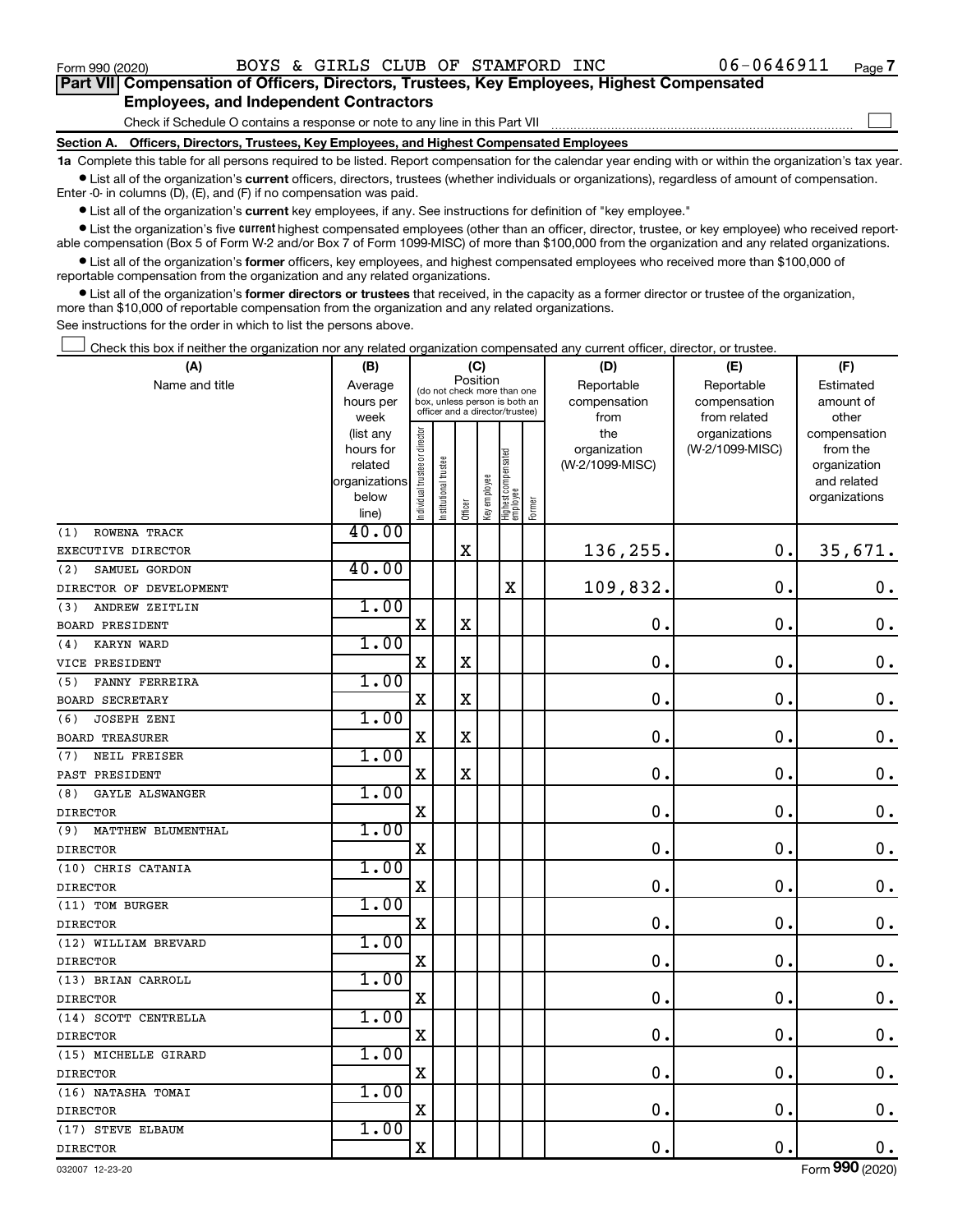$\Box$ 

| Part VII Compensation of Officers, Directors, Trustees, Key Employees, Highest Compensated |
|--------------------------------------------------------------------------------------------|
| <b>Employees, and Independent Contractors</b>                                              |

Check if Schedule O contains a response or note to any line in this Part VII

**Section A. Officers, Directors, Trustees, Key Employees, and Highest Compensated Employees**

**1a**  Complete this table for all persons required to be listed. Report compensation for the calendar year ending with or within the organization's tax year.  $\bullet$  List all of the organization's current officers, directors, trustees (whether individuals or organizations), regardless of amount of compensation.

Enter -0- in columns (D), (E), and (F) if no compensation was paid.

**•** List all of the organization's current key employees, if any. See instructions for definition of "key employee."

• List the organization's five *current* highest compensated employees (other than an officer, director, trustee, or key employee) who received reportable compensation (Box 5 of Form W-2 and/or Box 7 of Form 1099-MISC) of more than \$100,000 from the organization and any related organizations.

 $\bullet$  List all of the organization's former officers, key employees, and highest compensated employees who received more than \$100,000 of reportable compensation from the organization and any related organizations.

**•** List all of the organization's former directors or trustees that received, in the capacity as a former director or trustee of the organization, more than \$10,000 of reportable compensation from the organization and any related organizations.

See instructions for the order in which to list the persons above.

Check this box if neither the organization nor any related organization compensated any current officer, director, or trustee.  $\Box$ 

| (A)                       | (B)                    |                                                                          |                                 | (C)         |              |                                 |        | (D)                        | (E)                        | (F)                          |
|---------------------------|------------------------|--------------------------------------------------------------------------|---------------------------------|-------------|--------------|---------------------------------|--------|----------------------------|----------------------------|------------------------------|
| Name and title            | Average<br>hours per   | Position<br>(do not check more than one<br>box, unless person is both an |                                 |             |              |                                 |        | Reportable<br>compensation | Reportable<br>compensation | Estimated<br>amount of       |
|                           | week                   |                                                                          | officer and a director/trustee) |             |              |                                 |        | from                       | from related               | other                        |
|                           | (list any              |                                                                          |                                 |             |              |                                 |        | the                        | organizations              | compensation                 |
|                           | hours for              |                                                                          |                                 |             |              |                                 |        | organization               | (W-2/1099-MISC)            | from the                     |
|                           | related                |                                                                          | trustee                         |             |              |                                 |        | (W-2/1099-MISC)            |                            | organization                 |
|                           | organizations<br>below |                                                                          |                                 |             |              |                                 |        |                            |                            | and related<br>organizations |
|                           | line)                  | Individual trustee or director                                           | Institutional t                 | Officer     | Key employee | Highest compensated<br>employee | Former |                            |                            |                              |
| ROWENA TRACK<br>(1)       | 40.00                  |                                                                          |                                 |             |              |                                 |        |                            |                            |                              |
| EXECUTIVE DIRECTOR        |                        |                                                                          |                                 | $\mathbf X$ |              |                                 |        | 136,255.                   | $\mathbf 0$ .              | 35,671.                      |
| (2)<br>SAMUEL GORDON      | 40.00                  |                                                                          |                                 |             |              |                                 |        |                            |                            |                              |
| DIRECTOR OF DEVELOPMENT   |                        |                                                                          |                                 |             |              | $\rm X$                         |        | 109,832.                   | $\mathbf 0$ .              | $\boldsymbol{0}$ .           |
| ANDREW ZEITLIN<br>(3)     | 1.00                   |                                                                          |                                 |             |              |                                 |        |                            |                            |                              |
| <b>BOARD PRESIDENT</b>    |                        | $\mathbf X$                                                              |                                 | $\mathbf X$ |              |                                 |        | $\mathbf 0$ .              | $\mathbf 0$ .              | $\boldsymbol{0}$ .           |
| <b>KARYN WARD</b><br>(4)  | 1.00                   |                                                                          |                                 |             |              |                                 |        |                            |                            |                              |
| VICE PRESIDENT            |                        | $\mathbf X$                                                              |                                 | X           |              |                                 |        | $\mathbf 0$ .              | $\mathbf 0$ .              | $\mathbf 0$ .                |
| FANNY FERREIRA<br>(5)     | 1.00                   |                                                                          |                                 |             |              |                                 |        |                            |                            |                              |
| <b>BOARD SECRETARY</b>    |                        | $\mathbf X$                                                              |                                 | $\mathbf X$ |              |                                 |        | $\mathbf 0$ .              | $\mathbf 0$ .              | $\mathbf 0$ .                |
| <b>JOSEPH ZENI</b><br>(6) | 1.00                   |                                                                          |                                 |             |              |                                 |        |                            |                            |                              |
| <b>BOARD TREASURER</b>    |                        | $\mathbf X$                                                              |                                 | X           |              |                                 |        | 0.                         | $\mathbf 0$ .              | $0$ .                        |
| (7)<br>NEIL FREISER       | 1.00                   |                                                                          |                                 |             |              |                                 |        |                            |                            |                              |
| PAST PRESIDENT            |                        | $\mathbf X$                                                              |                                 | $\mathbf X$ |              |                                 |        | 0.                         | $\mathbf 0$ .              | $\mathbf 0$ .                |
| (8)<br>GAYLE ALSWANGER    | 1.00                   |                                                                          |                                 |             |              |                                 |        |                            |                            |                              |
| <b>DIRECTOR</b>           |                        | $\overline{\mathbf{X}}$                                                  |                                 |             |              |                                 |        | $\mathbf 0$ .              | $\mathbf 0$ .              | $\mathbf 0$ .                |
| MATTHEW BLUMENTHAL<br>(9) | 1.00                   |                                                                          |                                 |             |              |                                 |        |                            |                            |                              |
| <b>DIRECTOR</b>           |                        | X                                                                        |                                 |             |              |                                 |        | 0.                         | $\mathbf 0$ .              | $\boldsymbol{0}$ .           |
| (10) CHRIS CATANIA        | 1.00                   |                                                                          |                                 |             |              |                                 |        |                            |                            |                              |
| <b>DIRECTOR</b>           |                        | X                                                                        |                                 |             |              |                                 |        | $\mathbf 0$                | $\mathbf 0$                | $\mathbf 0$ .                |
| (11) TOM BURGER           | 1.00                   |                                                                          |                                 |             |              |                                 |        |                            |                            |                              |
| <b>DIRECTOR</b>           |                        | $\mathbf X$                                                              |                                 |             |              |                                 |        | 0.                         | $\mathbf 0$ .              | $\boldsymbol{0}$ .           |
| (12) WILLIAM BREVARD      | 1.00                   |                                                                          |                                 |             |              |                                 |        |                            |                            |                              |
| <b>DIRECTOR</b>           |                        | $\mathbf X$                                                              |                                 |             |              |                                 |        | $\mathbf 0$ .              | $\mathbf 0$ .              | $\mathbf 0$ .                |
| (13) BRIAN CARROLL        | 1.00                   |                                                                          |                                 |             |              |                                 |        |                            |                            |                              |
| <b>DIRECTOR</b>           |                        | $\mathbf X$                                                              |                                 |             |              |                                 |        | 0.                         | $\mathbf 0$ .              | $\mathbf 0$ .                |
| (14) SCOTT CENTRELLA      | 1.00                   |                                                                          |                                 |             |              |                                 |        |                            |                            |                              |
| <b>DIRECTOR</b>           |                        | $\mathbf x$                                                              |                                 |             |              |                                 |        | $\mathbf 0$ .              | $\mathbf 0$ .              | $\mathbf 0$ .                |
| (15) MICHELLE GIRARD      | 1.00                   |                                                                          |                                 |             |              |                                 |        |                            |                            |                              |
| <b>DIRECTOR</b>           |                        | $\mathbf x$                                                              |                                 |             |              |                                 |        | $\mathbf 0$ .              | $\mathbf 0$ .              | 0.                           |
| (16) NATASHA TOMAI        | 1.00                   |                                                                          |                                 |             |              |                                 |        |                            |                            |                              |
| <b>DIRECTOR</b>           |                        | $\mathbf x$                                                              |                                 |             |              |                                 |        | 0.                         | $\mathbf 0$ .              | $\mathbf 0$ .                |
| (17) STEVE ELBAUM         | 1.00                   |                                                                          |                                 |             |              |                                 |        |                            |                            |                              |
| <b>DIRECTOR</b>           |                        | $\mathbf X$                                                              |                                 |             |              |                                 |        | 0.                         | $\mathbf 0$ .              | $\mathbf 0$ .                |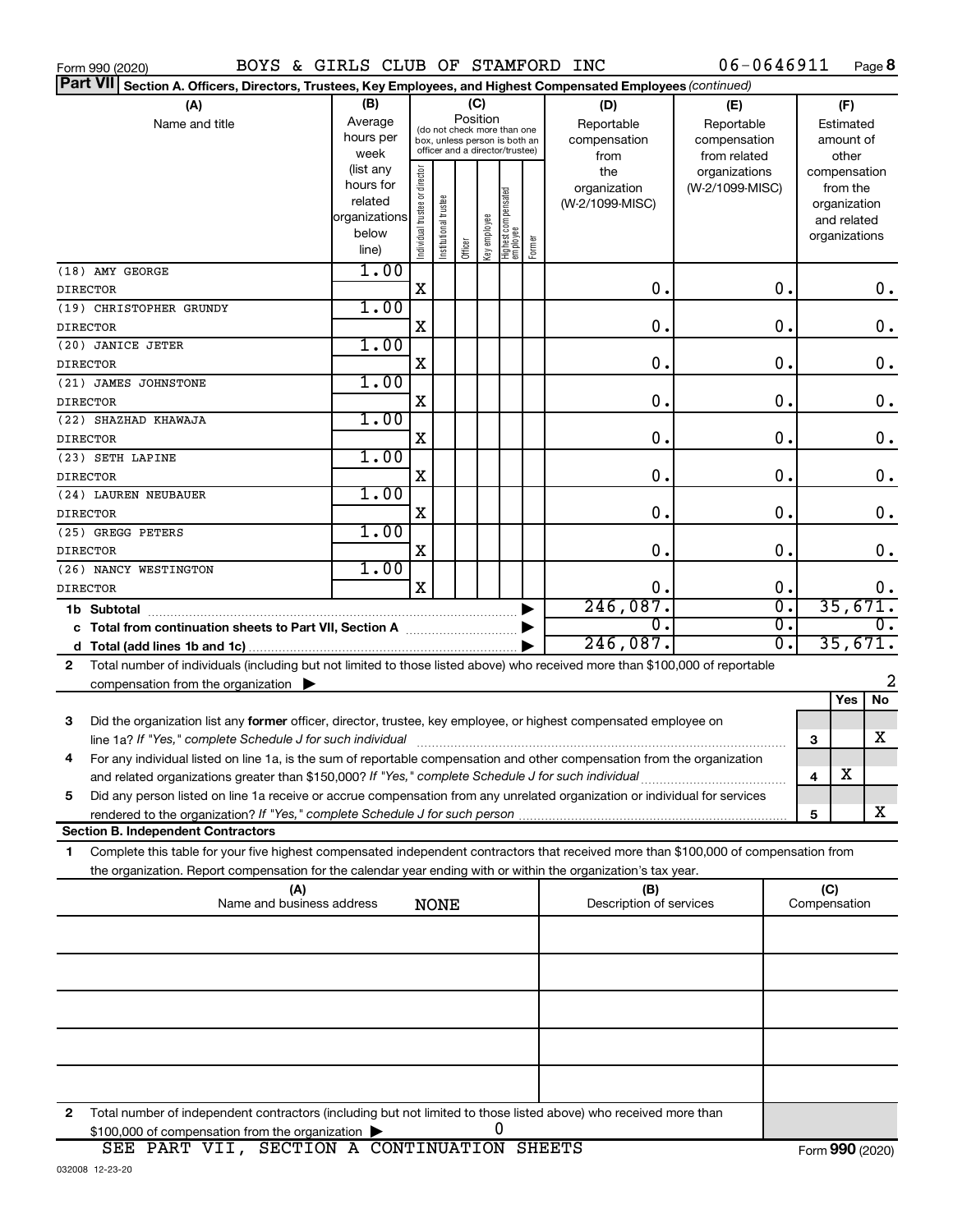| BOYS & GIRLS CLUB OF STAMFORD INC<br>Form 990 (2020)                                                                                      |                      |                                |                       |          |              |                                  |        |                         | $06 - 0646911$                    |                         | Page 8                      |
|-------------------------------------------------------------------------------------------------------------------------------------------|----------------------|--------------------------------|-----------------------|----------|--------------|----------------------------------|--------|-------------------------|-----------------------------------|-------------------------|-----------------------------|
| Part VII Section A. Officers, Directors, Trustees, Key Employees, and Highest Compensated Employees (continued)                           |                      |                                |                       |          |              |                                  |        |                         |                                   |                         |                             |
| (A)                                                                                                                                       | (B)                  | (C)                            |                       |          |              |                                  |        | (D)                     | (E)                               |                         | (F)                         |
| Name and title                                                                                                                            | Average              |                                |                       | Position |              | (do not check more than one      |        | Reportable              | Reportable                        |                         | Estimated                   |
|                                                                                                                                           | hours per            |                                |                       |          |              | box, unless person is both an    |        | compensation            | compensation                      |                         | amount of                   |
|                                                                                                                                           | week                 |                                |                       |          |              | officer and a director/trustee)  |        | from                    | from related                      |                         | other                       |
|                                                                                                                                           | (list any            |                                |                       |          |              |                                  |        | the                     | organizations                     |                         | compensation                |
|                                                                                                                                           | hours for<br>related |                                |                       |          |              |                                  |        | organization            | (W-2/1099-MISC)                   |                         | from the                    |
|                                                                                                                                           | organizations        |                                |                       |          |              |                                  |        | (W-2/1099-MISC)         |                                   |                         | organization<br>and related |
|                                                                                                                                           | below                |                                |                       |          |              |                                  |        |                         |                                   |                         | organizations               |
|                                                                                                                                           | line)                | Individual trustee or director | Institutional trustee | Officer  | key employee | Highest compensated<br> employee | Former |                         |                                   |                         |                             |
| (18) AMY GEORGE                                                                                                                           | 1.00                 |                                |                       |          |              |                                  |        |                         |                                   |                         |                             |
| <b>DIRECTOR</b>                                                                                                                           |                      | $\mathbf X$                    |                       |          |              |                                  |        | 0.                      | 0.                                |                         | 0.                          |
| (19) CHRISTOPHER GRUNDY                                                                                                                   | 1.00                 |                                |                       |          |              |                                  |        |                         |                                   |                         |                             |
| <b>DIRECTOR</b>                                                                                                                           |                      | $\mathbf X$                    |                       |          |              |                                  |        | 0.                      | 0.                                |                         | 0.                          |
| (20) JANICE JETER                                                                                                                         | 1.00                 |                                |                       |          |              |                                  |        |                         |                                   |                         |                             |
| <b>DIRECTOR</b>                                                                                                                           |                      | $\mathbf X$                    |                       |          |              |                                  |        | 0.                      | 0.                                |                         | 0.                          |
| (21) JAMES JOHNSTONE                                                                                                                      | 1.00                 |                                |                       |          |              |                                  |        |                         |                                   |                         |                             |
| <b>DIRECTOR</b>                                                                                                                           |                      | $\mathbf X$                    |                       |          |              |                                  |        | 0.                      | 0.                                |                         | $0$ .                       |
| (22) SHAZHAD KHAWAJA                                                                                                                      | 1.00                 |                                |                       |          |              |                                  |        |                         |                                   |                         |                             |
| <b>DIRECTOR</b>                                                                                                                           |                      | $\mathbf X$                    |                       |          |              |                                  |        | 0.                      | 0.                                |                         | 0.                          |
| (23) SETH LAPINE                                                                                                                          | 1.00                 |                                |                       |          |              |                                  |        |                         |                                   |                         |                             |
| <b>DIRECTOR</b>                                                                                                                           |                      | $\mathbf X$                    |                       |          |              |                                  |        | 0.                      | 0.                                |                         | $0$ .                       |
| (24) LAUREN NEUBAUER                                                                                                                      | 1.00                 |                                |                       |          |              |                                  |        |                         |                                   |                         |                             |
| <b>DIRECTOR</b>                                                                                                                           |                      | $\mathbf X$                    |                       |          |              |                                  |        | 0.                      | 0.                                |                         | 0.                          |
| (25) GREGG PETERS                                                                                                                         | 1.00                 |                                |                       |          |              |                                  |        |                         |                                   |                         |                             |
| <b>DIRECTOR</b>                                                                                                                           |                      | $\mathbf X$                    |                       |          |              |                                  |        | 0.                      | $\mathbf 0$ .                     |                         | 0.                          |
| (26) NANCY WESTINGTON                                                                                                                     | 1.00                 |                                |                       |          |              |                                  |        |                         |                                   |                         |                             |
| <b>DIRECTOR</b>                                                                                                                           |                      | $\mathbf X$                    |                       |          |              |                                  |        | Ο.                      | 0.<br>$\overline{\mathfrak{o}}$ . |                         | $0$ .<br>35,671.            |
| 1b Subtotal                                                                                                                               |                      |                                |                       |          |              |                                  |        | 246,087.<br>О.          | $\overline{0}$ .                  |                         | 0.                          |
|                                                                                                                                           |                      |                                |                       |          |              |                                  |        | 246,087.                | $\overline{0}$ .                  |                         | 35,671.                     |
|                                                                                                                                           |                      |                                |                       |          |              |                                  |        |                         |                                   |                         |                             |
| Total number of individuals (including but not limited to those listed above) who received more than \$100,000 of reportable<br>2         |                      |                                |                       |          |              |                                  |        |                         |                                   |                         | 2                           |
| compensation from the organization $\blacktriangleright$                                                                                  |                      |                                |                       |          |              |                                  |        |                         |                                   |                         | No<br>Yes                   |
|                                                                                                                                           |                      |                                |                       |          |              |                                  |        |                         |                                   |                         |                             |
| 3<br>Did the organization list any former officer, director, trustee, key employee, or highest compensated employee on                    |                      |                                |                       |          |              |                                  |        |                         |                                   |                         | х                           |
| line 1a? If "Yes," complete Schedule J for such individual [11] manufacture manufacture in the set of the set o                           |                      |                                |                       |          |              |                                  |        |                         |                                   | 3                       |                             |
| For any individual listed on line 1a, is the sum of reportable compensation and other compensation from the organization<br>4             |                      |                                |                       |          |              |                                  |        |                         |                                   | $\overline{\mathbf{4}}$ | X                           |
| Did any person listed on line 1a receive or accrue compensation from any unrelated organization or individual for services<br>5           |                      |                                |                       |          |              |                                  |        |                         |                                   |                         |                             |
|                                                                                                                                           |                      |                                |                       |          |              |                                  |        |                         |                                   | $\sqrt{5}$              | X                           |
| <b>Section B. Independent Contractors</b>                                                                                                 |                      |                                |                       |          |              |                                  |        |                         |                                   |                         |                             |
| Complete this table for your five highest compensated independent contractors that received more than \$100,000 of compensation from<br>1 |                      |                                |                       |          |              |                                  |        |                         |                                   |                         |                             |
| the organization. Report compensation for the calendar year ending with or within the organization's tax year.                            |                      |                                |                       |          |              |                                  |        |                         |                                   |                         |                             |
| (A)                                                                                                                                       |                      |                                |                       |          |              |                                  |        | (B)                     |                                   | (C)                     |                             |
| Name and business address                                                                                                                 |                      |                                | <b>NONE</b>           |          |              |                                  |        | Description of services |                                   | Compensation            |                             |
|                                                                                                                                           |                      |                                |                       |          |              |                                  |        |                         |                                   |                         |                             |
|                                                                                                                                           |                      |                                |                       |          |              |                                  |        |                         |                                   |                         |                             |
|                                                                                                                                           |                      |                                |                       |          |              |                                  |        |                         |                                   |                         |                             |
|                                                                                                                                           |                      |                                |                       |          |              |                                  |        |                         |                                   |                         |                             |
|                                                                                                                                           |                      |                                |                       |          |              |                                  |        |                         |                                   |                         |                             |
|                                                                                                                                           |                      |                                |                       |          |              |                                  |        |                         |                                   |                         |                             |
|                                                                                                                                           |                      |                                |                       |          |              |                                  |        |                         |                                   |                         |                             |
|                                                                                                                                           |                      |                                |                       |          |              |                                  |        |                         |                                   |                         |                             |
|                                                                                                                                           |                      |                                |                       |          |              |                                  |        |                         |                                   |                         |                             |
| 2<br>Total number of independent contractors (including but not limited to those listed above) who received more than                     |                      |                                |                       |          |              |                                  |        |                         |                                   |                         |                             |
| \$100,000 of compensation from the organization                                                                                           |                      |                                |                       |          |              | 0                                |        |                         |                                   |                         |                             |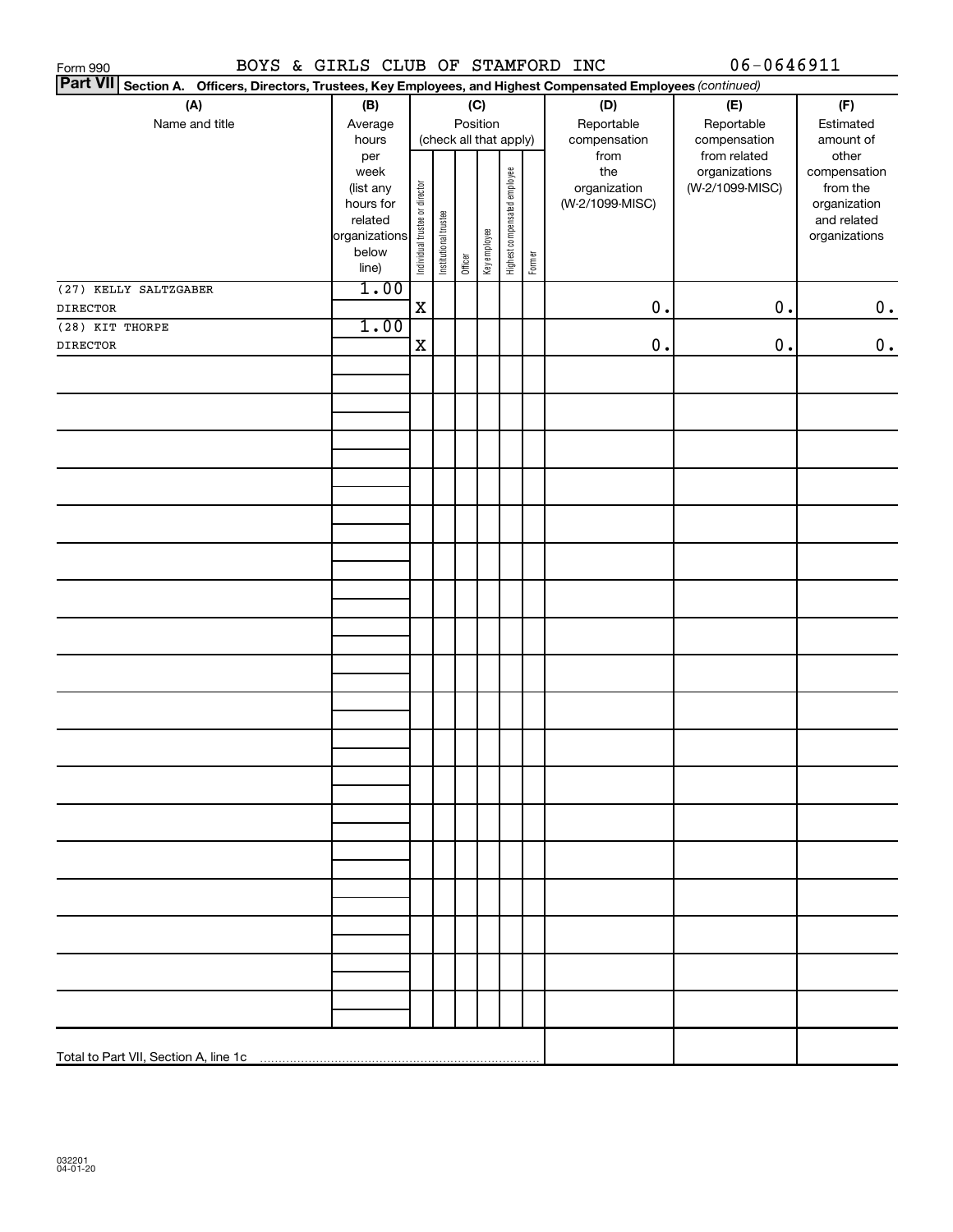| BOYS & GIRLS CLUB OF STAMFORD INC<br>Form 990                                                                   |                        |                                |                       |         |              |                              |        |                                 | 06-0646911      |                             |
|-----------------------------------------------------------------------------------------------------------------|------------------------|--------------------------------|-----------------------|---------|--------------|------------------------------|--------|---------------------------------|-----------------|-----------------------------|
| Part VII Section A. Officers, Directors, Trustees, Key Employees, and Highest Compensated Employees (continued) |                        |                                |                       |         |              |                              |        |                                 |                 |                             |
| (A)                                                                                                             | (B)                    |                                |                       |         | (C)          |                              |        | (D)                             | (E)             | (F)                         |
| Name and title                                                                                                  | Average                |                                | Position              |         |              |                              |        | Reportable                      | Reportable      | Estimated                   |
|                                                                                                                 | hours                  |                                |                       |         |              | (check all that apply)       |        | compensation                    | compensation    | amount of                   |
|                                                                                                                 | per                    |                                |                       |         |              |                              |        | from                            | from related    | other                       |
|                                                                                                                 | week                   |                                |                       |         |              |                              |        | the                             | organizations   | compensation                |
|                                                                                                                 | (list any<br>hours for |                                |                       |         |              |                              |        | organization<br>(W-2/1099-MISC) | (W-2/1099-MISC) | from the                    |
|                                                                                                                 | related                |                                |                       |         |              |                              |        |                                 |                 | organization<br>and related |
|                                                                                                                 | organizations          |                                |                       |         |              |                              |        |                                 |                 | organizations               |
|                                                                                                                 | below                  | Individual trustee or director | Institutional trustee |         | Key employee | Highest compensated employee |        |                                 |                 |                             |
|                                                                                                                 | line)                  |                                |                       | Officer |              |                              | Former |                                 |                 |                             |
| (27) KELLY SALTZGABER                                                                                           | 1.00                   |                                |                       |         |              |                              |        |                                 |                 |                             |
| <b>DIRECTOR</b>                                                                                                 |                        | $\mathbf X$                    |                       |         |              |                              |        | $0$ .                           | $0$ .           | 0.                          |
| (28) KIT THORPE                                                                                                 | 1.00                   |                                |                       |         |              |                              |        |                                 |                 |                             |
| <b>DIRECTOR</b>                                                                                                 |                        | $\mathbf X$                    |                       |         |              |                              |        | $0$ .                           | $0$ .           | $\mathbf 0$ .               |
|                                                                                                                 |                        |                                |                       |         |              |                              |        |                                 |                 |                             |
|                                                                                                                 |                        |                                |                       |         |              |                              |        |                                 |                 |                             |
|                                                                                                                 |                        |                                |                       |         |              |                              |        |                                 |                 |                             |
|                                                                                                                 |                        |                                |                       |         |              |                              |        |                                 |                 |                             |
|                                                                                                                 |                        |                                |                       |         |              |                              |        |                                 |                 |                             |
|                                                                                                                 |                        |                                |                       |         |              |                              |        |                                 |                 |                             |
|                                                                                                                 |                        |                                |                       |         |              |                              |        |                                 |                 |                             |
|                                                                                                                 |                        |                                |                       |         |              |                              |        |                                 |                 |                             |
|                                                                                                                 |                        |                                |                       |         |              |                              |        |                                 |                 |                             |
|                                                                                                                 |                        |                                |                       |         |              |                              |        |                                 |                 |                             |
|                                                                                                                 |                        |                                |                       |         |              |                              |        |                                 |                 |                             |
|                                                                                                                 |                        |                                |                       |         |              |                              |        |                                 |                 |                             |
|                                                                                                                 |                        |                                |                       |         |              |                              |        |                                 |                 |                             |
|                                                                                                                 |                        |                                |                       |         |              |                              |        |                                 |                 |                             |
|                                                                                                                 |                        |                                |                       |         |              |                              |        |                                 |                 |                             |
|                                                                                                                 |                        |                                |                       |         |              |                              |        |                                 |                 |                             |
|                                                                                                                 |                        |                                |                       |         |              |                              |        |                                 |                 |                             |
|                                                                                                                 |                        |                                |                       |         |              |                              |        |                                 |                 |                             |
|                                                                                                                 |                        |                                |                       |         |              |                              |        |                                 |                 |                             |
|                                                                                                                 |                        |                                |                       |         |              |                              |        |                                 |                 |                             |
|                                                                                                                 |                        |                                |                       |         |              |                              |        |                                 |                 |                             |
|                                                                                                                 |                        |                                |                       |         |              |                              |        |                                 |                 |                             |
|                                                                                                                 |                        |                                |                       |         |              |                              |        |                                 |                 |                             |
|                                                                                                                 |                        |                                |                       |         |              |                              |        |                                 |                 |                             |
|                                                                                                                 |                        |                                |                       |         |              |                              |        |                                 |                 |                             |
|                                                                                                                 |                        |                                |                       |         |              |                              |        |                                 |                 |                             |
|                                                                                                                 |                        |                                |                       |         |              |                              |        |                                 |                 |                             |
|                                                                                                                 |                        |                                |                       |         |              |                              |        |                                 |                 |                             |
|                                                                                                                 |                        |                                |                       |         |              |                              |        |                                 |                 |                             |
|                                                                                                                 |                        |                                |                       |         |              |                              |        |                                 |                 |                             |
|                                                                                                                 |                        |                                |                       |         |              |                              |        |                                 |                 |                             |
|                                                                                                                 |                        |                                |                       |         |              |                              |        |                                 |                 |                             |
|                                                                                                                 |                        |                                |                       |         |              |                              |        |                                 |                 |                             |
|                                                                                                                 |                        |                                |                       |         |              |                              |        |                                 |                 |                             |
|                                                                                                                 |                        |                                |                       |         |              |                              |        |                                 |                 |                             |
|                                                                                                                 |                        |                                |                       |         |              |                              |        |                                 |                 |                             |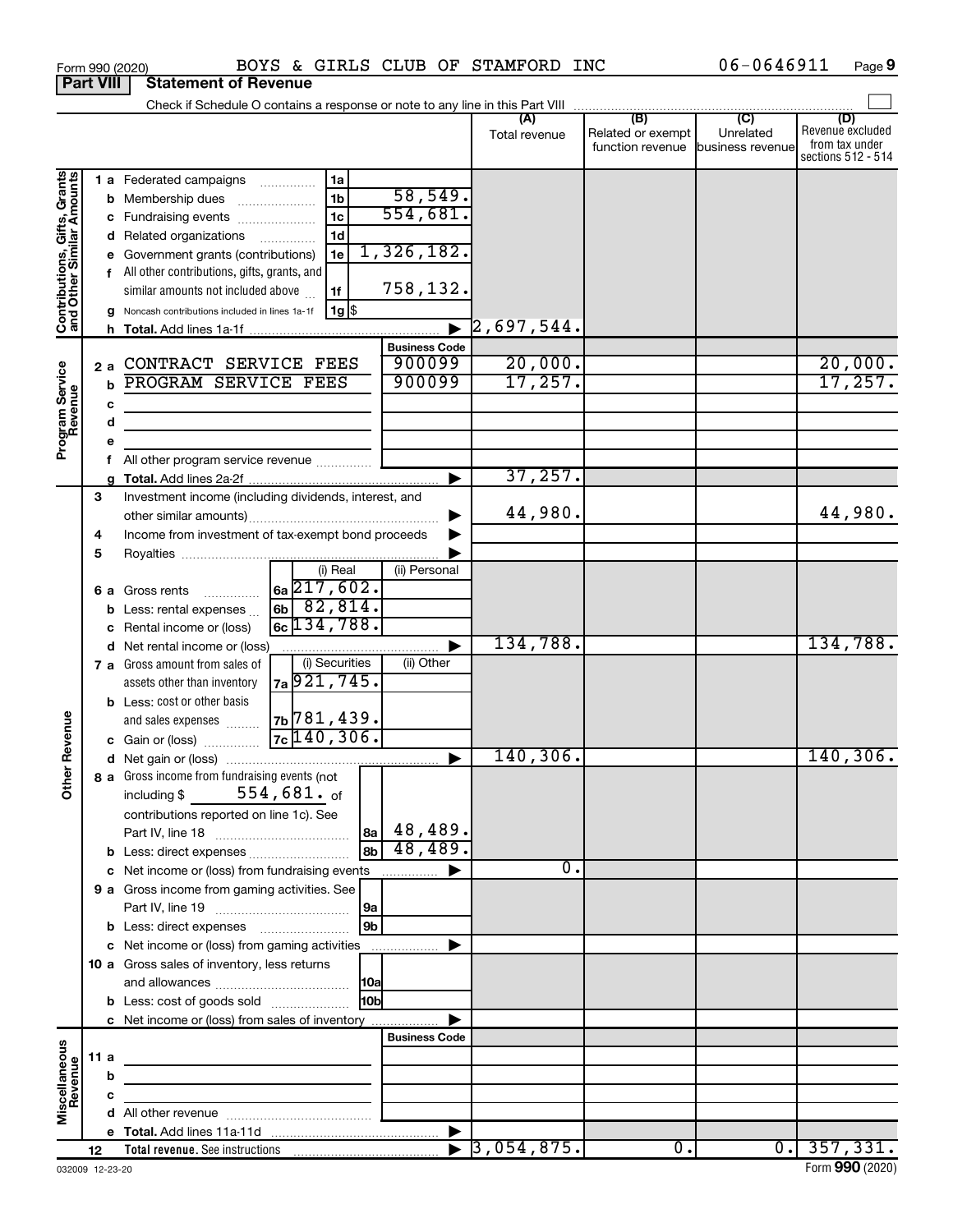|                                                           |                  | Form 990 (2020)                                       | BOYS & GIRLS CLUB OF STAMFORD INC                           |                                |                             |                   | 06-0646911                        | Page 9                  |
|-----------------------------------------------------------|------------------|-------------------------------------------------------|-------------------------------------------------------------|--------------------------------|-----------------------------|-------------------|-----------------------------------|-------------------------|
|                                                           | <b>Part VIII</b> | <b>Statement of Revenue</b>                           |                                                             |                                |                             |                   |                                   |                         |
|                                                           |                  |                                                       |                                                             |                                |                             |                   |                                   |                         |
|                                                           |                  |                                                       |                                                             |                                | Total revenue               | Related or exempt | Unrelated                         | (D)<br>Revenue excluded |
|                                                           |                  |                                                       |                                                             |                                |                             |                   | function revenue business revenue | from tax under          |
|                                                           |                  |                                                       |                                                             |                                |                             |                   |                                   | sections 512 - 514      |
| Contributions, Gifts, Grants<br>and Other Similar Amounts |                  | 1 a Federated campaigns                               | 1a                                                          |                                |                             |                   |                                   |                         |
|                                                           |                  | <b>b</b> Membership dues                              | 1 <sub>b</sub><br>$\ldots \ldots \ldots \ldots \ldots$      | 58,549.<br>554,681.            |                             |                   |                                   |                         |
|                                                           |                  | c Fundraising events                                  | 1 <sub>c</sub>                                              |                                |                             |                   |                                   |                         |
|                                                           |                  | d Related organizations                               | 1 <sub>d</sub>                                              | 1,326,182.                     |                             |                   |                                   |                         |
|                                                           |                  | e Government grants (contributions)                   | 1e                                                          |                                |                             |                   |                                   |                         |
|                                                           |                  | f All other contributions, gifts, grants, and         |                                                             | 758,132.                       |                             |                   |                                   |                         |
|                                                           |                  | similar amounts not included above                    | 1f                                                          |                                |                             |                   |                                   |                         |
|                                                           |                  | g Noncash contributions included in lines 1a-1f       | 1g   \$                                                     |                                |                             |                   |                                   |                         |
|                                                           |                  |                                                       |                                                             |                                | 2,697,544.                  |                   |                                   |                         |
|                                                           |                  | CONTRACT SERVICE FEES                                 |                                                             | <b>Business Code</b><br>900099 | 20,000.                     |                   |                                   |                         |
|                                                           | 2a               | PROGRAM SERVICE FEES                                  |                                                             | 900099                         | 17, 257.                    |                   |                                   | $\frac{20,000}{17,257}$ |
|                                                           | b                |                                                       |                                                             |                                |                             |                   |                                   |                         |
|                                                           | c                |                                                       |                                                             |                                |                             |                   |                                   |                         |
|                                                           | d                |                                                       | the control of the control of the control of the control of |                                |                             |                   |                                   |                         |
| Program Service<br>Revenue                                | e                |                                                       |                                                             |                                |                             |                   |                                   |                         |
|                                                           | a                |                                                       |                                                             |                                | 37, 257.                    |                   |                                   |                         |
|                                                           | 3                | Investment income (including dividends, interest, and |                                                             |                                |                             |                   |                                   |                         |
|                                                           |                  |                                                       |                                                             |                                | 44,980.                     |                   |                                   | 44,980.                 |
|                                                           | 4                | Income from investment of tax-exempt bond proceeds    |                                                             |                                |                             |                   |                                   |                         |
|                                                           | 5                |                                                       |                                                             |                                |                             |                   |                                   |                         |
|                                                           |                  |                                                       | (i) Real                                                    | (ii) Personal                  |                             |                   |                                   |                         |
|                                                           |                  | <b>6 a</b> Gross rents                                | $\vert$ 6a $\overline{217}$ , 602 $\overline{\cdot}$        |                                |                             |                   |                                   |                         |
|                                                           |                  | Less: rental expenses                                 | $6b$ 82,814.                                                |                                |                             |                   |                                   |                         |
|                                                           |                  | Rental income or (loss)                               | $6c$ 134,788.                                               |                                |                             |                   |                                   |                         |
|                                                           | d                | Net rental income or (loss)                           |                                                             |                                | 134,788.                    |                   |                                   | 134,788.                |
|                                                           |                  | 7 a Gross amount from sales of                        | (i) Securities                                              | (ii) Other                     |                             |                   |                                   |                         |
|                                                           |                  | assets other than inventory                           | 7a 921, 745.                                                |                                |                             |                   |                                   |                         |
|                                                           |                  | <b>b</b> Less: cost or other basis                    |                                                             |                                |                             |                   |                                   |                         |
|                                                           |                  | and sales expenses                                    | $7b$ 781, 439.                                              |                                |                             |                   |                                   |                         |
| evenue                                                    |                  | c Gain or (loss)                                      | $7c$ 140, 306.                                              |                                |                             |                   |                                   |                         |
|                                                           |                  |                                                       |                                                             |                                | 140,306.                    |                   |                                   | 140,306.                |
| Other <sub>R</sub>                                        |                  | 8 a Gross income from fundraising events (not         |                                                             |                                |                             |                   |                                   |                         |
|                                                           |                  | including \$                                          | $554$ ,681. $_{\sf of}$                                     |                                |                             |                   |                                   |                         |
|                                                           |                  | contributions reported on line 1c). See               |                                                             |                                |                             |                   |                                   |                         |
|                                                           |                  |                                                       |                                                             | $ a_8 $ 48,489.                |                             |                   |                                   |                         |
|                                                           |                  | b Less: direct expenses                               | 8 <sub>b</sub>                                              | 48,489.                        |                             |                   |                                   |                         |
|                                                           |                  | c Net income or (loss) from fundraising events        |                                                             |                                |                             | 0.                |                                   |                         |
|                                                           |                  | 9 a Gross income from gaming activities. See          |                                                             |                                |                             |                   |                                   |                         |
|                                                           |                  |                                                       | 9a ∣                                                        |                                |                             |                   |                                   |                         |
|                                                           |                  |                                                       | 9b                                                          |                                |                             |                   |                                   |                         |
|                                                           |                  | c Net income or (loss) from gaming activities         |                                                             | ▶                              |                             |                   |                                   |                         |
|                                                           |                  | 10 a Gross sales of inventory, less returns           |                                                             |                                |                             |                   |                                   |                         |
|                                                           |                  |                                                       |                                                             |                                |                             |                   |                                   |                         |
|                                                           |                  | <b>b</b> Less: cost of goods sold                     | 10 <sub>b</sub>                                             |                                |                             |                   |                                   |                         |
|                                                           |                  | c Net income or (loss) from sales of inventory        |                                                             |                                |                             |                   |                                   |                         |
|                                                           |                  |                                                       |                                                             | <b>Business Code</b>           |                             |                   |                                   |                         |
|                                                           | 11 a             |                                                       |                                                             |                                |                             |                   |                                   |                         |
| Miscellaneous<br>Revenue                                  | b                |                                                       |                                                             |                                |                             |                   |                                   |                         |
|                                                           | c                |                                                       |                                                             |                                |                             |                   |                                   |                         |
|                                                           |                  |                                                       |                                                             |                                |                             |                   |                                   |                         |
|                                                           |                  |                                                       |                                                             |                                | $\triangleright$ 3,054,875. | $\overline{0}$ .  |                                   | $0.$   357,331.         |
|                                                           | 12               |                                                       |                                                             |                                |                             |                   |                                   |                         |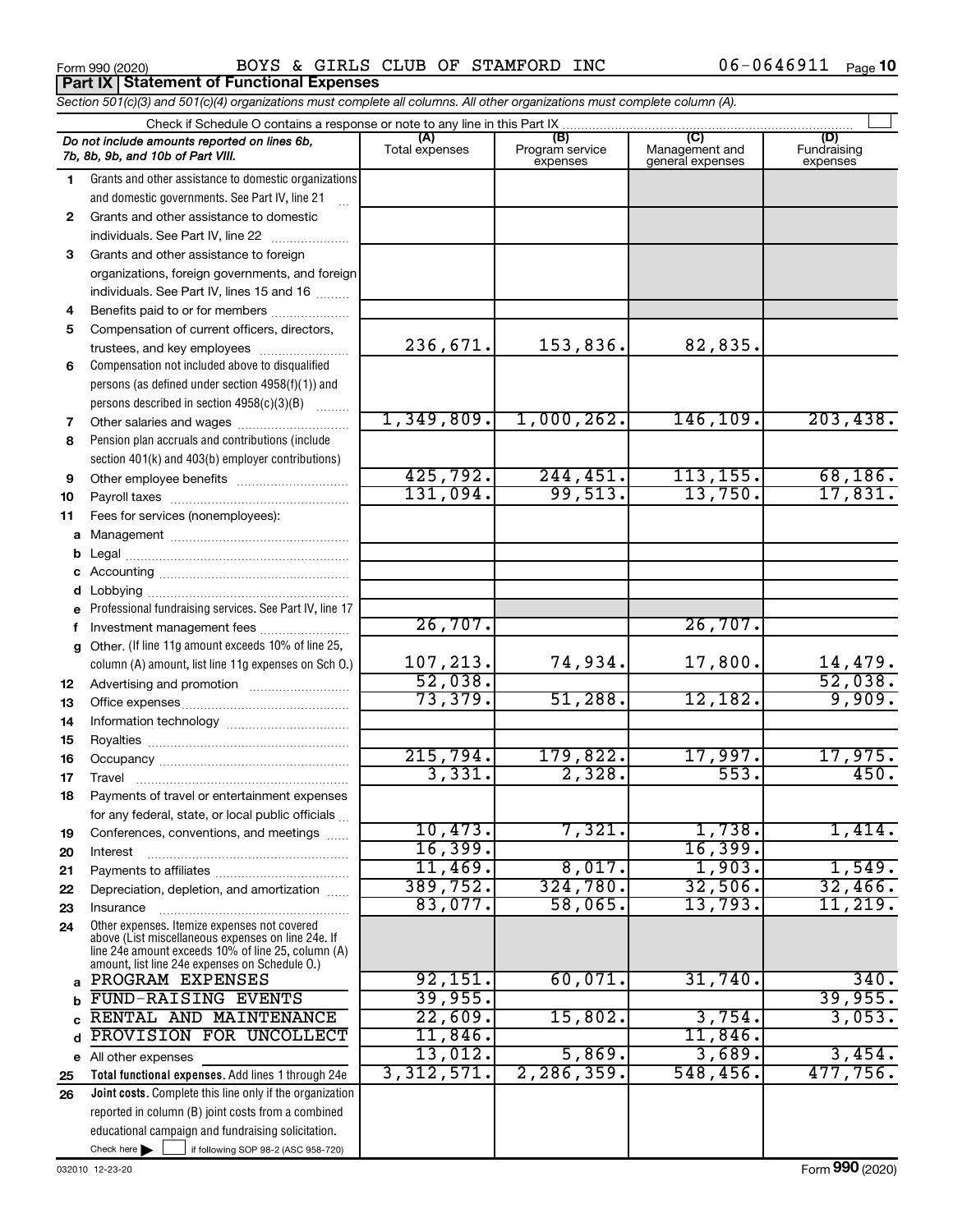Form 990 (2020) Page BOYS & GIRLS CLUB OF STAMFORD INC 06-0646911 **Part IX Statement of Functional Expenses**

|              | Section 501(c)(3) and 501(c)(4) organizations must complete all columns. All other organizations must complete column (A). |                       |                                    |                                           |                                |
|--------------|----------------------------------------------------------------------------------------------------------------------------|-----------------------|------------------------------------|-------------------------------------------|--------------------------------|
|              | Check if Schedule O contains a response or note to any line in this Part IX                                                |                       |                                    |                                           |                                |
|              | Do not include amounts reported on lines 6b,<br>7b, 8b, 9b, and 10b of Part VIII.                                          | (A)<br>Total expenses | (B)<br>Program service<br>expenses | (C)<br>Management and<br>general expenses | (D)<br>Fundraising<br>expenses |
| 1            | Grants and other assistance to domestic organizations                                                                      |                       |                                    |                                           |                                |
|              | and domestic governments. See Part IV, line 21                                                                             |                       |                                    |                                           |                                |
| $\mathbf{2}$ | Grants and other assistance to domestic                                                                                    |                       |                                    |                                           |                                |
|              | individuals. See Part IV, line 22                                                                                          |                       |                                    |                                           |                                |
| 3            | Grants and other assistance to foreign                                                                                     |                       |                                    |                                           |                                |
|              | organizations, foreign governments, and foreign                                                                            |                       |                                    |                                           |                                |
|              | individuals. See Part IV, lines 15 and 16                                                                                  |                       |                                    |                                           |                                |
| 4            | Benefits paid to or for members                                                                                            |                       |                                    |                                           |                                |
| 5            | Compensation of current officers, directors,                                                                               |                       |                                    |                                           |                                |
|              | trustees, and key employees                                                                                                | 236,671.              | 153,836.                           | 82,835.                                   |                                |
| 6            | Compensation not included above to disqualified                                                                            |                       |                                    |                                           |                                |
|              | persons (as defined under section 4958(f)(1)) and                                                                          |                       |                                    |                                           |                                |
|              | persons described in section 4958(c)(3)(B)                                                                                 |                       |                                    |                                           |                                |
| 7            | Other salaries and wages                                                                                                   | 1,349,809.            | 1,000,262.                         | 146,109.                                  | 203,438.                       |
| 8            | Pension plan accruals and contributions (include                                                                           |                       |                                    |                                           |                                |
|              | section 401(k) and 403(b) employer contributions)                                                                          |                       |                                    |                                           |                                |
| 9            |                                                                                                                            | 425,792.              | 244, 451.                          | 113, 155.                                 | $\frac{68,186.}{17,831.}$      |
| 10           |                                                                                                                            | 131,094.              | 99,513.                            | 13,750.                                   |                                |
| 11           | Fees for services (nonemployees):                                                                                          |                       |                                    |                                           |                                |
|              |                                                                                                                            |                       |                                    |                                           |                                |
|              |                                                                                                                            |                       |                                    |                                           |                                |
|              |                                                                                                                            |                       |                                    |                                           |                                |
|              |                                                                                                                            |                       |                                    |                                           |                                |
|              | Professional fundraising services. See Part IV, line 17                                                                    |                       |                                    |                                           |                                |
|              | Investment management fees                                                                                                 | 26,707.               |                                    | 26,707.                                   |                                |
|              | g Other. (If line 11g amount exceeds 10% of line 25,                                                                       |                       |                                    |                                           |                                |
|              | column (A) amount, list line 11g expenses on Sch O.)                                                                       | 107,213.              | 74,934.                            | 17,800.                                   | $\frac{14,479}{52,038}$        |
| 12           |                                                                                                                            | 52,038.<br>73,379.    | 51,288.                            | 12,182.                                   | 9,909.                         |
| 13           |                                                                                                                            |                       |                                    |                                           |                                |
| 14           |                                                                                                                            |                       |                                    |                                           |                                |
| 15           |                                                                                                                            | 215,794.              | 179,822.                           | 17,997.                                   | 17,975.                        |
| 16           |                                                                                                                            | 3,331.                | 2,328.                             | 553.                                      | 450.                           |
| 17           |                                                                                                                            |                       |                                    |                                           |                                |
| 18           | Payments of travel or entertainment expenses                                                                               |                       |                                    |                                           |                                |
|              | for any federal, state, or local public officials                                                                          | 10,473.               | 7,321.                             | 1,738.                                    | 1,414.                         |
| 19           | Conferences, conventions, and meetings                                                                                     | 16,399.               |                                    | 16,399.                                   |                                |
| 20<br>21     | Interest                                                                                                                   | 11,469.               | 8,017.                             | 1,903.                                    | 1,549.                         |
| 22           | Depreciation, depletion, and amortization                                                                                  | 389,752.              | 324,780.                           | 32,506.                                   | 32,466.                        |
| 23           | Insurance                                                                                                                  | 83,077.               | 58,065.                            | 13,793.                                   | 11,219.                        |
| 24           | Other expenses. Itemize expenses not covered                                                                               |                       |                                    |                                           |                                |
|              | above (List miscellaneous expenses on line 24e. If                                                                         |                       |                                    |                                           |                                |
|              | line 24e amount exceeds 10% of line 25, column (A)<br>amount, list line 24e expenses on Schedule O.)                       |                       |                                    |                                           |                                |
| a            | PROGRAM EXPENSES                                                                                                           | 92,151.               | 60,071.                            | 31,740.                                   | 340.                           |
|              | FUND-RAISING EVENTS                                                                                                        | 39,955.               |                                    |                                           | 39,955.                        |
|              | RENTAL AND MAINTENANCE                                                                                                     | 22,609.               | 15,802.                            | 3,754.                                    | 3,053.                         |
| d            | PROVISION FOR UNCOLLECT                                                                                                    | 11,846.               |                                    | 11,846.                                   |                                |
|              | e All other expenses                                                                                                       | 13,012.               | 5,869.                             | 3,689.                                    | 3,454.                         |
| 25           | Total functional expenses. Add lines 1 through 24e                                                                         | 3,312,571.            | 2, 286, 359.                       | 548, 456.                                 | 477,756.                       |
| 26           | Joint costs. Complete this line only if the organization                                                                   |                       |                                    |                                           |                                |
|              | reported in column (B) joint costs from a combined                                                                         |                       |                                    |                                           |                                |
|              | educational campaign and fundraising solicitation.                                                                         |                       |                                    |                                           |                                |
|              | Check here $\blacktriangleright$<br>if following SOP 98-2 (ASC 958-720)                                                    |                       |                                    |                                           |                                |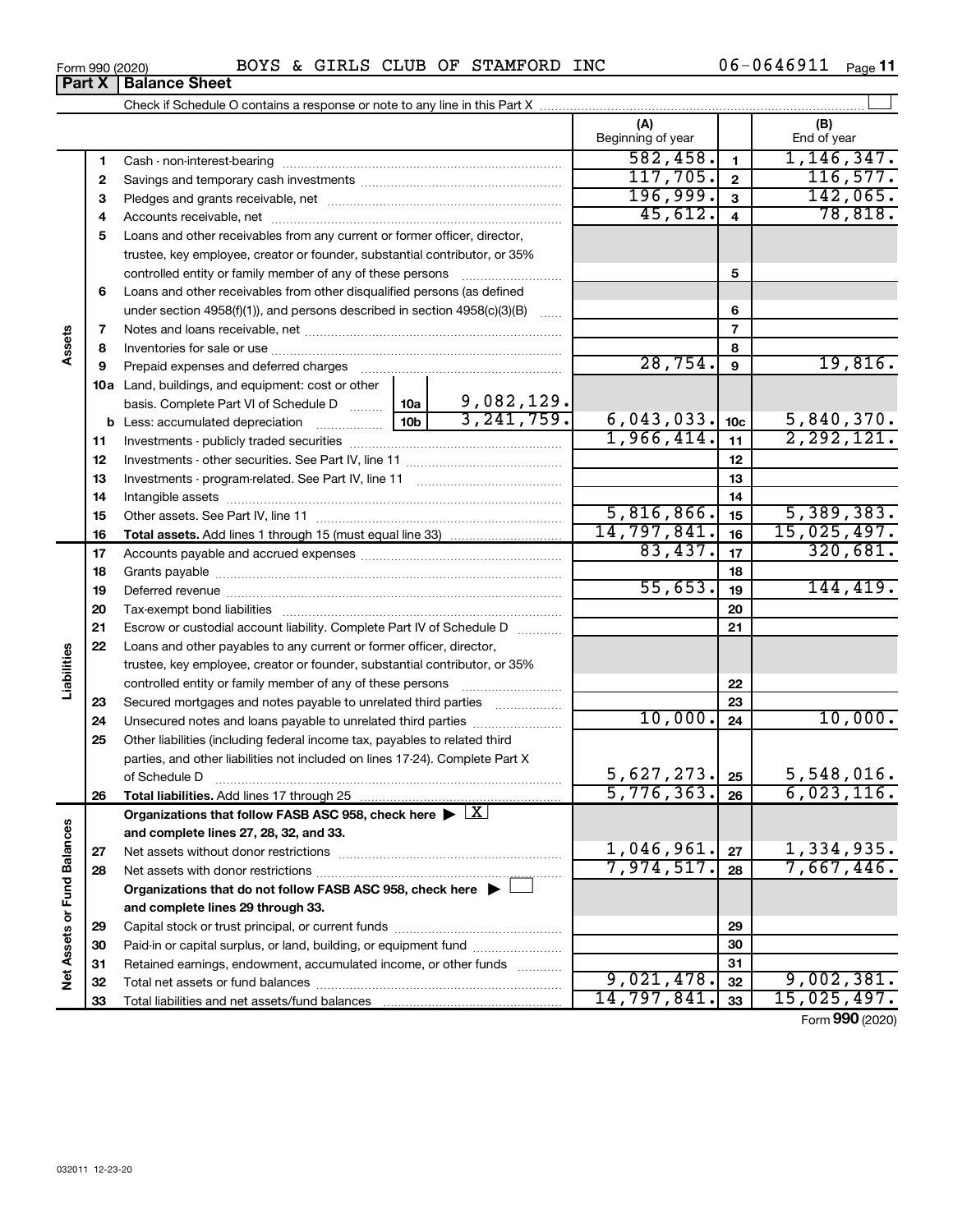| Form 990 (2020) | BOYS<br>$\boldsymbol{\alpha}$ |  |  | GIRLS CLUB OF STAMFORD | INC | 0646911<br>06– | $\overline{\phantom{0}}$<br>Page |
|-----------------|-------------------------------|--|--|------------------------|-----|----------------|----------------------------------|
|-----------------|-------------------------------|--|--|------------------------|-----|----------------|----------------------------------|

| $1$ viiii vvv (2020) | ----------------                                                           |                      |  |
|----------------------|----------------------------------------------------------------------------|----------------------|--|
| <b>Part X</b>        | <b>Balance Sheet</b>                                                       |                      |  |
|                      | Check if Schedule O contains a response or note to any line in this Part X |                      |  |
|                      |                                                                            | $\sim$ $\sim$ $\sim$ |  |

†

|                             |          | OTICUM IL OCTICULICI COTTUATI IS A TESPORISC OF FIULC TO AITY ILI IC IIT THIS FAIT A  |                                 | (A)               |                         | (B)                      |
|-----------------------------|----------|---------------------------------------------------------------------------------------|---------------------------------|-------------------|-------------------------|--------------------------|
|                             |          |                                                                                       |                                 | Beginning of year |                         | End of year              |
|                             | 1        |                                                                                       |                                 | 582,458.          | $\mathbf{1}$            | 1, 146, 347.             |
|                             | 2        |                                                                                       | 117,705.                        | $\mathbf{2}$      | 116,577.                |                          |
|                             | 3        |                                                                                       |                                 | 196,999.          | 3                       | 142,065.                 |
|                             | 4        |                                                                                       |                                 | 45,612.           | $\overline{\mathbf{4}}$ | 78,818.                  |
|                             | 5        | Loans and other receivables from any current or former officer, director,             |                                 |                   |                         |                          |
|                             |          | trustee, key employee, creator or founder, substantial contributor, or 35%            |                                 |                   |                         |                          |
|                             |          | controlled entity or family member of any of these persons                            |                                 |                   | 5                       |                          |
|                             | 6        | Loans and other receivables from other disqualified persons (as defined               |                                 |                   |                         |                          |
|                             |          | under section 4958(f)(1)), and persons described in section 4958(c)(3)(B)             |                                 |                   | 6                       |                          |
|                             | 7        |                                                                                       |                                 |                   | $\overline{7}$          |                          |
| Assets                      | 8        |                                                                                       |                                 |                   | 8                       |                          |
|                             | 9        | Prepaid expenses and deferred charges                                                 |                                 | 28,754.           | 9                       | 19,816.                  |
|                             |          | 10a Land, buildings, and equipment: cost or other                                     |                                 |                   |                         |                          |
|                             |          | basis. Complete Part VI of Schedule D  10a                                            | $\frac{9,082,129.}{3,241,759.}$ |                   |                         |                          |
|                             |          |                                                                                       |                                 | 6,043,033.        | 10 <sub>c</sub>         | 5,840,370.               |
|                             | 11       |                                                                                       |                                 | 1,966,414.        | 11                      | 2, 292, 121.             |
|                             | 12       |                                                                                       |                                 |                   | 12                      |                          |
|                             | 13       |                                                                                       |                                 | 13                |                         |                          |
|                             | 14       |                                                                                       |                                 | 14                |                         |                          |
|                             | 15       |                                                                                       | 5,816,866.                      | 15                | 5,389,383.              |                          |
|                             | 16       |                                                                                       | 14,797,841.                     | 16                | 15,025,497.             |                          |
|                             | 17       |                                                                                       | 83,437.                         | 17                | 320,681.                |                          |
|                             | 18       |                                                                                       |                                 |                   | 18                      |                          |
|                             | 19       |                                                                                       |                                 | 55,653.           | 19                      | 144, 419.                |
|                             | 20       |                                                                                       |                                 |                   | 20                      |                          |
|                             | 21       | Escrow or custodial account liability. Complete Part IV of Schedule D                 | .                               |                   | 21                      |                          |
|                             | 22       | Loans and other payables to any current or former officer, director,                  |                                 |                   |                         |                          |
|                             |          | trustee, key employee, creator or founder, substantial contributor, or 35%            |                                 |                   |                         |                          |
| Liabilities                 |          | controlled entity or family member of any of these persons                            |                                 |                   | 22                      |                          |
|                             | 23       | Secured mortgages and notes payable to unrelated third parties                        | .                               | 10,000.           | 23                      | 10,000.                  |
|                             | 24       | Unsecured notes and loans payable to unrelated third parties                          |                                 |                   | 24                      |                          |
|                             | 25       | Other liabilities (including federal income tax, payables to related third            |                                 |                   |                         |                          |
|                             |          | parties, and other liabilities not included on lines 17-24). Complete Part X          |                                 | 5,627,273.        |                         | 5,548,016.               |
|                             |          | of Schedule D                                                                         |                                 | 5,776,363.        | 25<br>26                | 6,023,116.               |
|                             | 26       | Organizations that follow FASB ASC 958, check here $\triangleright \lfloor X \rfloor$ |                                 |                   |                         |                          |
|                             |          |                                                                                       |                                 |                   |                         |                          |
|                             |          | and complete lines 27, 28, 32, and 33.                                                |                                 | 1,046,961.        | 27                      |                          |
|                             | 27<br>28 |                                                                                       |                                 | 7,974,517.        | 28                      | 1,334,935.<br>7,667,446. |
|                             |          | Organizations that do not follow FASB ASC 958, check here $\blacktriangleright$       |                                 |                   |                         |                          |
|                             |          | and complete lines 29 through 33.                                                     |                                 |                   |                         |                          |
|                             | 29       |                                                                                       |                                 |                   | 29                      |                          |
| Net Assets or Fund Balances | 30       | Paid-in or capital surplus, or land, building, or equipment fund                      |                                 |                   | 30                      |                          |
|                             | 31       | Retained earnings, endowment, accumulated income, or other funds                      |                                 |                   | 31                      |                          |
|                             | 32       |                                                                                       |                                 | 9,021,478.        | 32                      | 9,002,381.               |
|                             | 33       |                                                                                       |                                 | 14,797,841.       | 33                      | 15,025,497.              |
|                             |          |                                                                                       |                                 |                   |                         |                          |

Form (2020) **990**

| Form 990 (2020 |  |  |
|----------------|--|--|
|----------------|--|--|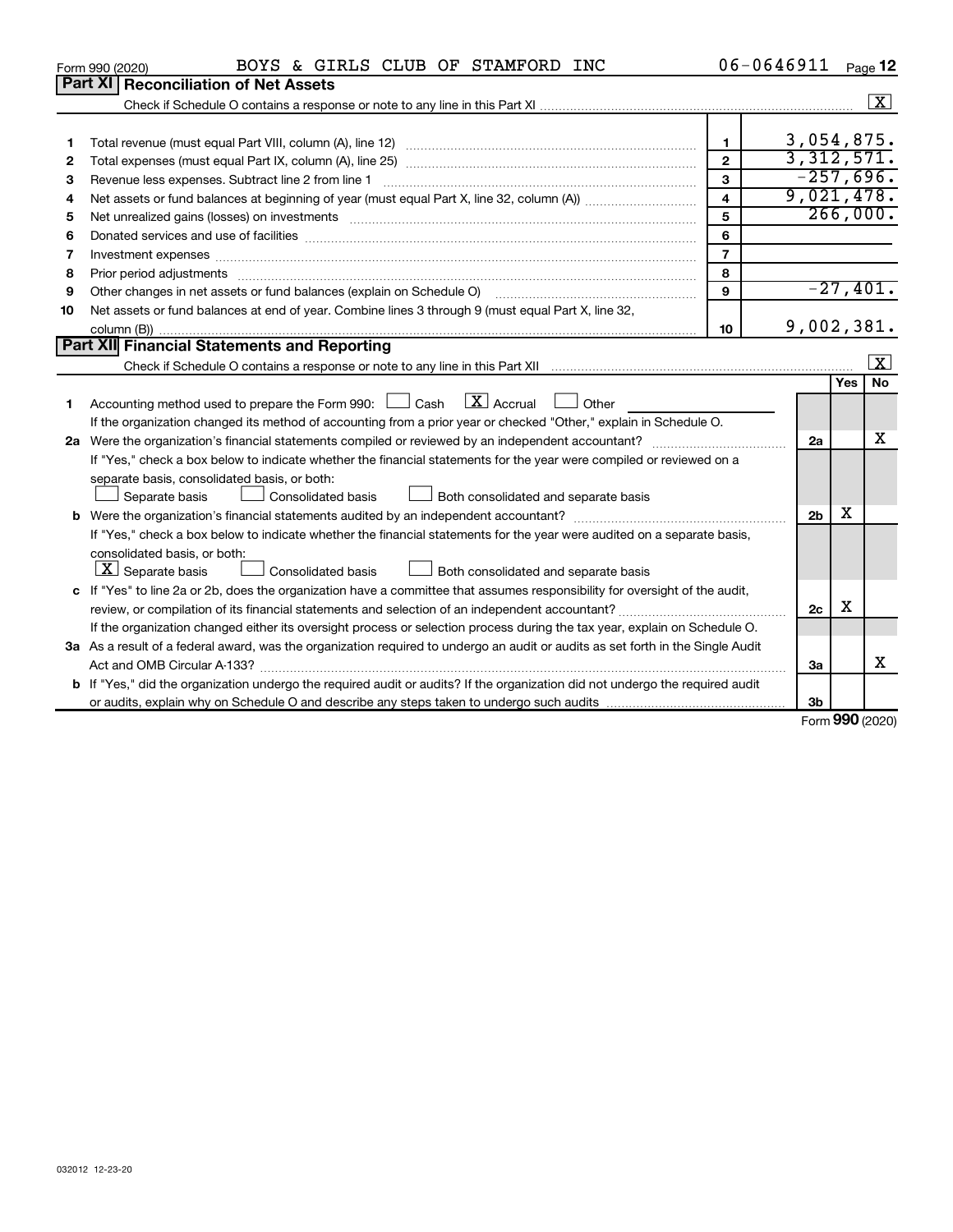|    | BOYS & GIRLS CLUB OF STAMFORD INC<br>Form 990 (2020)                                                                                                                                                                           | 06-0646911              |                   |            | Page 12              |
|----|--------------------------------------------------------------------------------------------------------------------------------------------------------------------------------------------------------------------------------|-------------------------|-------------------|------------|----------------------|
|    | <b>Part XI Reconciliation of Net Assets</b>                                                                                                                                                                                    |                         |                   |            |                      |
|    |                                                                                                                                                                                                                                |                         |                   |            | $\boxed{\mathbf{X}}$ |
|    |                                                                                                                                                                                                                                |                         |                   |            |                      |
| 1  |                                                                                                                                                                                                                                | $\mathbf{1}$            | 3,054,875.        |            |                      |
| 2  |                                                                                                                                                                                                                                | $\overline{2}$          | 3,312,571.        |            |                      |
| 3  | Revenue less expenses. Subtract line 2 from line 1                                                                                                                                                                             | 3                       | $-257,696.$       |            |                      |
| 4  |                                                                                                                                                                                                                                | $\overline{\mathbf{4}}$ | 9,021,478.        |            |                      |
| 5  | Net unrealized gains (losses) on investments [11] matter in the contract of the contract of the contract of the contract of the contract of the contract of the contract of the contract of the contract of the contract of th | 5                       |                   | 266,000.   |                      |
| 6  |                                                                                                                                                                                                                                | 6                       |                   |            |                      |
| 7  | Investment expenses www.communication.com/www.communication.com/www.communication.com/www.com                                                                                                                                  | $\overline{7}$          |                   |            |                      |
| 8  |                                                                                                                                                                                                                                | 8                       |                   |            |                      |
| 9  | Other changes in net assets or fund balances (explain on Schedule O)                                                                                                                                                           | 9                       |                   | $-27,401.$ |                      |
| 10 | Net assets or fund balances at end of year. Combine lines 3 through 9 (must equal Part X, line 32,                                                                                                                             |                         |                   |            |                      |
|    |                                                                                                                                                                                                                                | 10                      | 9,002,381.        |            |                      |
|    | Part XII Financial Statements and Reporting                                                                                                                                                                                    |                         |                   |            |                      |
|    |                                                                                                                                                                                                                                |                         |                   |            | x                    |
|    |                                                                                                                                                                                                                                |                         |                   | <b>Yes</b> | No                   |
| 1  | Accounting method used to prepare the Form 990: $\Box$ Cash $\Box$ Accrual $\Box$ Other                                                                                                                                        |                         |                   |            |                      |
|    | If the organization changed its method of accounting from a prior year or checked "Other," explain in Schedule O.                                                                                                              |                         |                   |            |                      |
|    |                                                                                                                                                                                                                                |                         | 2a                |            | x                    |
|    | If "Yes," check a box below to indicate whether the financial statements for the year were compiled or reviewed on a                                                                                                           |                         |                   |            |                      |
|    | separate basis, consolidated basis, or both:                                                                                                                                                                                   |                         |                   |            |                      |
|    | Consolidated basis<br>Both consolidated and separate basis<br>Separate basis                                                                                                                                                   |                         |                   |            |                      |
|    |                                                                                                                                                                                                                                |                         | 2 <sub>b</sub>    | x          |                      |
|    | If "Yes," check a box below to indicate whether the financial statements for the year were audited on a separate basis,                                                                                                        |                         |                   |            |                      |
|    | consolidated basis, or both:                                                                                                                                                                                                   |                         |                   |            |                      |
|    | $\lfloor x \rfloor$ Separate basis<br><b>Consolidated basis</b><br>Both consolidated and separate basis                                                                                                                        |                         |                   |            |                      |
|    | c If "Yes" to line 2a or 2b, does the organization have a committee that assumes responsibility for oversight of the audit,                                                                                                    |                         |                   |            |                      |
|    |                                                                                                                                                                                                                                |                         | 2c                | х          |                      |
|    | If the organization changed either its oversight process or selection process during the tax year, explain on Schedule O.                                                                                                      |                         |                   |            |                      |
|    | 3a As a result of a federal award, was the organization required to undergo an audit or audits as set forth in the Single Audit                                                                                                |                         |                   |            |                      |
|    |                                                                                                                                                                                                                                |                         | 3a                |            | x                    |
|    | <b>b</b> If "Yes," did the organization undergo the required audit or audits? If the organization did not undergo the required audit                                                                                           |                         |                   |            |                      |
|    |                                                                                                                                                                                                                                |                         | 3b                |            |                      |
|    |                                                                                                                                                                                                                                |                         | $Form$ 990 (2020) |            |                      |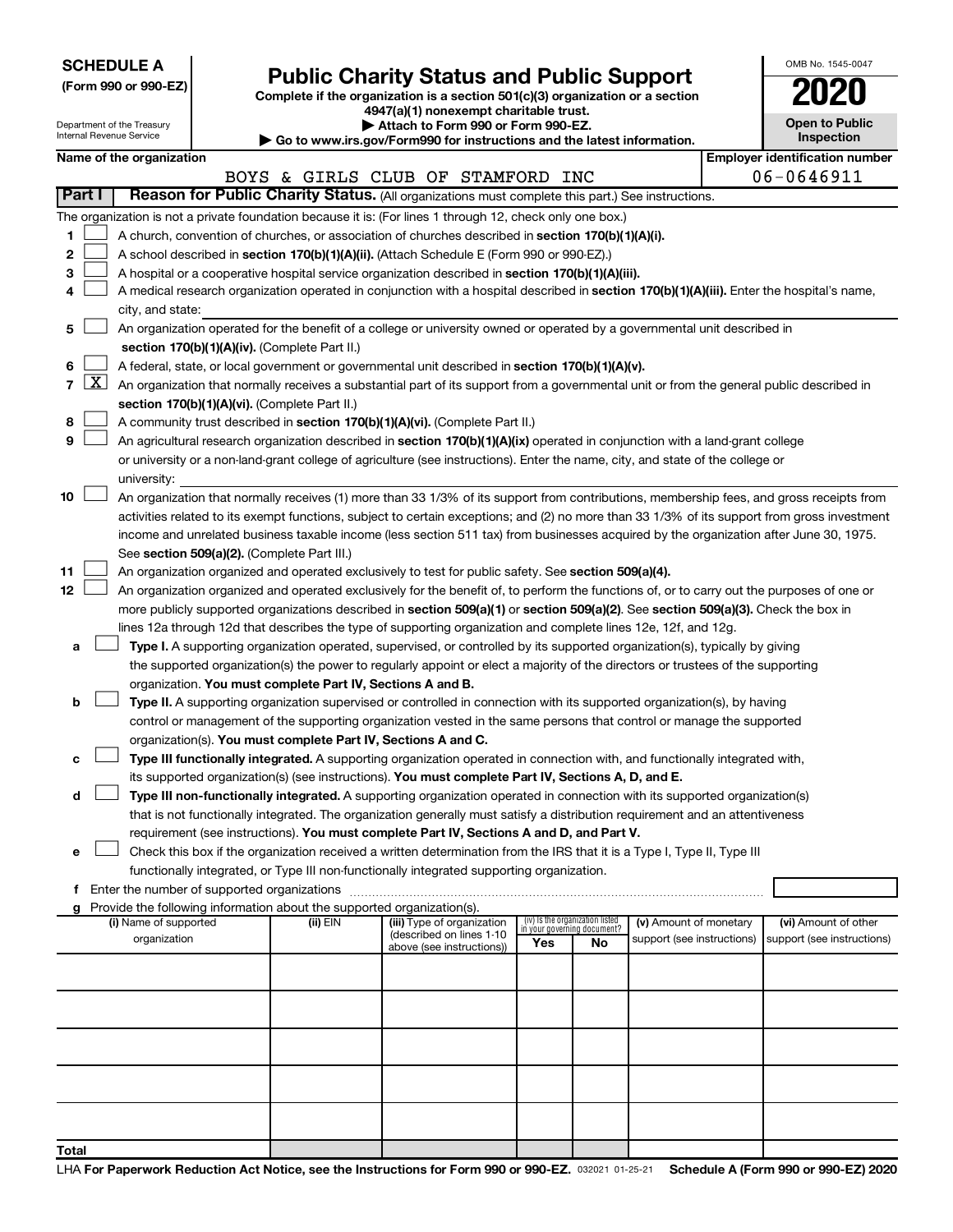|  |  | <b>SCHEDULE A</b> |  |
|--|--|-------------------|--|
|  |  |                   |  |

| (Form 990 or 990-EZ) |  |  |
|----------------------|--|--|
|                      |  |  |

# Form 990 or 990-EZ) **Public Charity Status and Public Support**<br>
Complete if the organization is a section 501(c)(3) organization or a section<br> **2020**

**4947(a)(1) nonexempt charitable trust.**

| OMB No 1545-0047                           |
|--------------------------------------------|
| 2020                                       |
| <b>Open to Public</b><br><b>Inspection</b> |

|            |                 | Department of the Treasury<br>Internal Revenue Service |                                                                        | Attach to Form 990 or Form 990-EZ.                                                                                                                                                                                  |     |                                                                |                            | <b>Open to Public</b><br>Inspection   |
|------------|-----------------|--------------------------------------------------------|------------------------------------------------------------------------|---------------------------------------------------------------------------------------------------------------------------------------------------------------------------------------------------------------------|-----|----------------------------------------------------------------|----------------------------|---------------------------------------|
|            |                 | Name of the organization                               |                                                                        | Go to www.irs.gov/Form990 for instructions and the latest information.                                                                                                                                              |     |                                                                |                            | <b>Employer identification number</b> |
|            |                 |                                                        |                                                                        | BOYS & GIRLS CLUB OF STAMFORD INC                                                                                                                                                                                   |     |                                                                |                            | 06-0646911                            |
|            | Part I          |                                                        |                                                                        | Reason for Public Charity Status. (All organizations must complete this part.) See instructions.                                                                                                                    |     |                                                                |                            |                                       |
|            |                 |                                                        |                                                                        | The organization is not a private foundation because it is: (For lines 1 through 12, check only one box.)                                                                                                           |     |                                                                |                            |                                       |
| 1          |                 |                                                        |                                                                        | A church, convention of churches, or association of churches described in section 170(b)(1)(A)(i).                                                                                                                  |     |                                                                |                            |                                       |
| 2          |                 |                                                        |                                                                        | A school described in section 170(b)(1)(A)(ii). (Attach Schedule E (Form 990 or 990-EZ).)                                                                                                                           |     |                                                                |                            |                                       |
| з          |                 |                                                        |                                                                        | A hospital or a cooperative hospital service organization described in section 170(b)(1)(A)(iii).                                                                                                                   |     |                                                                |                            |                                       |
| 4          |                 |                                                        |                                                                        | A medical research organization operated in conjunction with a hospital described in section 170(b)(1)(A)(iii). Enter the hospital's name,                                                                          |     |                                                                |                            |                                       |
|            |                 | city, and state:                                       |                                                                        |                                                                                                                                                                                                                     |     |                                                                |                            |                                       |
| 5          |                 |                                                        |                                                                        | An organization operated for the benefit of a college or university owned or operated by a governmental unit described in                                                                                           |     |                                                                |                            |                                       |
|            |                 |                                                        | section 170(b)(1)(A)(iv). (Complete Part II.)                          |                                                                                                                                                                                                                     |     |                                                                |                            |                                       |
| 6          |                 |                                                        |                                                                        | A federal, state, or local government or governmental unit described in section 170(b)(1)(A)(v).                                                                                                                    |     |                                                                |                            |                                       |
|            | $7 \mid X \mid$ |                                                        |                                                                        | An organization that normally receives a substantial part of its support from a governmental unit or from the general public described in                                                                           |     |                                                                |                            |                                       |
|            |                 |                                                        | section 170(b)(1)(A)(vi). (Complete Part II.)                          |                                                                                                                                                                                                                     |     |                                                                |                            |                                       |
| 8          |                 |                                                        |                                                                        | A community trust described in section 170(b)(1)(A)(vi). (Complete Part II.)                                                                                                                                        |     |                                                                |                            |                                       |
| 9          |                 |                                                        |                                                                        | An agricultural research organization described in section 170(b)(1)(A)(ix) operated in conjunction with a land-grant college                                                                                       |     |                                                                |                            |                                       |
|            |                 |                                                        |                                                                        | or university or a non-land-grant college of agriculture (see instructions). Enter the name, city, and state of the college or                                                                                      |     |                                                                |                            |                                       |
|            |                 | university:                                            |                                                                        |                                                                                                                                                                                                                     |     |                                                                |                            |                                       |
| 10         |                 |                                                        |                                                                        | An organization that normally receives (1) more than 33 1/3% of its support from contributions, membership fees, and gross receipts from                                                                            |     |                                                                |                            |                                       |
|            |                 |                                                        |                                                                        | activities related to its exempt functions, subject to certain exceptions; and (2) no more than 33 1/3% of its support from gross investment                                                                        |     |                                                                |                            |                                       |
|            |                 |                                                        |                                                                        | income and unrelated business taxable income (less section 511 tax) from businesses acquired by the organization after June 30, 1975.                                                                               |     |                                                                |                            |                                       |
|            |                 |                                                        | See section 509(a)(2). (Complete Part III.)                            |                                                                                                                                                                                                                     |     |                                                                |                            |                                       |
| 11         |                 |                                                        |                                                                        | An organization organized and operated exclusively to test for public safety. See section 509(a)(4).                                                                                                                |     |                                                                |                            |                                       |
| 12         |                 |                                                        |                                                                        | An organization organized and operated exclusively for the benefit of, to perform the functions of, or to carry out the purposes of one or                                                                          |     |                                                                |                            |                                       |
|            |                 |                                                        |                                                                        | more publicly supported organizations described in section 509(a)(1) or section 509(a)(2). See section 509(a)(3). Check the box in                                                                                  |     |                                                                |                            |                                       |
|            |                 |                                                        |                                                                        | lines 12a through 12d that describes the type of supporting organization and complete lines 12e, 12f, and 12g.                                                                                                      |     |                                                                |                            |                                       |
| а          |                 |                                                        |                                                                        | Type I. A supporting organization operated, supervised, or controlled by its supported organization(s), typically by giving                                                                                         |     |                                                                |                            |                                       |
|            |                 |                                                        |                                                                        | the supported organization(s) the power to regularly appoint or elect a majority of the directors or trustees of the supporting                                                                                     |     |                                                                |                            |                                       |
|            |                 |                                                        | organization. You must complete Part IV, Sections A and B.             |                                                                                                                                                                                                                     |     |                                                                |                            |                                       |
| b          |                 |                                                        |                                                                        | Type II. A supporting organization supervised or controlled in connection with its supported organization(s), by having                                                                                             |     |                                                                |                            |                                       |
|            |                 |                                                        |                                                                        | control or management of the supporting organization vested in the same persons that control or manage the supported                                                                                                |     |                                                                |                            |                                       |
|            |                 |                                                        |                                                                        | organization(s). You must complete Part IV, Sections A and C.                                                                                                                                                       |     |                                                                |                            |                                       |
| с          |                 |                                                        |                                                                        | Type III functionally integrated. A supporting organization operated in connection with, and functionally integrated with,                                                                                          |     |                                                                |                            |                                       |
|            |                 |                                                        |                                                                        | its supported organization(s) (see instructions). You must complete Part IV, Sections A, D, and E.                                                                                                                  |     |                                                                |                            |                                       |
| d          |                 |                                                        |                                                                        | Type III non-functionally integrated. A supporting organization operated in connection with its supported organization(s)                                                                                           |     |                                                                |                            |                                       |
|            |                 |                                                        |                                                                        | that is not functionally integrated. The organization generally must satisfy a distribution requirement and an attentiveness                                                                                        |     |                                                                |                            |                                       |
| е          |                 |                                                        |                                                                        | requirement (see instructions). You must complete Part IV, Sections A and D, and Part V.<br>Check this box if the organization received a written determination from the IRS that it is a Type I, Type II, Type III |     |                                                                |                            |                                       |
|            |                 |                                                        |                                                                        | functionally integrated, or Type III non-functionally integrated supporting organization.                                                                                                                           |     |                                                                |                            |                                       |
|            |                 |                                                        |                                                                        |                                                                                                                                                                                                                     |     |                                                                |                            |                                       |
|            |                 |                                                        | Provide the following information about the supported organization(s). |                                                                                                                                                                                                                     |     |                                                                |                            |                                       |
|            |                 | (i) Name of supported                                  | (ii) EIN                                                               | (iii) Type of organization                                                                                                                                                                                          |     | (iv) Is the organization listed<br>in your governing document? | (v) Amount of monetary     | (vi) Amount of other                  |
|            |                 | organization                                           |                                                                        | (described on lines 1-10<br>above (see instructions))                                                                                                                                                               | Yes | No                                                             | support (see instructions) | support (see instructions)            |
|            |                 |                                                        |                                                                        |                                                                                                                                                                                                                     |     |                                                                |                            |                                       |
|            |                 |                                                        |                                                                        |                                                                                                                                                                                                                     |     |                                                                |                            |                                       |
|            |                 |                                                        |                                                                        |                                                                                                                                                                                                                     |     |                                                                |                            |                                       |
|            |                 |                                                        |                                                                        |                                                                                                                                                                                                                     |     |                                                                |                            |                                       |
|            |                 |                                                        |                                                                        |                                                                                                                                                                                                                     |     |                                                                |                            |                                       |
|            |                 |                                                        |                                                                        |                                                                                                                                                                                                                     |     |                                                                |                            |                                       |
|            |                 |                                                        |                                                                        |                                                                                                                                                                                                                     |     |                                                                |                            |                                       |
|            |                 |                                                        |                                                                        |                                                                                                                                                                                                                     |     |                                                                |                            |                                       |
|            |                 |                                                        |                                                                        |                                                                                                                                                                                                                     |     |                                                                |                            |                                       |
| $T_{abab}$ |                 |                                                        |                                                                        |                                                                                                                                                                                                                     |     |                                                                |                            |                                       |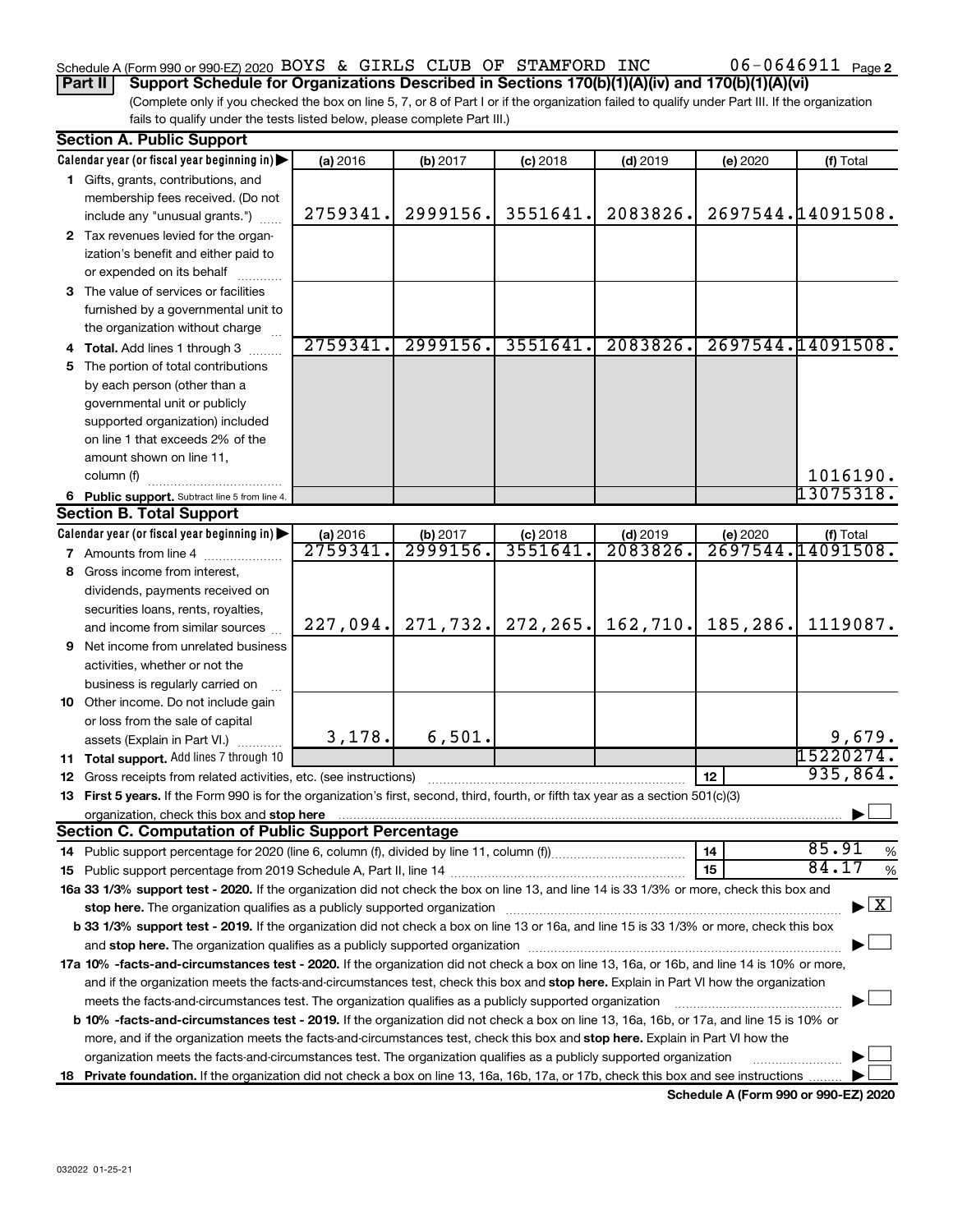### Schedule A (Form 990 or 990-EZ) 2020 BOYS & GIRLS CLUB OF STAMFORD INC  $06-0646911$  Page

(Complete only if you checked the box on line 5, 7, or 8 of Part I or if the organization failed to qualify under Part III. If the organization **Part II Support Schedule for Organizations Described in Sections 170(b)(1)(A)(iv) and 170(b)(1)(A)(vi)**

| fails to qualify under the tests listed below, please complete Part III.) |  |
|---------------------------------------------------------------------------|--|
|---------------------------------------------------------------------------|--|

|    | <b>Section A. Public Support</b>                                                                                                                                                                                               |          |           |            |            |          |                                    |
|----|--------------------------------------------------------------------------------------------------------------------------------------------------------------------------------------------------------------------------------|----------|-----------|------------|------------|----------|------------------------------------|
|    | Calendar year (or fiscal year beginning in)                                                                                                                                                                                    | (a) 2016 | (b) 2017  | $(c)$ 2018 | $(d)$ 2019 | (e) 2020 | (f) Total                          |
|    | 1 Gifts, grants, contributions, and                                                                                                                                                                                            |          |           |            |            |          |                                    |
|    | membership fees received. (Do not                                                                                                                                                                                              |          |           |            |            |          |                                    |
|    | include any "unusual grants.")                                                                                                                                                                                                 | 2759341. | 2999156.  | 3551641.   | 2083826.   |          | 2697544.14091508.                  |
|    | 2 Tax revenues levied for the organ-                                                                                                                                                                                           |          |           |            |            |          |                                    |
|    | ization's benefit and either paid to                                                                                                                                                                                           |          |           |            |            |          |                                    |
|    | or expended on its behalf                                                                                                                                                                                                      |          |           |            |            |          |                                    |
|    | 3 The value of services or facilities                                                                                                                                                                                          |          |           |            |            |          |                                    |
|    | furnished by a governmental unit to                                                                                                                                                                                            |          |           |            |            |          |                                    |
|    | the organization without charge                                                                                                                                                                                                |          |           |            |            |          |                                    |
|    |                                                                                                                                                                                                                                | 2759341. | 2999156.  | 3551641.   | 2083826.   |          | 2697544.14091508.                  |
|    | 4 Total. Add lines 1 through 3                                                                                                                                                                                                 |          |           |            |            |          |                                    |
| 5. | The portion of total contributions                                                                                                                                                                                             |          |           |            |            |          |                                    |
|    | by each person (other than a                                                                                                                                                                                                   |          |           |            |            |          |                                    |
|    | governmental unit or publicly                                                                                                                                                                                                  |          |           |            |            |          |                                    |
|    | supported organization) included                                                                                                                                                                                               |          |           |            |            |          |                                    |
|    | on line 1 that exceeds 2% of the                                                                                                                                                                                               |          |           |            |            |          |                                    |
|    | amount shown on line 11,                                                                                                                                                                                                       |          |           |            |            |          |                                    |
|    | column (f)                                                                                                                                                                                                                     |          |           |            |            |          | 1016190.                           |
|    | 6 Public support. Subtract line 5 from line 4.                                                                                                                                                                                 |          |           |            |            |          | 13075318.                          |
|    | <b>Section B. Total Support</b>                                                                                                                                                                                                |          |           |            |            |          |                                    |
|    | Calendar year (or fiscal year beginning in)                                                                                                                                                                                    | (a) 2016 | (b) 2017  | $(c)$ 2018 | $(d)$ 2019 | (e) 2020 | (f) Total                          |
|    | <b>7</b> Amounts from line 4                                                                                                                                                                                                   | 2759341  | 2999156.  | 3551641    | 2083826    |          | 2697544.14091508.                  |
| 8  | Gross income from interest,                                                                                                                                                                                                    |          |           |            |            |          |                                    |
|    | dividends, payments received on                                                                                                                                                                                                |          |           |            |            |          |                                    |
|    | securities loans, rents, royalties,                                                                                                                                                                                            |          |           |            |            |          |                                    |
|    | and income from similar sources                                                                                                                                                                                                | 227,094. | 271, 732. | 272,265.   | 162, 710.  | 185,286. | 1119087.                           |
| 9  | Net income from unrelated business                                                                                                                                                                                             |          |           |            |            |          |                                    |
|    | activities, whether or not the                                                                                                                                                                                                 |          |           |            |            |          |                                    |
|    | business is regularly carried on                                                                                                                                                                                               |          |           |            |            |          |                                    |
|    | 10 Other income. Do not include gain                                                                                                                                                                                           |          |           |            |            |          |                                    |
|    | or loss from the sale of capital                                                                                                                                                                                               |          |           |            |            |          |                                    |
|    | assets (Explain in Part VI.)                                                                                                                                                                                                   | 3,178.   | 6,501.    |            |            |          | 9,679.                             |
|    | 11 Total support. Add lines 7 through 10                                                                                                                                                                                       |          |           |            |            |          | 15220274.                          |
|    | <b>12</b> Gross receipts from related activities, etc. (see instructions)                                                                                                                                                      |          |           |            |            | 12       | 935,864.                           |
|    | 13 First 5 years. If the Form 990 is for the organization's first, second, third, fourth, or fifth tax year as a section 501(c)(3)                                                                                             |          |           |            |            |          |                                    |
|    |                                                                                                                                                                                                                                |          |           |            |            |          |                                    |
|    | <b>Section C. Computation of Public Support Percentage</b>                                                                                                                                                                     |          |           |            |            |          |                                    |
|    |                                                                                                                                                                                                                                |          |           |            |            | 14       | 85.91<br>%                         |
|    |                                                                                                                                                                                                                                |          |           |            |            | 15       | 84.17<br>%                         |
|    | 16a 33 1/3% support test - 2020. If the organization did not check the box on line 13, and line 14 is 33 1/3% or more, check this box and                                                                                      |          |           |            |            |          |                                    |
|    |                                                                                                                                                                                                                                |          |           |            |            |          | $\blacktriangleright$ $\mathbf{X}$ |
|    | stop here. The organization qualifies as a publicly supported organization manufaction manufacture or manufacture or the organization manufacture or the state of the state of the state of the state of the state of the stat |          |           |            |            |          |                                    |
|    | b 33 1/3% support test - 2019. If the organization did not check a box on line 13 or 16a, and line 15 is 33 1/3% or more, check this box                                                                                       |          |           |            |            |          |                                    |
|    |                                                                                                                                                                                                                                |          |           |            |            |          |                                    |
|    | 17a 10% -facts-and-circumstances test - 2020. If the organization did not check a box on line 13, 16a, or 16b, and line 14 is 10% or more,                                                                                     |          |           |            |            |          |                                    |
|    | and if the organization meets the facts-and-circumstances test, check this box and stop here. Explain in Part VI how the organization                                                                                          |          |           |            |            |          |                                    |
|    | meets the facts-and-circumstances test. The organization qualifies as a publicly supported organization                                                                                                                        |          |           |            |            |          |                                    |
|    | <b>b 10% -facts-and-circumstances test - 2019.</b> If the organization did not check a box on line 13, 16a, 16b, or 17a, and line 15 is 10% or                                                                                 |          |           |            |            |          |                                    |
|    | more, and if the organization meets the facts-and-circumstances test, check this box and stop here. Explain in Part VI how the                                                                                                 |          |           |            |            |          |                                    |
|    | organization meets the facts-and-circumstances test. The organization qualifies as a publicly supported organization                                                                                                           |          |           |            |            |          |                                    |
|    | 18 Private foundation. If the organization did not check a box on line 13, 16a, 16b, 17a, or 17b, check this box and see instructions                                                                                          |          |           |            |            |          |                                    |
|    |                                                                                                                                                                                                                                |          |           |            |            |          |                                    |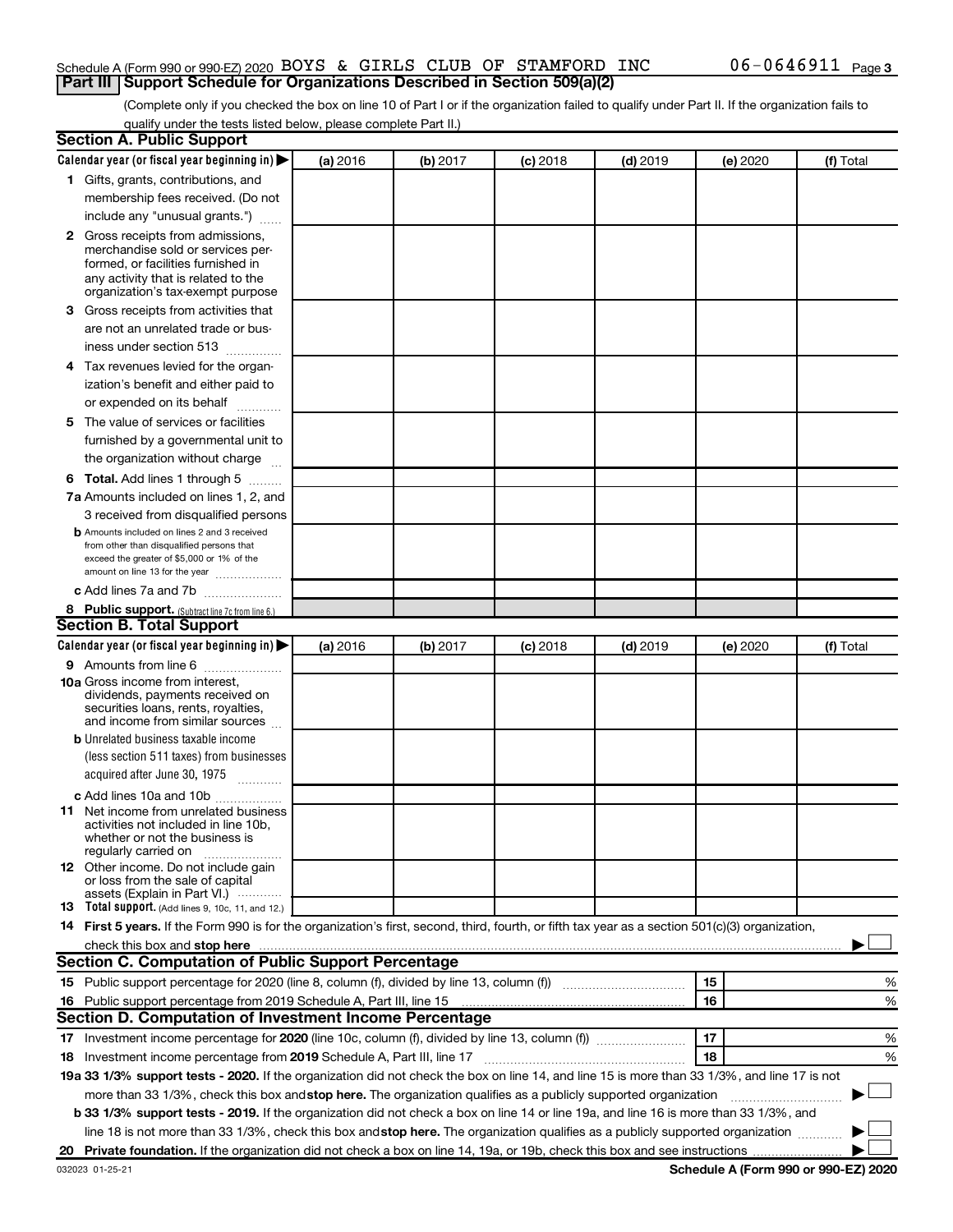### Schedule A (Form 990 or 990-EZ) 2020 BOYS & GIRLS CLUB OF STAMFORD INC  $06-0646911$  Page **Part III Support Schedule for Organizations Described in Section 509(a)(2)**

(Complete only if you checked the box on line 10 of Part I or if the organization failed to qualify under Part II. If the organization fails to qualify under the tests listed below, please complete Part II.)

| <b>Section A. Public Support</b>                                                                                                                 |          |          |            |            |          |           |
|--------------------------------------------------------------------------------------------------------------------------------------------------|----------|----------|------------|------------|----------|-----------|
| Calendar year (or fiscal year beginning in)                                                                                                      | (a) 2016 | (b) 2017 | $(c)$ 2018 | $(d)$ 2019 | (e) 2020 | (f) Total |
| 1 Gifts, grants, contributions, and                                                                                                              |          |          |            |            |          |           |
| membership fees received. (Do not                                                                                                                |          |          |            |            |          |           |
| include any "unusual grants.")                                                                                                                   |          |          |            |            |          |           |
| 2 Gross receipts from admissions,                                                                                                                |          |          |            |            |          |           |
| merchandise sold or services per-                                                                                                                |          |          |            |            |          |           |
| formed, or facilities furnished in                                                                                                               |          |          |            |            |          |           |
| any activity that is related to the<br>organization's tax-exempt purpose                                                                         |          |          |            |            |          |           |
| 3 Gross receipts from activities that                                                                                                            |          |          |            |            |          |           |
| are not an unrelated trade or bus-                                                                                                               |          |          |            |            |          |           |
| iness under section 513                                                                                                                          |          |          |            |            |          |           |
| 4 Tax revenues levied for the organ-                                                                                                             |          |          |            |            |          |           |
| ization's benefit and either paid to                                                                                                             |          |          |            |            |          |           |
| or expended on its behalf                                                                                                                        |          |          |            |            |          |           |
| 5 The value of services or facilities                                                                                                            |          |          |            |            |          |           |
| furnished by a governmental unit to                                                                                                              |          |          |            |            |          |           |
| the organization without charge                                                                                                                  |          |          |            |            |          |           |
| <b>6 Total.</b> Add lines 1 through 5                                                                                                            |          |          |            |            |          |           |
| 7a Amounts included on lines 1, 2, and                                                                                                           |          |          |            |            |          |           |
| 3 received from disqualified persons                                                                                                             |          |          |            |            |          |           |
| <b>b</b> Amounts included on lines 2 and 3 received                                                                                              |          |          |            |            |          |           |
| from other than disqualified persons that                                                                                                        |          |          |            |            |          |           |
| exceed the greater of \$5,000 or 1% of the                                                                                                       |          |          |            |            |          |           |
| amount on line 13 for the year                                                                                                                   |          |          |            |            |          |           |
| c Add lines 7a and 7b                                                                                                                            |          |          |            |            |          |           |
| 8 Public support. (Subtract line 7c from line 6.)                                                                                                |          |          |            |            |          |           |
| <b>Section B. Total Support</b>                                                                                                                  |          |          |            |            |          |           |
| Calendar year (or fiscal year beginning in)                                                                                                      | (a) 2016 | (b) 2017 | (c) 2018   | $(d)$ 2019 | (e) 2020 | (f) Total |
| 9 Amounts from line 6                                                                                                                            |          |          |            |            |          |           |
| <b>10a</b> Gross income from interest,<br>dividends, payments received on                                                                        |          |          |            |            |          |           |
| securities loans, rents, royalties,                                                                                                              |          |          |            |            |          |           |
| and income from similar sources                                                                                                                  |          |          |            |            |          |           |
| <b>b</b> Unrelated business taxable income                                                                                                       |          |          |            |            |          |           |
| (less section 511 taxes) from businesses                                                                                                         |          |          |            |            |          |           |
| acquired after June 30, 1975<br>$\frac{1}{2}$                                                                                                    |          |          |            |            |          |           |
| c Add lines 10a and 10b                                                                                                                          |          |          |            |            |          |           |
| 11 Net income from unrelated business                                                                                                            |          |          |            |            |          |           |
| activities not included in line 10b.<br>whether or not the business is                                                                           |          |          |            |            |          |           |
| regularly carried on                                                                                                                             |          |          |            |            |          |           |
| <b>12</b> Other income. Do not include gain                                                                                                      |          |          |            |            |          |           |
| or loss from the sale of capital<br>assets (Explain in Part VI.)                                                                                 |          |          |            |            |          |           |
| <b>13</b> Total support. (Add lines 9, 10c, 11, and 12.)                                                                                         |          |          |            |            |          |           |
| 14 First 5 years. If the Form 990 is for the organization's first, second, third, fourth, or fifth tax year as a section 501(c)(3) organization, |          |          |            |            |          |           |
|                                                                                                                                                  |          |          |            |            |          |           |
| Section C. Computation of Public Support Percentage                                                                                              |          |          |            |            |          |           |
|                                                                                                                                                  |          |          |            |            | 15       | %         |
| 16 Public support percentage from 2019 Schedule A, Part III, line 15                                                                             |          |          |            |            | 16       | %         |
| Section D. Computation of Investment Income Percentage                                                                                           |          |          |            |            |          |           |
|                                                                                                                                                  |          |          |            |            | 17       | %         |
| 18 Investment income percentage from 2019 Schedule A, Part III, line 17                                                                          |          |          |            |            | 18       | %         |
| 19a 33 1/3% support tests - 2020. If the organization did not check the box on line 14, and line 15 is more than 33 1/3%, and line 17 is not     |          |          |            |            |          |           |
| more than 33 1/3%, check this box and stop here. The organization qualifies as a publicly supported organization                                 |          |          |            |            |          |           |
| b 33 1/3% support tests - 2019. If the organization did not check a box on line 14 or line 19a, and line 16 is more than 33 1/3%, and            |          |          |            |            |          |           |
| line 18 is not more than 33 1/3%, check this box and stop here. The organization qualifies as a publicly supported organization                  |          |          |            |            |          |           |
|                                                                                                                                                  |          |          |            |            |          |           |
|                                                                                                                                                  |          |          |            |            |          |           |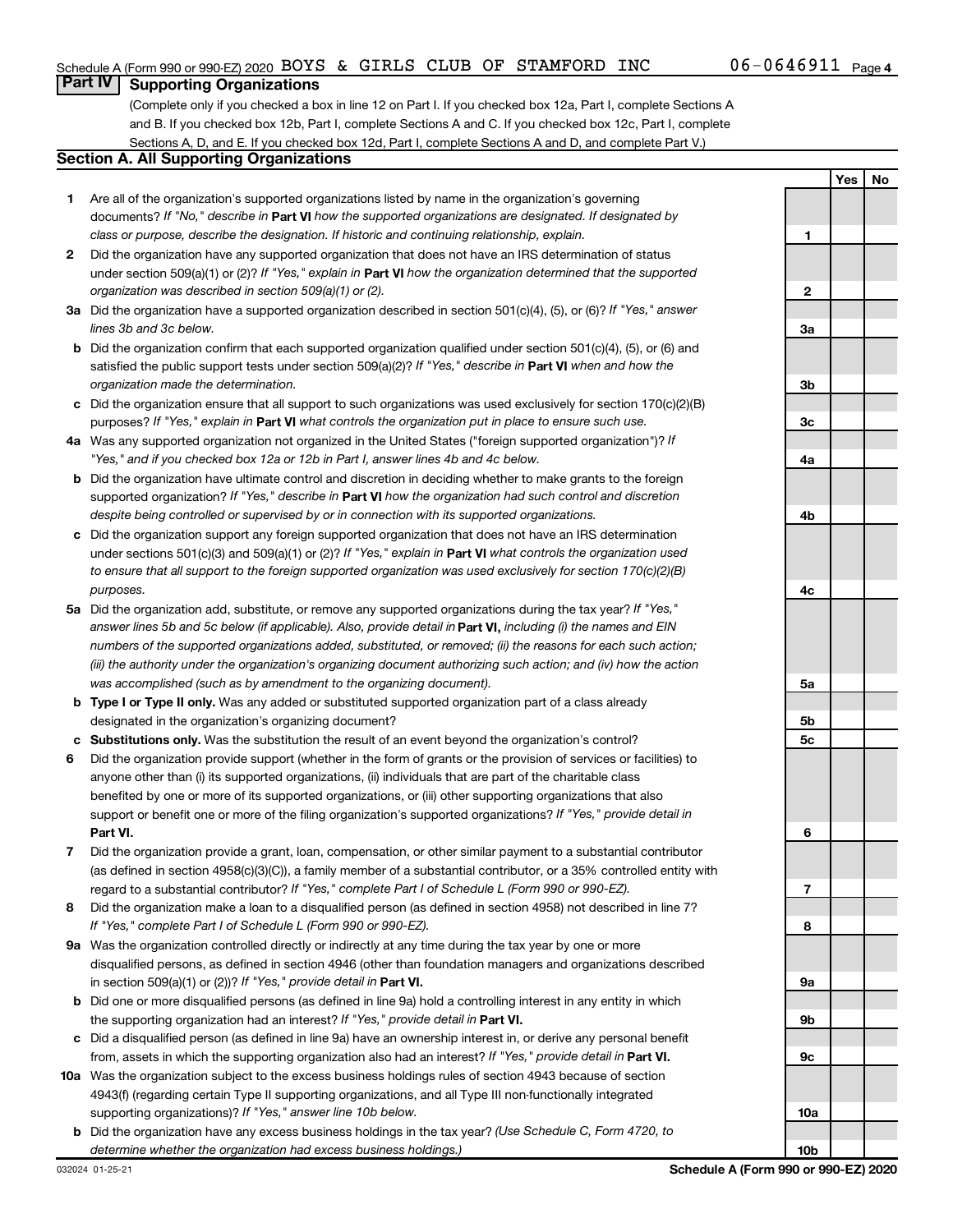**1**

**2**

**3a**

**3b**

**3c**

**Yes No**

### **Part IV Supporting Organizations**

(Complete only if you checked a box in line 12 on Part I. If you checked box 12a, Part I, complete Sections A and B. If you checked box 12b, Part I, complete Sections A and C. If you checked box 12c, Part I, complete Sections A, D, and E. If you checked box 12d, Part I, complete Sections A and D, and complete Part V.)

### **Section A. All Supporting Organizations**

- **1** Are all of the organization's supported organizations listed by name in the organization's governing documents? If "No," describe in Part VI how the supported organizations are designated. If designated by *class or purpose, describe the designation. If historic and continuing relationship, explain.*
- **2** Did the organization have any supported organization that does not have an IRS determination of status under section 509(a)(1) or (2)? If "Yes," explain in Part **VI** how the organization determined that the supported *organization was described in section 509(a)(1) or (2).*
- **3a** Did the organization have a supported organization described in section 501(c)(4), (5), or (6)? If "Yes," answer *lines 3b and 3c below.*
- **b** Did the organization confirm that each supported organization qualified under section 501(c)(4), (5), or (6) and satisfied the public support tests under section 509(a)(2)? If "Yes," describe in Part VI when and how the *organization made the determination.*
- **c** Did the organization ensure that all support to such organizations was used exclusively for section 170(c)(2)(B) purposes? If "Yes," explain in Part VI what controls the organization put in place to ensure such use.
- **4 a** *If* Was any supported organization not organized in the United States ("foreign supported organization")? *"Yes," and if you checked box 12a or 12b in Part I, answer lines 4b and 4c below.*
- **b** Did the organization have ultimate control and discretion in deciding whether to make grants to the foreign supported organization? If "Yes," describe in Part VI how the organization had such control and discretion *despite being controlled or supervised by or in connection with its supported organizations.*
- **c** Did the organization support any foreign supported organization that does not have an IRS determination under sections 501(c)(3) and 509(a)(1) or (2)? If "Yes," explain in Part VI what controls the organization used *to ensure that all support to the foreign supported organization was used exclusively for section 170(c)(2)(B) purposes.*
- **5a** Did the organization add, substitute, or remove any supported organizations during the tax year? If "Yes," answer lines 5b and 5c below (if applicable). Also, provide detail in **Part VI,** including (i) the names and EIN *numbers of the supported organizations added, substituted, or removed; (ii) the reasons for each such action; (iii) the authority under the organization's organizing document authorizing such action; and (iv) how the action was accomplished (such as by amendment to the organizing document).*
- **b** Type I or Type II only. Was any added or substituted supported organization part of a class already designated in the organization's organizing document?
- **c Substitutions only.**  Was the substitution the result of an event beyond the organization's control?
- **6** Did the organization provide support (whether in the form of grants or the provision of services or facilities) to **Part VI.** support or benefit one or more of the filing organization's supported organizations? If "Yes," provide detail in anyone other than (i) its supported organizations, (ii) individuals that are part of the charitable class benefited by one or more of its supported organizations, or (iii) other supporting organizations that also
- **7** Did the organization provide a grant, loan, compensation, or other similar payment to a substantial contributor regard to a substantial contributor? If "Yes," complete Part I of Schedule L (Form 990 or 990-EZ). (as defined in section 4958(c)(3)(C)), a family member of a substantial contributor, or a 35% controlled entity with
- **8** Did the organization make a loan to a disqualified person (as defined in section 4958) not described in line 7? *If "Yes," complete Part I of Schedule L (Form 990 or 990-EZ).*
- **9 a** Was the organization controlled directly or indirectly at any time during the tax year by one or more in section 509(a)(1) or (2))? If "Yes," provide detail in **Part VI.** disqualified persons, as defined in section 4946 (other than foundation managers and organizations described
- **b** Did one or more disqualified persons (as defined in line 9a) hold a controlling interest in any entity in which the supporting organization had an interest? If "Yes," provide detail in Part VI.
- **c** Did a disqualified person (as defined in line 9a) have an ownership interest in, or derive any personal benefit from, assets in which the supporting organization also had an interest? If "Yes," provide detail in Part VI.
- **10 a** Was the organization subject to the excess business holdings rules of section 4943 because of section supporting organizations)? If "Yes," answer line 10b below. 4943(f) (regarding certain Type II supporting organizations, and all Type III non-functionally integrated
- **b** Did the organization have any excess business holdings in the tax year? (Use Schedule C, Form 4720, to *determine whether the organization had excess business holdings.)*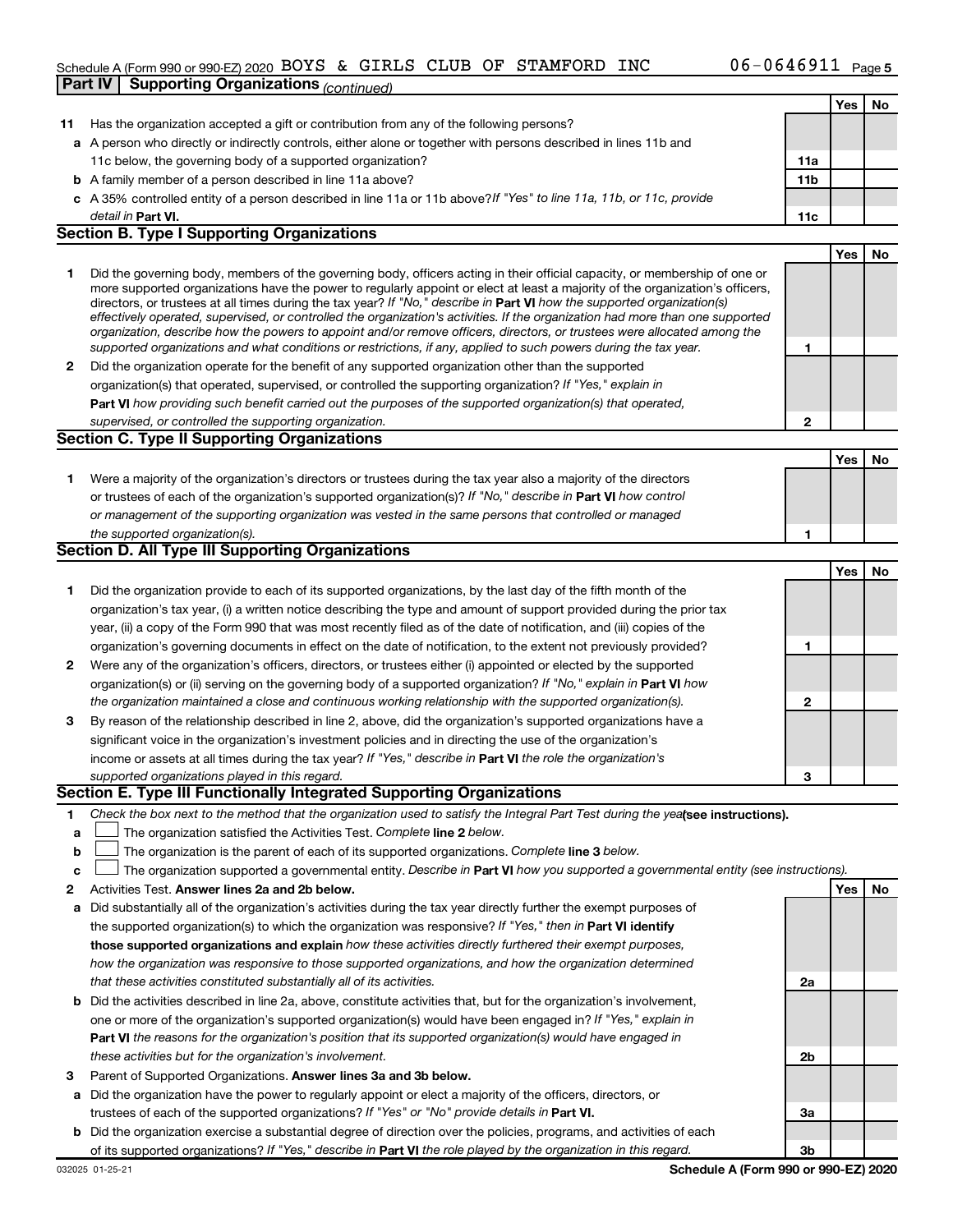### Schedule A (Form 990 or 990-EZ) 2020 BOYS & GIRLS CLUB OF STAMFORD INC  $06-0646911$  Page **Part IV | Supporting Organizations** *(continued)*

|        |                                                                                                                                                                                                                                                           |                 | Yes | No        |
|--------|-----------------------------------------------------------------------------------------------------------------------------------------------------------------------------------------------------------------------------------------------------------|-----------------|-----|-----------|
| 11     | Has the organization accepted a gift or contribution from any of the following persons?                                                                                                                                                                   |                 |     |           |
|        | a A person who directly or indirectly controls, either alone or together with persons described in lines 11b and                                                                                                                                          |                 |     |           |
|        | 11c below, the governing body of a supported organization?                                                                                                                                                                                                | 11a             |     |           |
|        | <b>b</b> A family member of a person described in line 11a above?                                                                                                                                                                                         | 11 <sub>b</sub> |     |           |
|        | c A 35% controlled entity of a person described in line 11a or 11b above?If "Yes" to line 11a, 11b, or 11c, provide                                                                                                                                       |                 |     |           |
|        | detail in <b>Part VI.</b>                                                                                                                                                                                                                                 | 11c             |     |           |
|        | <b>Section B. Type I Supporting Organizations</b>                                                                                                                                                                                                         |                 |     |           |
|        |                                                                                                                                                                                                                                                           |                 | Yes | <b>No</b> |
| 1      | Did the governing body, members of the governing body, officers acting in their official capacity, or membership of one or                                                                                                                                |                 |     |           |
|        | more supported organizations have the power to regularly appoint or elect at least a majority of the organization's officers,                                                                                                                             |                 |     |           |
|        | directors, or trustees at all times during the tax year? If "No," describe in Part VI how the supported organization(s)<br>effectively operated, supervised, or controlled the organization's activities. If the organization had more than one supported |                 |     |           |
|        | organization, describe how the powers to appoint and/or remove officers, directors, or trustees were allocated among the                                                                                                                                  |                 |     |           |
|        | supported organizations and what conditions or restrictions, if any, applied to such powers during the tax year.                                                                                                                                          | 1               |     |           |
| 2      | Did the organization operate for the benefit of any supported organization other than the supported                                                                                                                                                       |                 |     |           |
|        | organization(s) that operated, supervised, or controlled the supporting organization? If "Yes," explain in                                                                                                                                                |                 |     |           |
|        | Part VI how providing such benefit carried out the purposes of the supported organization(s) that operated,                                                                                                                                               |                 |     |           |
|        | supervised, or controlled the supporting organization.                                                                                                                                                                                                    | $\mathbf{2}$    |     |           |
|        | <b>Section C. Type II Supporting Organizations</b>                                                                                                                                                                                                        |                 |     |           |
|        |                                                                                                                                                                                                                                                           |                 | Yes | No        |
| 1.     | Were a majority of the organization's directors or trustees during the tax year also a majority of the directors                                                                                                                                          |                 |     |           |
|        | or trustees of each of the organization's supported organization(s)? If "No," describe in Part VI how control                                                                                                                                             |                 |     |           |
|        | or management of the supporting organization was vested in the same persons that controlled or managed                                                                                                                                                    |                 |     |           |
|        | the supported organization(s).                                                                                                                                                                                                                            | 1               |     |           |
|        | Section D. All Type III Supporting Organizations                                                                                                                                                                                                          |                 |     |           |
|        |                                                                                                                                                                                                                                                           |                 | Yes | No        |
| 1.     | Did the organization provide to each of its supported organizations, by the last day of the fifth month of the                                                                                                                                            |                 |     |           |
|        | organization's tax year, (i) a written notice describing the type and amount of support provided during the prior tax                                                                                                                                     |                 |     |           |
|        | year, (ii) a copy of the Form 990 that was most recently filed as of the date of notification, and (iii) copies of the                                                                                                                                    |                 |     |           |
|        | organization's governing documents in effect on the date of notification, to the extent not previously provided?                                                                                                                                          | 1               |     |           |
| 2      | Were any of the organization's officers, directors, or trustees either (i) appointed or elected by the supported                                                                                                                                          |                 |     |           |
|        | organization(s) or (ii) serving on the governing body of a supported organization? If "No," explain in Part VI how                                                                                                                                        |                 |     |           |
|        | the organization maintained a close and continuous working relationship with the supported organization(s).                                                                                                                                               | $\mathbf{2}$    |     |           |
| 3      | By reason of the relationship described in line 2, above, did the organization's supported organizations have a                                                                                                                                           |                 |     |           |
|        | significant voice in the organization's investment policies and in directing the use of the organization's                                                                                                                                                |                 |     |           |
|        | income or assets at all times during the tax year? If "Yes," describe in Part VI the role the organization's                                                                                                                                              |                 |     |           |
|        | supported organizations played in this regard.<br>Section E. Type III Functionally Integrated Supporting Organizations                                                                                                                                    | 3               |     |           |
|        |                                                                                                                                                                                                                                                           |                 |     |           |
| 1      | Check the box next to the method that the organization used to satisfy the Integral Part Test during the yealsee instructions).<br>The organization satisfied the Activities Test. Complete line 2 below.                                                 |                 |     |           |
| a<br>b | The organization is the parent of each of its supported organizations. Complete line 3 below.                                                                                                                                                             |                 |     |           |
|        | The organization supported a governmental entity. Describe in Part VI how you supported a governmental entity (see instructions).                                                                                                                         |                 |     |           |
| c<br>2 | Activities Test. Answer lines 2a and 2b below.                                                                                                                                                                                                            |                 | Yes | No        |
| а      | Did substantially all of the organization's activities during the tax year directly further the exempt purposes of                                                                                                                                        |                 |     |           |
|        | the supported organization(s) to which the organization was responsive? If "Yes," then in Part VI identify                                                                                                                                                |                 |     |           |
|        | those supported organizations and explain how these activities directly furthered their exempt purposes,                                                                                                                                                  |                 |     |           |
|        | how the organization was responsive to those supported organizations, and how the organization determined                                                                                                                                                 |                 |     |           |
|        | that these activities constituted substantially all of its activities.                                                                                                                                                                                    | 2a              |     |           |
| b      | Did the activities described in line 2a, above, constitute activities that, but for the organization's involvement,                                                                                                                                       |                 |     |           |
|        | one or more of the organization's supported organization(s) would have been engaged in? If "Yes," explain in                                                                                                                                              |                 |     |           |
|        | Part VI the reasons for the organization's position that its supported organization(s) would have engaged in                                                                                                                                              |                 |     |           |
|        | these activities but for the organization's involvement.                                                                                                                                                                                                  | 2b              |     |           |
| з      | Parent of Supported Organizations. Answer lines 3a and 3b below.                                                                                                                                                                                          |                 |     |           |
| а      | Did the organization have the power to regularly appoint or elect a majority of the officers, directors, or                                                                                                                                               |                 |     |           |
|        | trustees of each of the supported organizations? If "Yes" or "No" provide details in Part VI.                                                                                                                                                             | За              |     |           |
| b      | Did the organization exercise a substantial degree of direction over the policies, programs, and activities of each                                                                                                                                       |                 |     |           |
|        | of its supported organizations? If "Yes," describe in Part VI the role played by the organization in this regard.                                                                                                                                         | 3b              |     |           |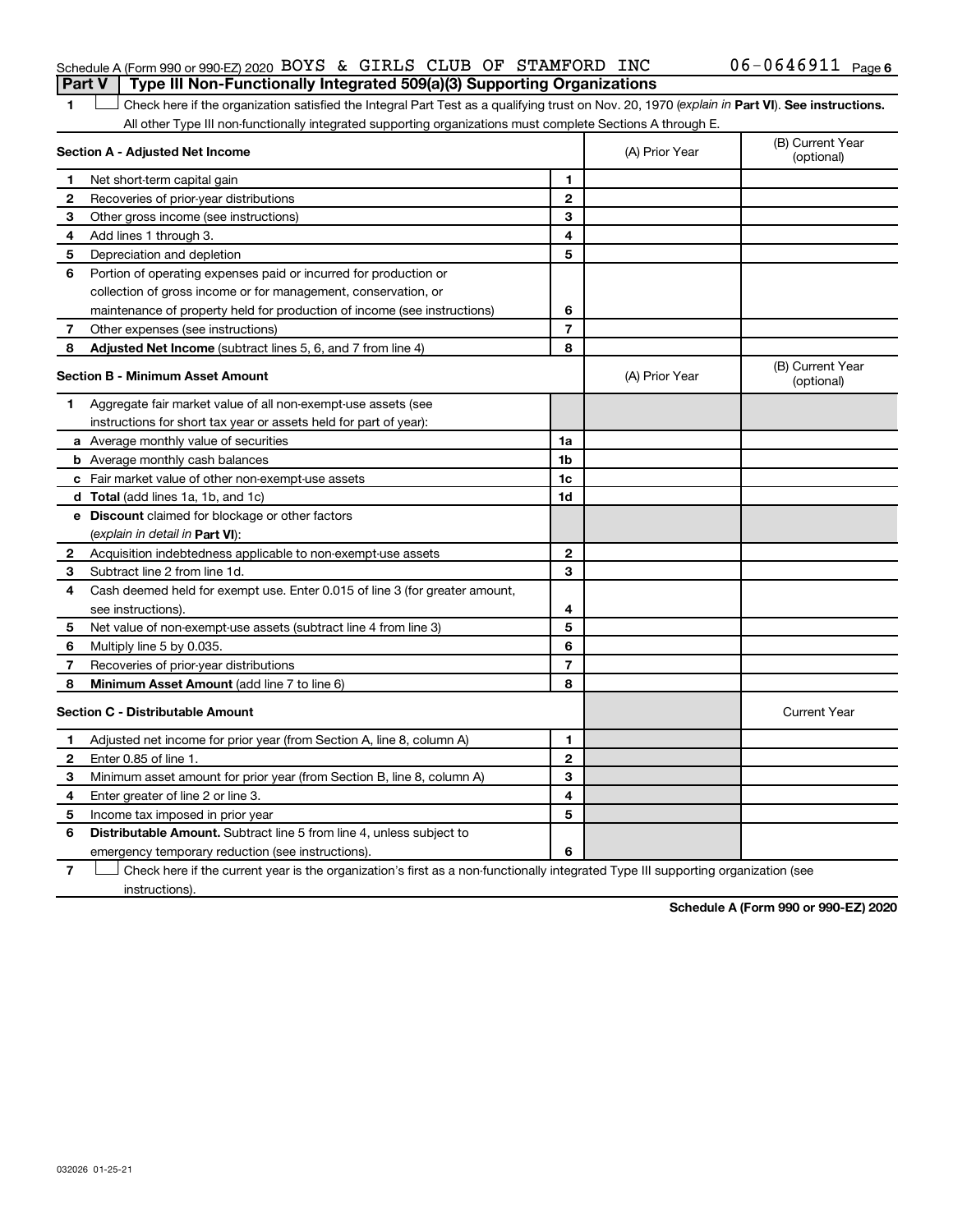### Schedule A (Form 990 or 990-EZ) 2020 BOYS & GIRLS CLUB OF STAMFORD INC  $06-0646911$  Page **Part V Type III Non-Functionally Integrated 509(a)(3) Supporting Organizations**

1 **Letter See instructions.** Check here if the organization satisfied the Integral Part Test as a qualifying trust on Nov. 20, 1970 (*explain in* Part **VI**). See instructions. All other Type III non-functionally integrated supporting organizations must complete Sections A through E.

|              | Section A - Adjusted Net Income                                             | (A) Prior Year | (B) Current Year<br>(optional) |                                |
|--------------|-----------------------------------------------------------------------------|----------------|--------------------------------|--------------------------------|
| 1            | Net short-term capital gain                                                 | 1              |                                |                                |
| 2            | Recoveries of prior-year distributions                                      | $\mathbf{2}$   |                                |                                |
| 3            | Other gross income (see instructions)                                       | 3              |                                |                                |
| 4            | Add lines 1 through 3.                                                      | 4              |                                |                                |
| 5            | Depreciation and depletion                                                  | 5              |                                |                                |
| 6            | Portion of operating expenses paid or incurred for production or            |                |                                |                                |
|              | collection of gross income or for management, conservation, or              |                |                                |                                |
|              | maintenance of property held for production of income (see instructions)    | 6              |                                |                                |
| 7            | Other expenses (see instructions)                                           | $\overline{7}$ |                                |                                |
| 8            | Adjusted Net Income (subtract lines 5, 6, and 7 from line 4)                | 8              |                                |                                |
|              | <b>Section B - Minimum Asset Amount</b>                                     |                | (A) Prior Year                 | (B) Current Year<br>(optional) |
| 1.           | Aggregate fair market value of all non-exempt-use assets (see               |                |                                |                                |
|              | instructions for short tax year or assets held for part of year):           |                |                                |                                |
|              | a Average monthly value of securities                                       | 1a             |                                |                                |
|              | <b>b</b> Average monthly cash balances                                      | 1b             |                                |                                |
|              | c Fair market value of other non-exempt-use assets                          | 1c             |                                |                                |
|              | d Total (add lines 1a, 1b, and 1c)                                          | 1d             |                                |                                |
|              | <b>e</b> Discount claimed for blockage or other factors                     |                |                                |                                |
|              | (explain in detail in <b>Part VI</b> ):                                     |                |                                |                                |
| 2            | Acquisition indebtedness applicable to non-exempt-use assets                | $\mathbf{2}$   |                                |                                |
| З            | Subtract line 2 from line 1d.                                               | 3              |                                |                                |
| 4            | Cash deemed held for exempt use. Enter 0.015 of line 3 (for greater amount, |                |                                |                                |
|              | see instructions)                                                           | 4              |                                |                                |
| 5            | Net value of non-exempt-use assets (subtract line 4 from line 3)            | 5              |                                |                                |
| 6            | Multiply line 5 by 0.035.                                                   | 6              |                                |                                |
| 7            | Recoveries of prior-year distributions                                      | 7              |                                |                                |
| 8            | Minimum Asset Amount (add line 7 to line 6)                                 | 8              |                                |                                |
|              | <b>Section C - Distributable Amount</b>                                     |                |                                | <b>Current Year</b>            |
| $\mathbf 1$  | Adjusted net income for prior year (from Section A, line 8, column A)       | 1              |                                |                                |
| $\mathbf{2}$ | Enter 0.85 of line 1.                                                       | $\mathbf{2}$   |                                |                                |
| 3            | Minimum asset amount for prior year (from Section B, line 8, column A)      | 3              |                                |                                |
| 4            | Enter greater of line 2 or line 3.                                          | 4              |                                |                                |
| 5            | Income tax imposed in prior year                                            | 5              |                                |                                |
| 6            | <b>Distributable Amount.</b> Subtract line 5 from line 4, unless subject to |                |                                |                                |
|              | emergency temporary reduction (see instructions).                           | 6              |                                |                                |
|              |                                                                             |                |                                |                                |

**7** Let Check here if the current year is the organization's first as a non-functionally integrated Type III supporting organization (see instructions).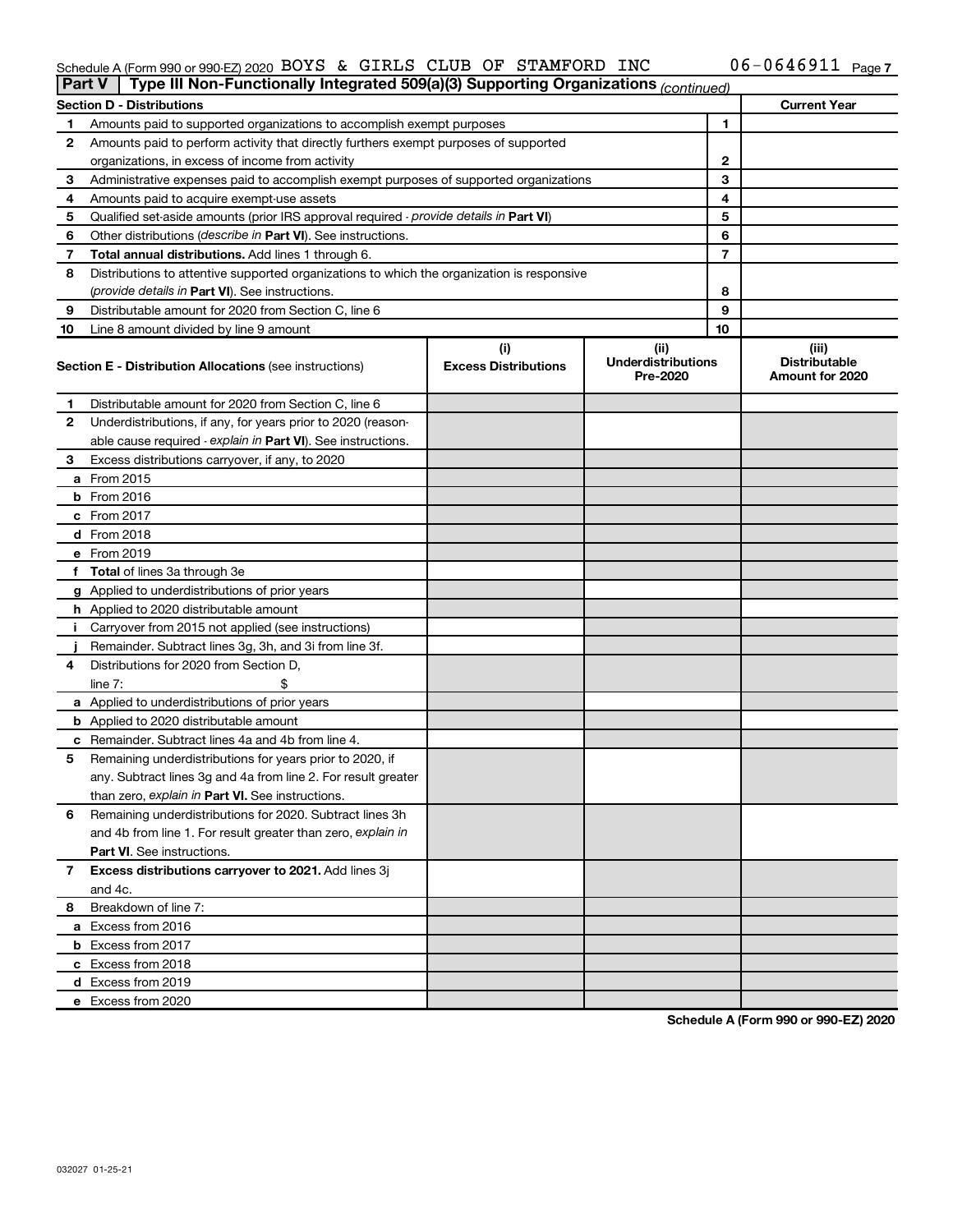#### Schedule A (Form 990 or 990-EZ) 2020 BOYS & GIRLS CLUB OF STAMFORD INC  $0 - 0.046911$  Page BOYS & GIRLS CLUB OF STAMFORD INC 06-0646911

| <b>Part V</b> | Type III Non-Functionally Integrated 509(a)(3) Supporting Organizations (continued)        |                             |                                       |    |                                                |
|---------------|--------------------------------------------------------------------------------------------|-----------------------------|---------------------------------------|----|------------------------------------------------|
|               | <b>Section D - Distributions</b>                                                           |                             |                                       |    | <b>Current Year</b>                            |
| 1             | Amounts paid to supported organizations to accomplish exempt purposes                      |                             | $\mathbf{1}$                          |    |                                                |
| 2             | Amounts paid to perform activity that directly furthers exempt purposes of supported       |                             |                                       |    |                                                |
|               | organizations, in excess of income from activity                                           |                             | $\mathbf{2}$                          |    |                                                |
| 3             | Administrative expenses paid to accomplish exempt purposes of supported organizations      |                             | 3                                     |    |                                                |
| 4             | Amounts paid to acquire exempt-use assets                                                  |                             |                                       | 4  |                                                |
| 5             | Qualified set-aside amounts (prior IRS approval required - provide details in Part VI)     |                             |                                       | 5  |                                                |
| 6             | Other distributions ( <i>describe in Part VI</i> ). See instructions.                      |                             |                                       | 6  |                                                |
| 7             | Total annual distributions. Add lines 1 through 6.                                         |                             |                                       | 7  |                                                |
| 8             | Distributions to attentive supported organizations to which the organization is responsive |                             |                                       |    |                                                |
|               | (provide details in Part VI). See instructions.                                            |                             |                                       | 8  |                                                |
| 9             | Distributable amount for 2020 from Section C, line 6                                       |                             |                                       | 9  |                                                |
| 10            | Line 8 amount divided by line 9 amount                                                     |                             |                                       | 10 |                                                |
|               |                                                                                            | (i)                         | (ii)                                  |    | (iii)                                          |
|               | <b>Section E - Distribution Allocations (see instructions)</b>                             | <b>Excess Distributions</b> | <b>Underdistributions</b><br>Pre-2020 |    | <b>Distributable</b><br><b>Amount for 2020</b> |
| 1             | Distributable amount for 2020 from Section C, line 6                                       |                             |                                       |    |                                                |
| 2             | Underdistributions, if any, for years prior to 2020 (reason-                               |                             |                                       |    |                                                |
|               | able cause required - explain in Part VI). See instructions.                               |                             |                                       |    |                                                |
| 3             | Excess distributions carryover, if any, to 2020                                            |                             |                                       |    |                                                |
|               | a From 2015                                                                                |                             |                                       |    |                                                |
|               | <b>b</b> From 2016                                                                         |                             |                                       |    |                                                |
|               | c From 2017                                                                                |                             |                                       |    |                                                |
|               | d From 2018                                                                                |                             |                                       |    |                                                |
|               | e From 2019                                                                                |                             |                                       |    |                                                |
|               | f Total of lines 3a through 3e                                                             |                             |                                       |    |                                                |
|               | g Applied to underdistributions of prior years                                             |                             |                                       |    |                                                |
|               | <b>h</b> Applied to 2020 distributable amount                                              |                             |                                       |    |                                                |
| Ť.            | Carryover from 2015 not applied (see instructions)                                         |                             |                                       |    |                                                |
|               | Remainder. Subtract lines 3g, 3h, and 3i from line 3f.                                     |                             |                                       |    |                                                |
| 4             | Distributions for 2020 from Section D,                                                     |                             |                                       |    |                                                |
|               | line $7:$                                                                                  |                             |                                       |    |                                                |
|               | a Applied to underdistributions of prior years                                             |                             |                                       |    |                                                |
|               | <b>b</b> Applied to 2020 distributable amount                                              |                             |                                       |    |                                                |
|               | c Remainder. Subtract lines 4a and 4b from line 4.                                         |                             |                                       |    |                                                |
| 5             | Remaining underdistributions for years prior to 2020, if                                   |                             |                                       |    |                                                |
|               | any. Subtract lines 3g and 4a from line 2. For result greater                              |                             |                                       |    |                                                |
|               | than zero, explain in Part VI. See instructions.                                           |                             |                                       |    |                                                |
| 6             | Remaining underdistributions for 2020. Subtract lines 3h                                   |                             |                                       |    |                                                |
|               | and 4b from line 1. For result greater than zero, explain in                               |                             |                                       |    |                                                |
|               | <b>Part VI.</b> See instructions.                                                          |                             |                                       |    |                                                |
| 7             | Excess distributions carryover to 2021. Add lines 3j                                       |                             |                                       |    |                                                |
|               | and 4c.                                                                                    |                             |                                       |    |                                                |
| 8             | Breakdown of line 7:                                                                       |                             |                                       |    |                                                |
|               | a Excess from 2016                                                                         |                             |                                       |    |                                                |
|               | <b>b</b> Excess from 2017                                                                  |                             |                                       |    |                                                |
|               | c Excess from 2018                                                                         |                             |                                       |    |                                                |
|               | d Excess from 2019                                                                         |                             |                                       |    |                                                |
|               | e Excess from 2020                                                                         |                             |                                       |    |                                                |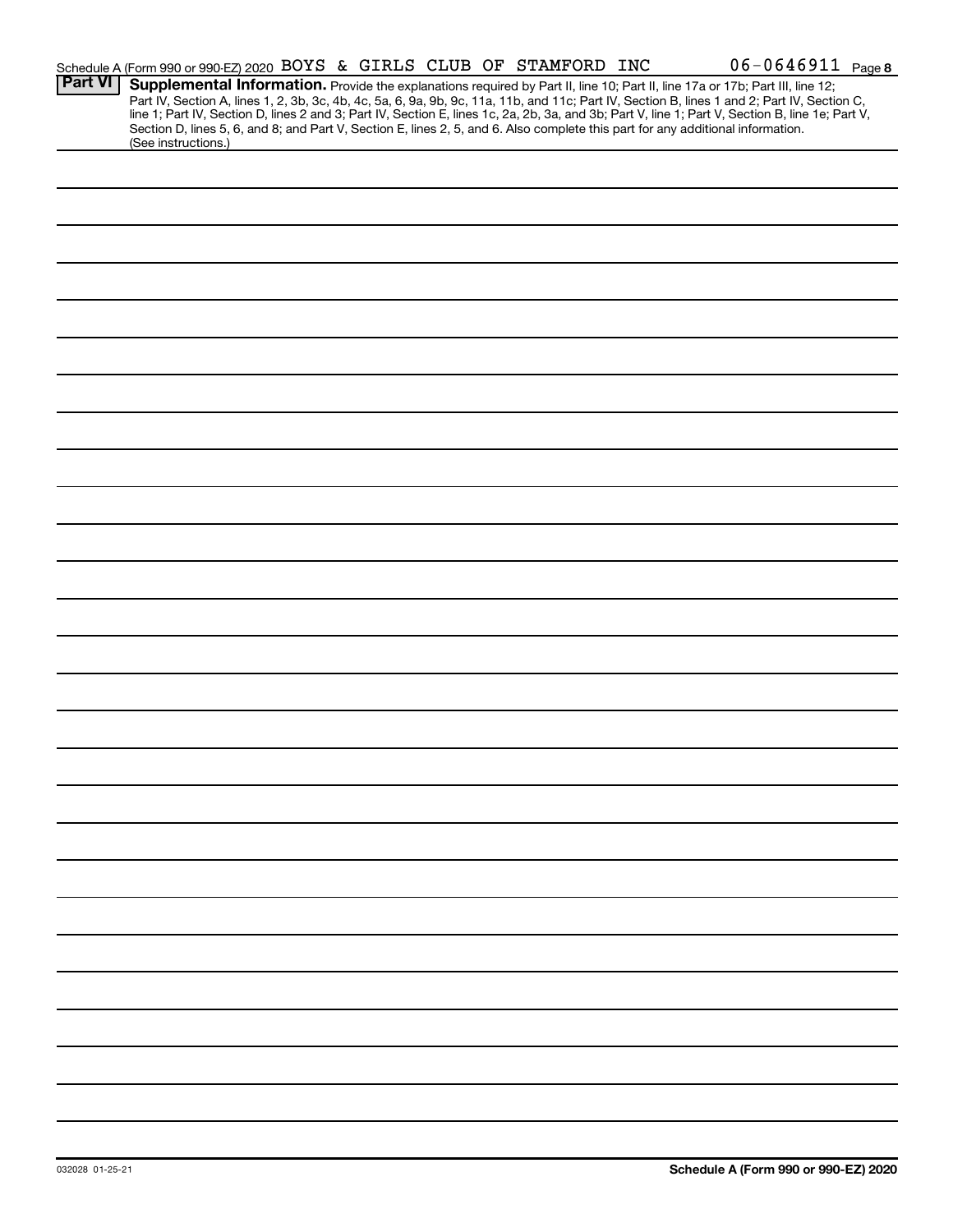|                | Schedule A (Form 990 or 990-EZ) 2020 BOYS & GIRLS CLUB OF STAMFORD INC                                                                                                                                                                                                                  |  |  | $06 - 0646911$ Page 8                                                                                                                                                                                                                                                                            |
|----------------|-----------------------------------------------------------------------------------------------------------------------------------------------------------------------------------------------------------------------------------------------------------------------------------------|--|--|--------------------------------------------------------------------------------------------------------------------------------------------------------------------------------------------------------------------------------------------------------------------------------------------------|
| <b>Part VI</b> | Supplemental Information. Provide the explanations required by Part II, line 10; Part II, line 17a or 17b; Part III, line 12;<br>Section D, lines 5, 6, and 8; and Part V, Section E, lines 2, 5, and 6. Also complete this part for any additional information.<br>(See instructions.) |  |  | Part IV, Section A, lines 1, 2, 3b, 3c, 4b, 4c, 5a, 6, 9a, 9b, 9c, 11a, 11b, and 11c; Part IV, Section B, lines 1 and 2; Part IV, Section C,<br>line 1; Part IV, Section D, lines 2 and 3; Part IV, Section E, lines 1c, 2a, 2b, 3a, and 3b; Part V, line 1; Part V, Section B, line 1e; Part V, |
|                |                                                                                                                                                                                                                                                                                         |  |  |                                                                                                                                                                                                                                                                                                  |
|                |                                                                                                                                                                                                                                                                                         |  |  |                                                                                                                                                                                                                                                                                                  |
|                |                                                                                                                                                                                                                                                                                         |  |  |                                                                                                                                                                                                                                                                                                  |
|                |                                                                                                                                                                                                                                                                                         |  |  |                                                                                                                                                                                                                                                                                                  |
|                |                                                                                                                                                                                                                                                                                         |  |  |                                                                                                                                                                                                                                                                                                  |
|                |                                                                                                                                                                                                                                                                                         |  |  |                                                                                                                                                                                                                                                                                                  |
|                |                                                                                                                                                                                                                                                                                         |  |  |                                                                                                                                                                                                                                                                                                  |
|                |                                                                                                                                                                                                                                                                                         |  |  |                                                                                                                                                                                                                                                                                                  |
|                |                                                                                                                                                                                                                                                                                         |  |  |                                                                                                                                                                                                                                                                                                  |
|                |                                                                                                                                                                                                                                                                                         |  |  |                                                                                                                                                                                                                                                                                                  |
|                |                                                                                                                                                                                                                                                                                         |  |  |                                                                                                                                                                                                                                                                                                  |
|                |                                                                                                                                                                                                                                                                                         |  |  |                                                                                                                                                                                                                                                                                                  |
|                |                                                                                                                                                                                                                                                                                         |  |  |                                                                                                                                                                                                                                                                                                  |
|                |                                                                                                                                                                                                                                                                                         |  |  |                                                                                                                                                                                                                                                                                                  |
|                |                                                                                                                                                                                                                                                                                         |  |  |                                                                                                                                                                                                                                                                                                  |
|                |                                                                                                                                                                                                                                                                                         |  |  |                                                                                                                                                                                                                                                                                                  |
|                |                                                                                                                                                                                                                                                                                         |  |  |                                                                                                                                                                                                                                                                                                  |
|                |                                                                                                                                                                                                                                                                                         |  |  |                                                                                                                                                                                                                                                                                                  |
|                |                                                                                                                                                                                                                                                                                         |  |  |                                                                                                                                                                                                                                                                                                  |
|                |                                                                                                                                                                                                                                                                                         |  |  |                                                                                                                                                                                                                                                                                                  |
|                |                                                                                                                                                                                                                                                                                         |  |  |                                                                                                                                                                                                                                                                                                  |
|                |                                                                                                                                                                                                                                                                                         |  |  |                                                                                                                                                                                                                                                                                                  |
|                |                                                                                                                                                                                                                                                                                         |  |  |                                                                                                                                                                                                                                                                                                  |
|                |                                                                                                                                                                                                                                                                                         |  |  |                                                                                                                                                                                                                                                                                                  |
|                |                                                                                                                                                                                                                                                                                         |  |  |                                                                                                                                                                                                                                                                                                  |
|                |                                                                                                                                                                                                                                                                                         |  |  |                                                                                                                                                                                                                                                                                                  |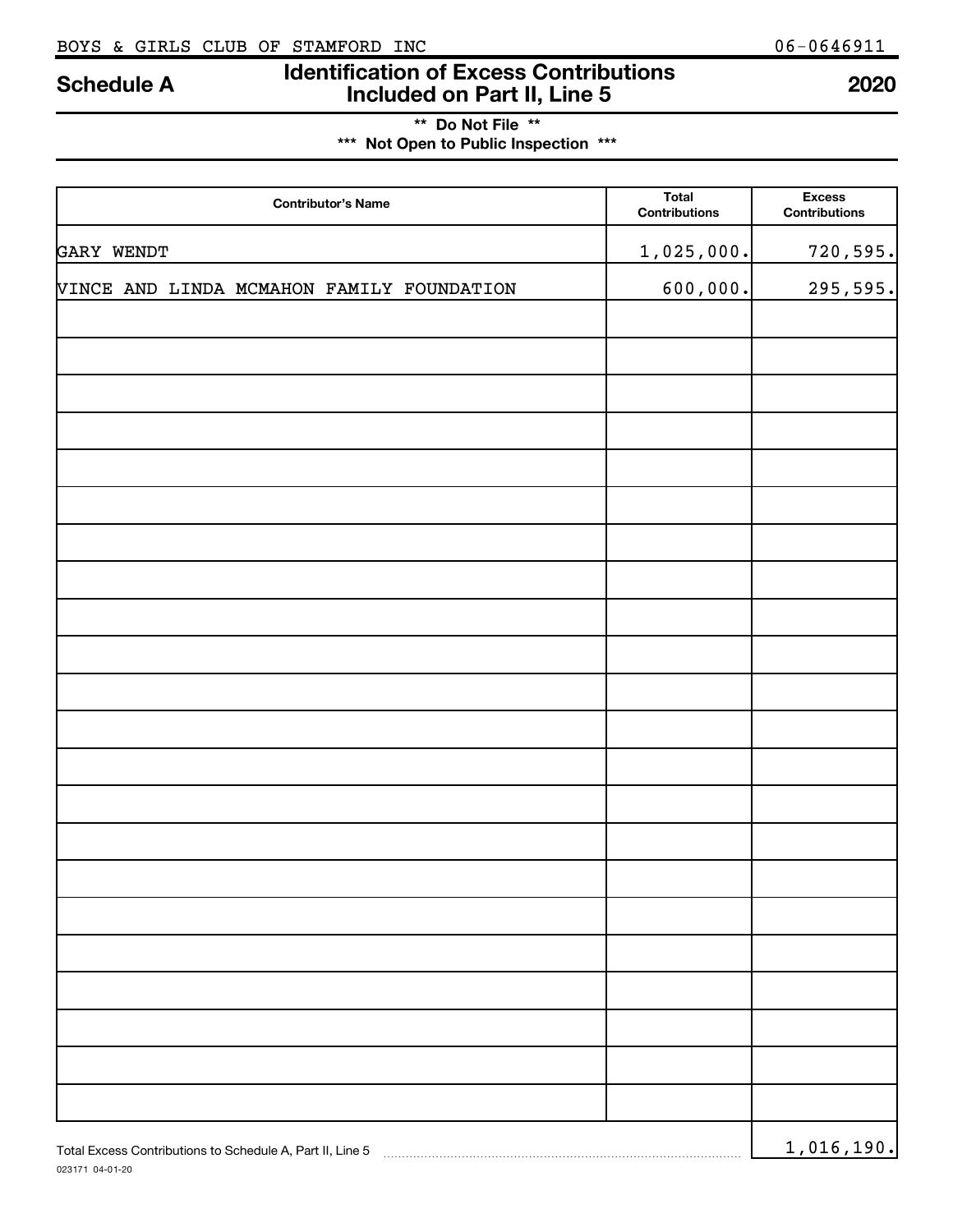023171 04-01-20

### **Identification of Excess Contributions Included on Part II, Line 5 Schedule A <sup>2020</sup>**

### **\*\* Do Not File \*\* \*\*\* Not Open to Public Inspection \*\*\***

| <b>Contributor's Name</b>                                 | Total<br><b>Contributions</b> | <b>Excess</b><br><b>Contributions</b> |
|-----------------------------------------------------------|-------------------------------|---------------------------------------|
| GARY WENDT                                                | 1,025,000.                    | 720,595.                              |
| VINCE AND LINDA MCMAHON FAMILY FOUNDATION                 | 600,000.                      | 295,595.                              |
|                                                           |                               |                                       |
|                                                           |                               |                                       |
|                                                           |                               |                                       |
|                                                           |                               |                                       |
|                                                           |                               |                                       |
|                                                           |                               |                                       |
|                                                           |                               |                                       |
|                                                           |                               |                                       |
|                                                           |                               |                                       |
|                                                           |                               |                                       |
|                                                           |                               |                                       |
|                                                           |                               |                                       |
|                                                           |                               |                                       |
|                                                           |                               |                                       |
|                                                           |                               |                                       |
|                                                           |                               |                                       |
|                                                           |                               |                                       |
|                                                           |                               |                                       |
|                                                           |                               |                                       |
|                                                           |                               |                                       |
|                                                           |                               |                                       |
| Total Excess Contributions to Schedule A, Part II, Line 5 |                               | 1,016,190.                            |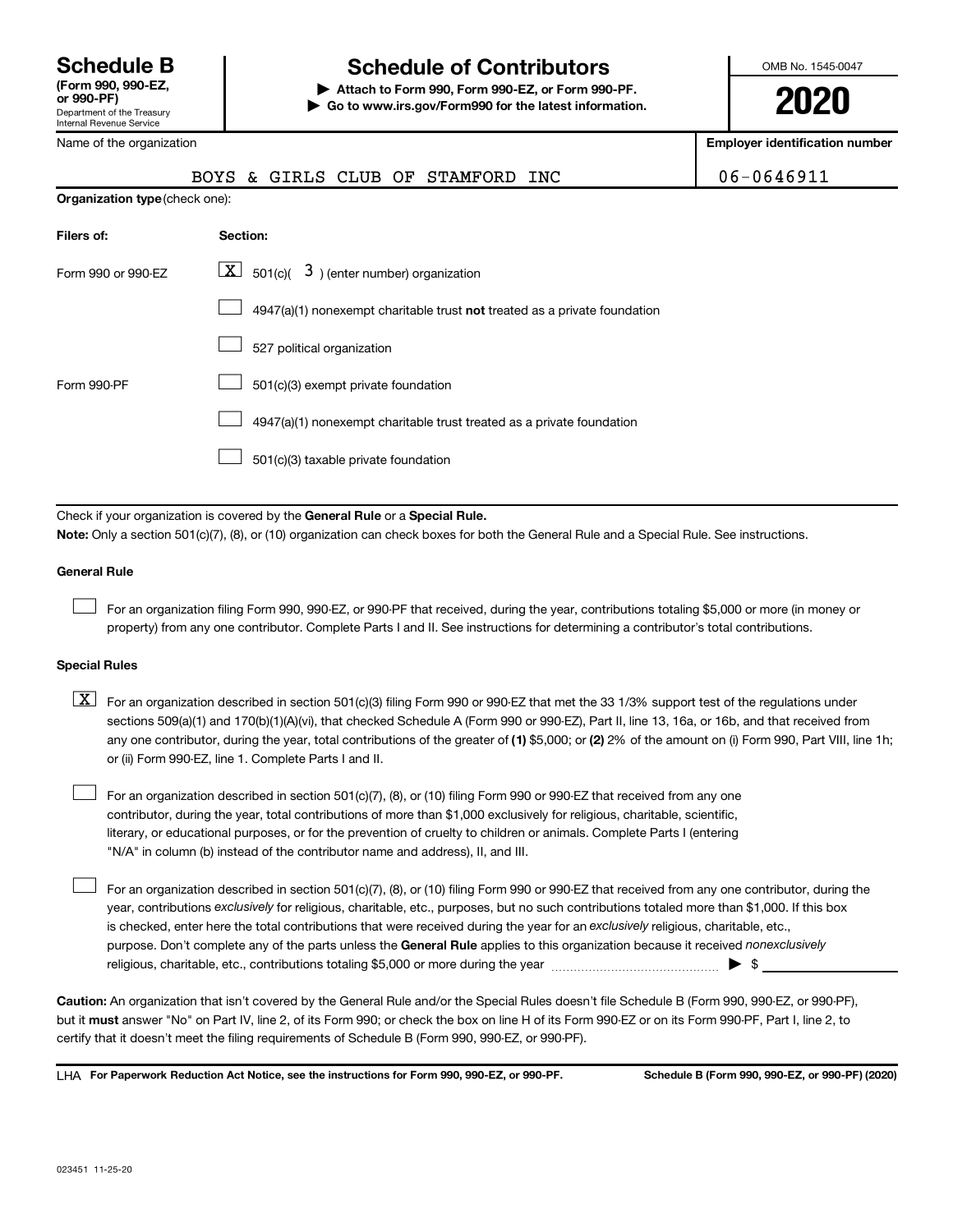### **Schedule B Schedule of Contributors**

**or 990-PF) | Attach to Form 990, Form 990-EZ, or Form 990-PF. | Go to www.irs.gov/Form990 for the latest information.** OMB No. 1545-0047

**2020**

**Employer identification number**

| Name of the organization       | <b>Employer identification num</b>                                        |            |
|--------------------------------|---------------------------------------------------------------------------|------------|
|                                | BOYS & GIRLS CLUB OF STAMFORD INC                                         | 06-0646911 |
| Organization type (check one): |                                                                           |            |
| Filers of:                     | Section:                                                                  |            |
| Form 990 or 990-EZ             | $\lfloor x \rfloor$ 501(c)( 3) (enter number) organization                |            |
|                                | 4947(a)(1) nonexempt charitable trust not treated as a private foundation |            |
|                                | 527 political organization                                                |            |
| Form 990-PF                    | 501(c)(3) exempt private foundation                                       |            |
|                                | 4947(a)(1) nonexempt charitable trust treated as a private foundation     |            |
|                                | 501(c)(3) taxable private foundation                                      |            |

Check if your organization is covered by the General Rule or a Special Rule.

#### **Note:**  Only a section 501(c)(7), (8), or (10) organization can check boxes for both the General Rule and a Special Rule. See instructions.

#### **General Rule**

 $\Box$ 

 $\Box$ 

For an organization filing Form 990, 990-EZ, or 990-PF that received, during the year, contributions totaling \$5,000 or more (in money or property) from any one contributor. Complete Parts I and II. See instructions for determining a contributor's total contributions.

#### **Special Rules**

- any one contributor, during the year, total contributions of the greater of (1) \$5,000; or (2) 2% of the amount on (i) Form 990, Part VIII, line 1h;  $\boxed{\text{X}}$  For an organization described in section 501(c)(3) filing Form 990 or 990-EZ that met the 33 1/3% support test of the regulations under sections 509(a)(1) and 170(b)(1)(A)(vi), that checked Schedule A (Form 990 or 990-EZ), Part II, line 13, 16a, or 16b, and that received from or (ii) Form 990-EZ, line 1. Complete Parts I and II.
- For an organization described in section 501(c)(7), (8), or (10) filing Form 990 or 990-EZ that received from any one contributor, during the year, total contributions of more than \$1,000 exclusively for religious, charitable, scientific, literary, or educational purposes, or for the prevention of cruelty to children or animals. Complete Parts I (entering "N/A" in column (b) instead of the contributor name and address), II, and III.  $\Box$

purpose. Don't complete any of the parts unless the General Rule applies to this organization because it received nonexclusively year, contributions exclusively for religious, charitable, etc., purposes, but no such contributions totaled more than \$1,000. If this box is checked, enter here the total contributions that were received during the year for an exclusively religious, charitable, etc., For an organization described in section 501(c)(7), (8), or (10) filing Form 990 or 990-EZ that received from any one contributor, during the religious, charitable, etc., contributions totaling \$5,000 or more during the year  $~\ldots\ldots\ldots\ldots\ldots\ldots\ldots\ldots\blacktriangleright~$ \$

**Caution:**  An organization that isn't covered by the General Rule and/or the Special Rules doesn't file Schedule B (Form 990, 990-EZ, or 990-PF),  **must** but it answer "No" on Part IV, line 2, of its Form 990; or check the box on line H of its Form 990-EZ or on its Form 990-PF, Part I, line 2, to certify that it doesn't meet the filing requirements of Schedule B (Form 990, 990-EZ, or 990-PF).

**For Paperwork Reduction Act Notice, see the instructions for Form 990, 990-EZ, or 990-PF. Schedule B (Form 990, 990-EZ, or 990-PF) (2020)** LHA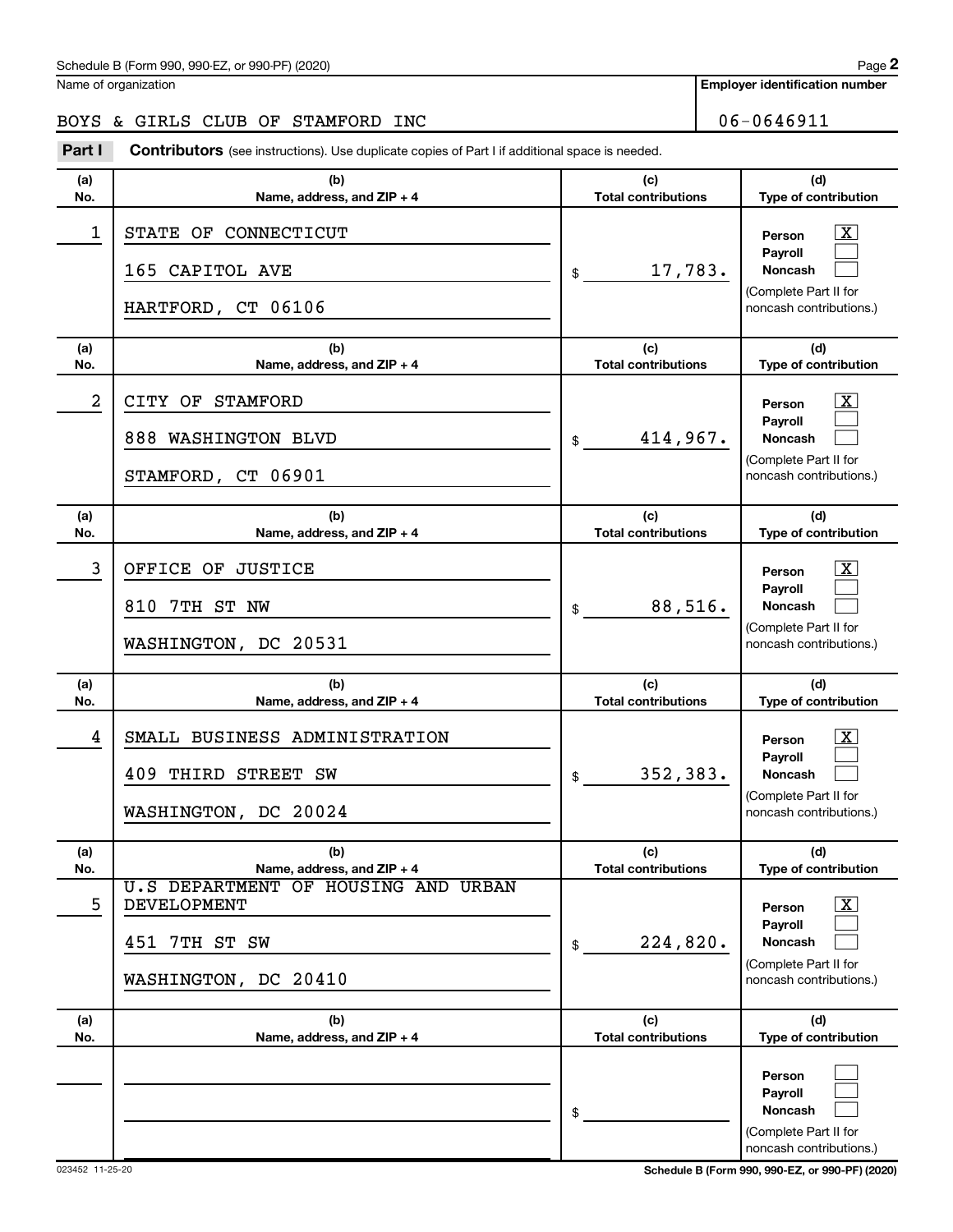**Employer identification number**

### BOYS & GIRLS CLUB OF STAMFORD INC 06-0646911

**Part I** Contributors (see instructions). Use duplicate copies of Part I if additional space is needed.

| (a)        | (b)                                                                                                          | (c)                               | (d)                                                                                                              |
|------------|--------------------------------------------------------------------------------------------------------------|-----------------------------------|------------------------------------------------------------------------------------------------------------------|
| No.        | Name, address, and ZIP + 4                                                                                   | <b>Total contributions</b>        | Type of contribution                                                                                             |
| 1          | STATE OF CONNECTICUT<br>165 CAPITOL AVE<br>HARTFORD, CT 06106                                                | 17,783.<br>\$                     | $\overline{\text{X}}$<br>Person<br>Payroll<br>Noncash<br>(Complete Part II for<br>noncash contributions.)        |
| (a)<br>No. | (b)<br>Name, address, and ZIP + 4                                                                            | (c)<br><b>Total contributions</b> | (d)<br>Type of contribution                                                                                      |
| 2          | CITY OF STAMFORD                                                                                             |                                   | $\overline{\text{X}}$<br>Person                                                                                  |
|            | 888 WASHINGTON BLVD<br>STAMFORD, CT 06901                                                                    | 414,967.<br>\$                    | Payroll<br>Noncash<br>(Complete Part II for<br>noncash contributions.)                                           |
| (a)<br>No. | (b)<br>Name, address, and ZIP + 4                                                                            | (c)<br><b>Total contributions</b> | (d)<br>Type of contribution                                                                                      |
| 3          | OFFICE OF JUSTICE<br>810 7TH ST NW<br>WASHINGTON, DC 20531                                                   | 88,516.<br>\$                     | $\overline{\text{X}}$<br>Person<br>Payroll<br>Noncash<br>(Complete Part II for<br>noncash contributions.)        |
| (a)<br>No. | (b)<br>Name, address, and ZIP + 4                                                                            | (c)<br><b>Total contributions</b> | (d)<br>Type of contribution                                                                                      |
| 4          | SMALL BUSINESS ADMINISTRATION<br>409<br>THIRD STREET<br>SW<br>WASHINGTON, DC 20024                           | 352,383.<br>\$                    | $\overline{\text{X}}$<br>Person<br>Payroll<br><b>Noncash</b><br>(Complete Part II for<br>noncash contributions.) |
| (a)<br>No. | (b)<br>Name, address, and ZIP + 4                                                                            | (c)<br><b>Total contributions</b> | (d)<br>Type of contribution                                                                                      |
| 5          | <b>U.S DEPARTMENT OF HOUSING AND URBAN</b><br><b>DEVELOPMENT</b><br>7TH ST SW<br>451<br>WASHINGTON, DC 20410 | 224,820.<br>\$                    | $\overline{\text{X}}$<br>Person<br>Payroll<br><b>Noncash</b><br>(Complete Part II for<br>noncash contributions.) |
| (a)<br>No. | (b)<br>Name, address, and ZIP + 4                                                                            | (c)<br><b>Total contributions</b> | (d)<br>Type of contribution                                                                                      |
|            |                                                                                                              | \$                                | Person<br>Payroll<br><b>Noncash</b><br>(Complete Part II for<br>noncash contributions.)                          |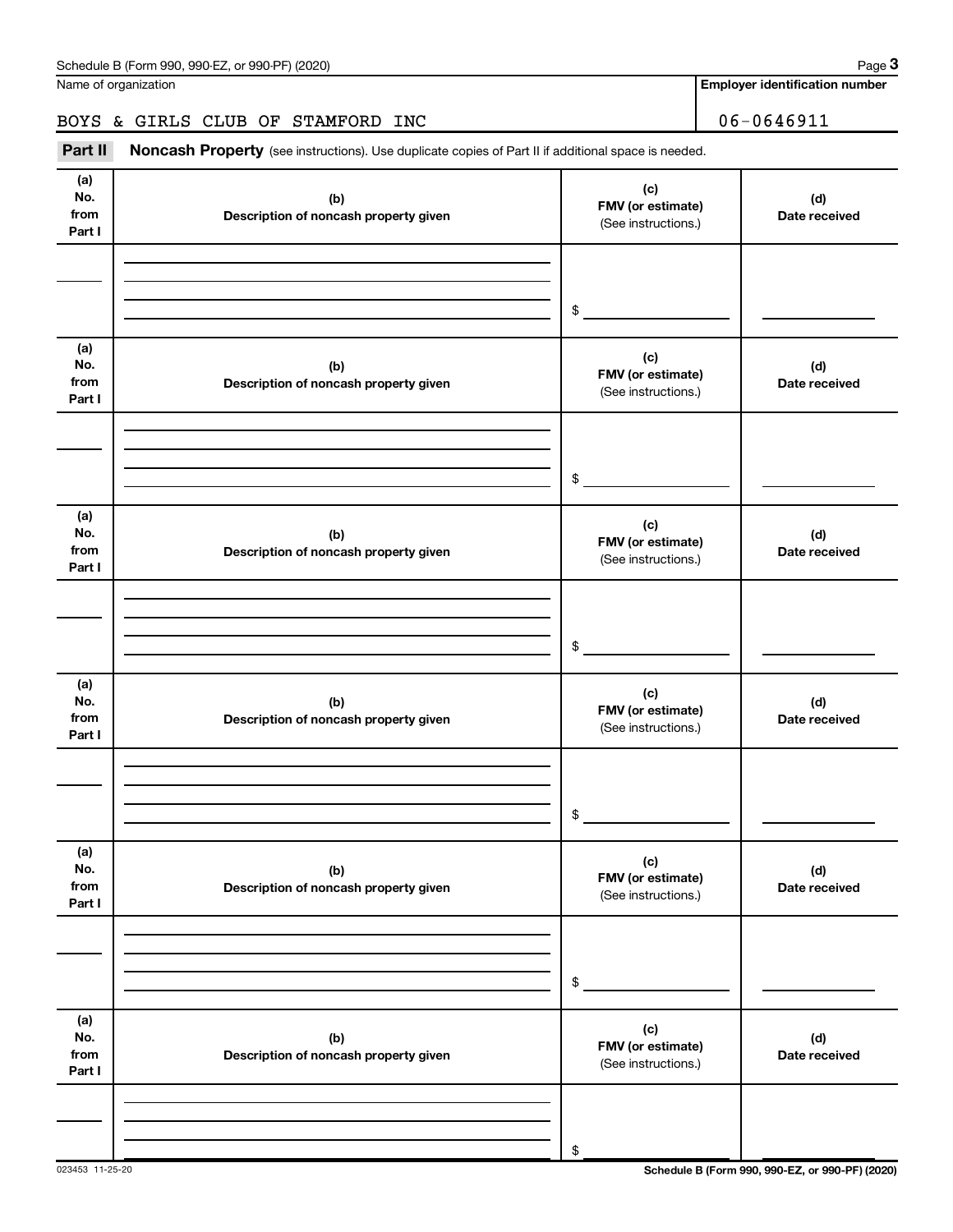Name of organization

**Employer identification number**

### BOYS & GIRLS CLUB OF STAMFORD INC 06-0646911

Part II Noncash Property (see instructions). Use duplicate copies of Part II if additional space is needed.

| (a)<br>No.<br>from<br>Part I | (b)<br>Description of noncash property given | (c)<br>FMV (or estimate)<br>(See instructions.) | (d)<br>Date received |
|------------------------------|----------------------------------------------|-------------------------------------------------|----------------------|
|                              |                                              |                                                 |                      |
|                              |                                              | $$\mathbb{S}$$                                  |                      |
| (a)<br>No.<br>from<br>Part I | (b)<br>Description of noncash property given | (c)<br>FMV (or estimate)<br>(See instructions.) | (d)<br>Date received |
|                              |                                              |                                                 |                      |
|                              |                                              | $$\mathbb{S}$$                                  |                      |
| (a)<br>No.<br>from<br>Part I | (b)<br>Description of noncash property given | (c)<br>FMV (or estimate)<br>(See instructions.) | (d)<br>Date received |
|                              |                                              |                                                 |                      |
|                              |                                              | \$                                              |                      |
| (a)<br>No.<br>from<br>Part I | (b)<br>Description of noncash property given | (c)<br>FMV (or estimate)<br>(See instructions.) | (d)<br>Date received |
|                              |                                              |                                                 |                      |
|                              |                                              | $\$$                                            |                      |
| (a)<br>No.<br>from<br>Part I | (b)<br>Description of noncash property given | (c)<br>FMV (or estimate)<br>(See instructions.) | (d)<br>Date received |
|                              |                                              |                                                 |                      |
|                              |                                              | $\$$                                            |                      |
| (a)<br>No.<br>from<br>Part I | (b)<br>Description of noncash property given | (c)<br>FMV (or estimate)<br>(See instructions.) | (d)<br>Date received |
|                              |                                              |                                                 |                      |
|                              |                                              | \$                                              |                      |

023453 11-25-20 **Schedule B (Form 990, 990-EZ, or 990-PF) (2020)**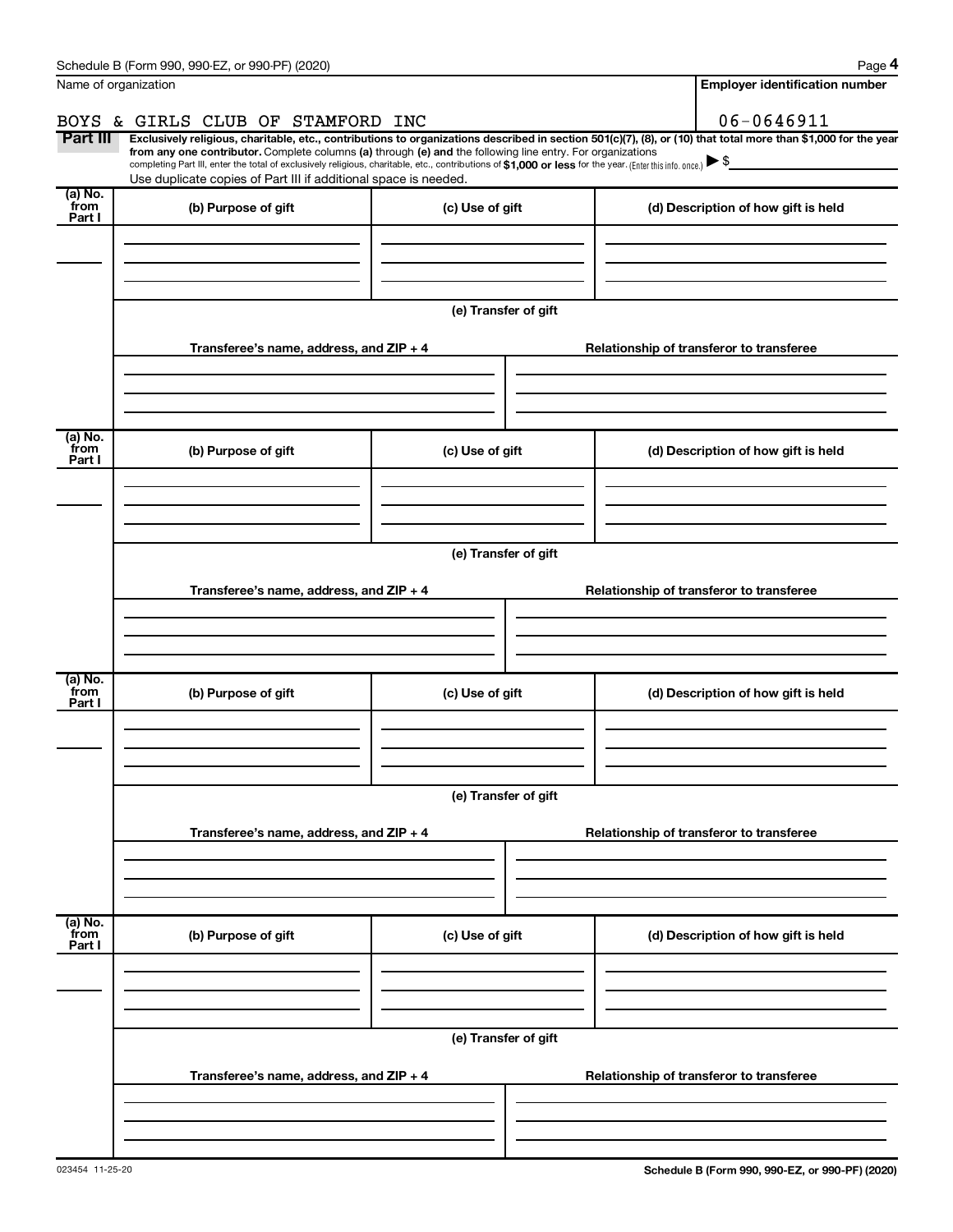|                           | Schedule B (Form 990, 990-EZ, or 990-PF) (2020)                                                                                                                                                                                                                                                 |                      | Page 4                                                                                                                                                         |  |  |
|---------------------------|-------------------------------------------------------------------------------------------------------------------------------------------------------------------------------------------------------------------------------------------------------------------------------------------------|----------------------|----------------------------------------------------------------------------------------------------------------------------------------------------------------|--|--|
| Name of organization      |                                                                                                                                                                                                                                                                                                 |                      | <b>Employer identification number</b>                                                                                                                          |  |  |
| BOYS                      | & GIRLS CLUB OF STAMFORD INC                                                                                                                                                                                                                                                                    |                      | 06-0646911                                                                                                                                                     |  |  |
| Part III                  | from any one contributor. Complete columns (a) through (e) and the following line entry. For organizations<br>completing Part III, enter the total of exclusively religious, charitable, etc., contributions of \$1,000 or less for the year. (Enter this info. once.) $\blacktriangleright$ \$ |                      | Exclusively religious, charitable, etc., contributions to organizations described in section 501(c)(7), (8), or (10) that total more than \$1,000 for the year |  |  |
|                           | Use duplicate copies of Part III if additional space is needed.                                                                                                                                                                                                                                 |                      |                                                                                                                                                                |  |  |
| (a) No.<br>from<br>Part I | (b) Purpose of gift                                                                                                                                                                                                                                                                             | (c) Use of gift      | (d) Description of how gift is held                                                                                                                            |  |  |
|                           |                                                                                                                                                                                                                                                                                                 |                      |                                                                                                                                                                |  |  |
|                           |                                                                                                                                                                                                                                                                                                 |                      |                                                                                                                                                                |  |  |
|                           |                                                                                                                                                                                                                                                                                                 | (e) Transfer of gift |                                                                                                                                                                |  |  |
|                           | Transferee's name, address, and ZIP + 4                                                                                                                                                                                                                                                         |                      | Relationship of transferor to transferee                                                                                                                       |  |  |
|                           |                                                                                                                                                                                                                                                                                                 |                      |                                                                                                                                                                |  |  |
| (a) No.<br>from<br>Part I | (b) Purpose of gift                                                                                                                                                                                                                                                                             | (c) Use of gift      | (d) Description of how gift is held                                                                                                                            |  |  |
|                           |                                                                                                                                                                                                                                                                                                 |                      |                                                                                                                                                                |  |  |
|                           |                                                                                                                                                                                                                                                                                                 |                      |                                                                                                                                                                |  |  |
|                           |                                                                                                                                                                                                                                                                                                 | (e) Transfer of gift |                                                                                                                                                                |  |  |
|                           | Transferee's name, address, and ZIP + 4                                                                                                                                                                                                                                                         |                      | Relationship of transferor to transferee                                                                                                                       |  |  |
|                           |                                                                                                                                                                                                                                                                                                 |                      |                                                                                                                                                                |  |  |
| (a) No.<br>from<br>Part I | (b) Purpose of gift                                                                                                                                                                                                                                                                             | (c) Use of gift      | (d) Description of how gift is held                                                                                                                            |  |  |
|                           |                                                                                                                                                                                                                                                                                                 |                      |                                                                                                                                                                |  |  |
|                           |                                                                                                                                                                                                                                                                                                 |                      |                                                                                                                                                                |  |  |
|                           |                                                                                                                                                                                                                                                                                                 | (e) Transfer of gift |                                                                                                                                                                |  |  |
|                           | Transferee's name, address, and ZIP + 4                                                                                                                                                                                                                                                         |                      | Relationship of transferor to transferee                                                                                                                       |  |  |
|                           |                                                                                                                                                                                                                                                                                                 |                      |                                                                                                                                                                |  |  |
| (a) No.<br>from           |                                                                                                                                                                                                                                                                                                 |                      |                                                                                                                                                                |  |  |
| Part I                    | (b) Purpose of gift                                                                                                                                                                                                                                                                             | (c) Use of gift      | (d) Description of how gift is held                                                                                                                            |  |  |
|                           |                                                                                                                                                                                                                                                                                                 |                      |                                                                                                                                                                |  |  |
|                           |                                                                                                                                                                                                                                                                                                 | (e) Transfer of gift |                                                                                                                                                                |  |  |
|                           | Transferee's name, address, and ZIP + 4                                                                                                                                                                                                                                                         |                      | Relationship of transferor to transferee                                                                                                                       |  |  |
|                           |                                                                                                                                                                                                                                                                                                 |                      |                                                                                                                                                                |  |  |
|                           |                                                                                                                                                                                                                                                                                                 |                      |                                                                                                                                                                |  |  |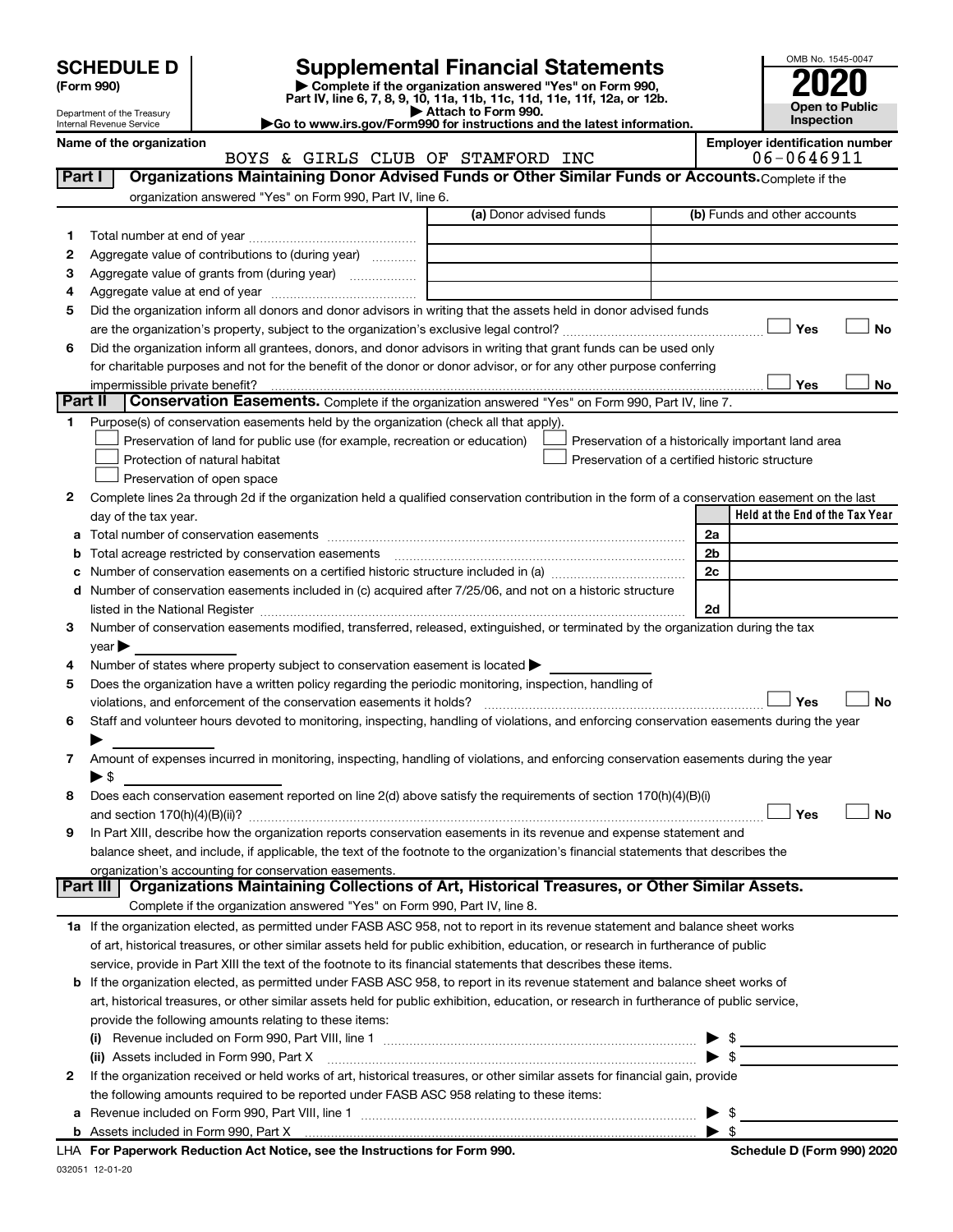| (Form 990) |  |
|------------|--|
|------------|--|

032051 12-01-20

# **SCHEDULE D Supplemental Financial Statements**<br> **Form 990 2020**<br> **Part IV** line 6.7.8.9.10, 11a, 11b, 11d, 11d, 11d, 11d, 11d, 12a, 0r, 12b

**(Form 990) | Complete if the organization answered "Yes" on Form 990, Part IV, line 6, 7, 8, 9, 10, 11a, 11b, 11c, 11d, 11e, 11f, 12a, or 12b.**



Department of the Treasury Internal Revenue Service

**| Attach to Form 990. |Go to www.irs.gov/Form990 for instructions and the latest information.**

|              | Name of the organization<br>BOYS & GIRLS CLUB OF STAMFORD INC                                                                                  | <b>Employer identification number</b><br>06-0646911 |
|--------------|------------------------------------------------------------------------------------------------------------------------------------------------|-----------------------------------------------------|
| Part I       | Organizations Maintaining Donor Advised Funds or Other Similar Funds or Accounts. Complete if the                                              |                                                     |
|              | organization answered "Yes" on Form 990, Part IV, line 6.                                                                                      |                                                     |
|              | (a) Donor advised funds                                                                                                                        | (b) Funds and other accounts                        |
| 1            |                                                                                                                                                |                                                     |
| 2            | Aggregate value of contributions to (during year)                                                                                              |                                                     |
| З            | Aggregate value of grants from (during year)                                                                                                   |                                                     |
| 4            |                                                                                                                                                |                                                     |
| 5            | Did the organization inform all donors and donor advisors in writing that the assets held in donor advised funds                               |                                                     |
|              |                                                                                                                                                | <b>No</b><br>Yes                                    |
| 6            | Did the organization inform all grantees, donors, and donor advisors in writing that grant funds can be used only                              |                                                     |
|              | for charitable purposes and not for the benefit of the donor or donor advisor, or for any other purpose conferring                             |                                                     |
|              | impermissible private benefit?                                                                                                                 | Yes<br>No                                           |
| Part II      | Conservation Easements. Complete if the organization answered "Yes" on Form 990, Part IV, line 7.                                              |                                                     |
|              | Purpose(s) of conservation easements held by the organization (check all that apply).                                                          |                                                     |
|              | Preservation of land for public use (for example, recreation or education)                                                                     | Preservation of a historically important land area  |
|              | Protection of natural habitat<br>Preservation of a certified historic structure                                                                |                                                     |
|              | Preservation of open space                                                                                                                     |                                                     |
| 2            | Complete lines 2a through 2d if the organization held a qualified conservation contribution in the form of a conservation easement on the last |                                                     |
|              | day of the tax year.                                                                                                                           | Held at the End of the Tax Year                     |
| а            |                                                                                                                                                | 2a                                                  |
|              | Total acreage restricted by conservation easements [11] [12] Total acreage restricted by conservation easements                                | 2b                                                  |
| с            |                                                                                                                                                | 2c                                                  |
| d            | Number of conservation easements included in (c) acquired after 7/25/06, and not on a historic structure                                       |                                                     |
|              |                                                                                                                                                | 2d                                                  |
| 3            | Number of conservation easements modified, transferred, released, extinguished, or terminated by the organization during the tax               |                                                     |
|              | vear                                                                                                                                           |                                                     |
| 4            | Number of states where property subject to conservation easement is located >                                                                  |                                                     |
| 5            | Does the organization have a written policy regarding the periodic monitoring, inspection, handling of                                         |                                                     |
|              | violations, and enforcement of the conservation easements it holds?                                                                            | Yes<br><b>No</b>                                    |
| 6            | Staff and volunteer hours devoted to monitoring, inspecting, handling of violations, and enforcing conservation easements during the year      |                                                     |
|              |                                                                                                                                                |                                                     |
| 7            | Amount of expenses incurred in monitoring, inspecting, handling of violations, and enforcing conservation easements during the year            |                                                     |
|              | $\blacktriangleright$ \$                                                                                                                       |                                                     |
| 8            | Does each conservation easement reported on line 2(d) above satisfy the requirements of section 170(h)(4)(B)(i)                                | Yes<br>No                                           |
|              | In Part XIII, describe how the organization reports conservation easements in its revenue and expense statement and                            |                                                     |
|              | balance sheet, and include, if applicable, the text of the footnote to the organization's financial statements that describes the              |                                                     |
|              | organization's accounting for conservation easements.                                                                                          |                                                     |
| Part III     | Organizations Maintaining Collections of Art, Historical Treasures, or Other Similar Assets.                                                   |                                                     |
|              | Complete if the organization answered "Yes" on Form 990, Part IV, line 8.                                                                      |                                                     |
|              | 1a If the organization elected, as permitted under FASB ASC 958, not to report in its revenue statement and balance sheet works                |                                                     |
|              | of art, historical treasures, or other similar assets held for public exhibition, education, or research in furtherance of public              |                                                     |
|              | service, provide in Part XIII the text of the footnote to its financial statements that describes these items.                                 |                                                     |
| b            | If the organization elected, as permitted under FASB ASC 958, to report in its revenue statement and balance sheet works of                    |                                                     |
|              | art, historical treasures, or other similar assets held for public exhibition, education, or research in furtherance of public service,        |                                                     |
|              | provide the following amounts relating to these items:                                                                                         |                                                     |
|              |                                                                                                                                                | \$                                                  |
|              | (ii) Assets included in Form 990, Part X                                                                                                       | \$                                                  |
| $\mathbf{2}$ | If the organization received or held works of art, historical treasures, or other similar assets for financial gain, provide                   |                                                     |
|              | the following amounts required to be reported under FASB ASC 958 relating to these items:                                                      |                                                     |
|              |                                                                                                                                                | \$                                                  |
|              |                                                                                                                                                | $\blacktriangleright$ s                             |
|              | LHA For Paperwork Reduction Act Notice, see the Instructions for Form 990.                                                                     | Schedule D (Form 990) 2020                          |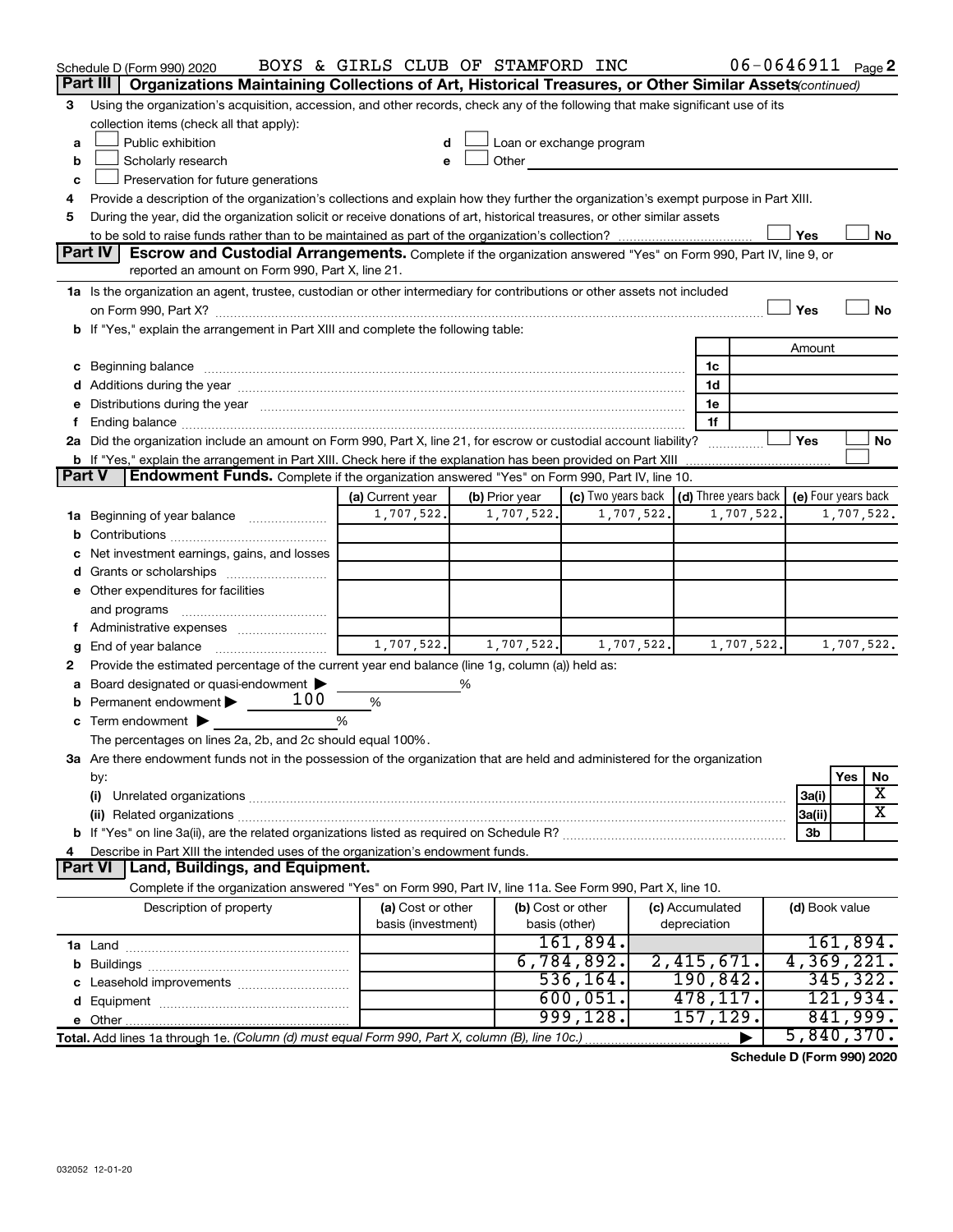|        | Schedule D (Form 990) 2020                                                                                                                                                                                                     | BOYS & GIRLS CLUB OF STAMFORD INC |   |                   |                                                                                                                                                                                                                               |            |                        | $06 - 0646911$ Page 2 |                |            |    |
|--------|--------------------------------------------------------------------------------------------------------------------------------------------------------------------------------------------------------------------------------|-----------------------------------|---|-------------------|-------------------------------------------------------------------------------------------------------------------------------------------------------------------------------------------------------------------------------|------------|------------------------|-----------------------|----------------|------------|----|
|        | Part III<br>Organizations Maintaining Collections of Art, Historical Treasures, or Other Similar Assets (continued)                                                                                                            |                                   |   |                   |                                                                                                                                                                                                                               |            |                        |                       |                |            |    |
| 3      | Using the organization's acquisition, accession, and other records, check any of the following that make significant use of its                                                                                                |                                   |   |                   |                                                                                                                                                                                                                               |            |                        |                       |                |            |    |
|        | collection items (check all that apply):                                                                                                                                                                                       |                                   |   |                   |                                                                                                                                                                                                                               |            |                        |                       |                |            |    |
| a      | Public exhibition                                                                                                                                                                                                              |                                   |   |                   | Loan or exchange program                                                                                                                                                                                                      |            |                        |                       |                |            |    |
| b      | Scholarly research                                                                                                                                                                                                             | e                                 |   |                   | Other and the contract of the contract of the contract of the contract of the contract of the contract of the contract of the contract of the contract of the contract of the contract of the contract of the contract of the |            |                        |                       |                |            |    |
| c      | Preservation for future generations                                                                                                                                                                                            |                                   |   |                   |                                                                                                                                                                                                                               |            |                        |                       |                |            |    |
| 4      | Provide a description of the organization's collections and explain how they further the organization's exempt purpose in Part XIII.                                                                                           |                                   |   |                   |                                                                                                                                                                                                                               |            |                        |                       |                |            |    |
| 5      | During the year, did the organization solicit or receive donations of art, historical treasures, or other similar assets                                                                                                       |                                   |   |                   |                                                                                                                                                                                                                               |            |                        |                       |                |            |    |
|        |                                                                                                                                                                                                                                |                                   |   |                   |                                                                                                                                                                                                                               |            |                        |                       | Yes            |            | No |
|        | <b>Part IV</b><br>Escrow and Custodial Arrangements. Complete if the organization answered "Yes" on Form 990, Part IV, line 9, or                                                                                              |                                   |   |                   |                                                                                                                                                                                                                               |            |                        |                       |                |            |    |
|        | reported an amount on Form 990, Part X, line 21.                                                                                                                                                                               |                                   |   |                   |                                                                                                                                                                                                                               |            |                        |                       |                |            |    |
|        | 1a Is the organization an agent, trustee, custodian or other intermediary for contributions or other assets not included                                                                                                       |                                   |   |                   |                                                                                                                                                                                                                               |            |                        |                       |                |            |    |
|        |                                                                                                                                                                                                                                |                                   |   |                   |                                                                                                                                                                                                                               |            |                        |                       | Yes            |            | No |
|        | b If "Yes," explain the arrangement in Part XIII and complete the following table:                                                                                                                                             |                                   |   |                   |                                                                                                                                                                                                                               |            |                        |                       |                |            |    |
|        |                                                                                                                                                                                                                                |                                   |   |                   |                                                                                                                                                                                                                               |            |                        |                       | Amount         |            |    |
|        | c Beginning balance measurements and the contract of the contract of the contract of the contract of the contract of the contract of the contract of the contract of the contract of the contract of the contract of the contr |                                   |   |                   |                                                                                                                                                                                                                               |            | 1c                     |                       |                |            |    |
|        |                                                                                                                                                                                                                                |                                   |   |                   |                                                                                                                                                                                                                               |            | 1d                     |                       |                |            |    |
|        | e Distributions during the year manufactured and continuum control of the control of the control of the state of the control of the control of the control of the control of the control of the control of the control of the  |                                   |   |                   |                                                                                                                                                                                                                               |            | 1e                     |                       |                |            |    |
|        | 2a Did the organization include an amount on Form 990, Part X, line 21, for escrow or custodial account liability?                                                                                                             |                                   |   |                   |                                                                                                                                                                                                                               |            | 1f                     |                       | Yes            |            | No |
|        | <b>b</b> If "Yes," explain the arrangement in Part XIII. Check here if the explanation has been provided on Part XIII                                                                                                          |                                   |   |                   |                                                                                                                                                                                                                               |            |                        |                       |                |            |    |
| Part V | Endowment Funds. Complete if the organization answered "Yes" on Form 990, Part IV, line 10.                                                                                                                                    |                                   |   |                   |                                                                                                                                                                                                                               |            |                        |                       |                |            |    |
|        |                                                                                                                                                                                                                                | (a) Current year                  |   | (b) Prior year    | (c) Two years back $\vert$ (d) Three years back $\vert$ (e) Four years back                                                                                                                                                   |            |                        |                       |                |            |    |
|        | <b>1a</b> Beginning of year balance                                                                                                                                                                                            | 1,707,522.                        |   | 1,707,522.        |                                                                                                                                                                                                                               | 1,707,522. |                        | 1,707,522.            |                | 1,707,522. |    |
|        |                                                                                                                                                                                                                                |                                   |   |                   |                                                                                                                                                                                                                               |            |                        |                       |                |            |    |
|        | Net investment earnings, gains, and losses                                                                                                                                                                                     |                                   |   |                   |                                                                                                                                                                                                                               |            |                        |                       |                |            |    |
|        |                                                                                                                                                                                                                                |                                   |   |                   |                                                                                                                                                                                                                               |            |                        |                       |                |            |    |
|        | e Other expenditures for facilities                                                                                                                                                                                            |                                   |   |                   |                                                                                                                                                                                                                               |            |                        |                       |                |            |    |
|        | and programs                                                                                                                                                                                                                   |                                   |   |                   |                                                                                                                                                                                                                               |            |                        |                       |                |            |    |
|        |                                                                                                                                                                                                                                |                                   |   |                   |                                                                                                                                                                                                                               |            |                        |                       |                |            |    |
| g      | End of year balance                                                                                                                                                                                                            | 1,707,522.                        |   | 1,707,522.        |                                                                                                                                                                                                                               | 1,707,522. |                        | 1,707,522.            |                | 1,707,522. |    |
| 2      | Provide the estimated percentage of the current year end balance (line 1g, column (a)) held as:                                                                                                                                |                                   |   |                   |                                                                                                                                                                                                                               |            |                        |                       |                |            |    |
|        | Board designated or quasi-endowment                                                                                                                                                                                            |                                   | % |                   |                                                                                                                                                                                                                               |            |                        |                       |                |            |    |
|        | 100<br>Permanent endowment                                                                                                                                                                                                     | %                                 |   |                   |                                                                                                                                                                                                                               |            |                        |                       |                |            |    |
|        | <b>c</b> Term endowment $\blacktriangleright$                                                                                                                                                                                  | %                                 |   |                   |                                                                                                                                                                                                                               |            |                        |                       |                |            |    |
|        | The percentages on lines 2a, 2b, and 2c should equal 100%.                                                                                                                                                                     |                                   |   |                   |                                                                                                                                                                                                                               |            |                        |                       |                |            |    |
|        | 3a Are there endowment funds not in the possession of the organization that are held and administered for the organization                                                                                                     |                                   |   |                   |                                                                                                                                                                                                                               |            |                        |                       |                |            |    |
|        | by:                                                                                                                                                                                                                            |                                   |   |                   |                                                                                                                                                                                                                               |            |                        |                       |                | Yes        | No |
|        | (i)                                                                                                                                                                                                                            |                                   |   |                   |                                                                                                                                                                                                                               |            |                        |                       | 3a(i)          |            | х  |
|        |                                                                                                                                                                                                                                |                                   |   |                   |                                                                                                                                                                                                                               |            |                        |                       | 3a(ii)         |            | х  |
|        |                                                                                                                                                                                                                                |                                   |   |                   |                                                                                                                                                                                                                               |            |                        |                       | 3b             |            |    |
|        | Describe in Part XIII the intended uses of the organization's endowment funds.                                                                                                                                                 |                                   |   |                   |                                                                                                                                                                                                                               |            |                        |                       |                |            |    |
|        | Land, Buildings, and Equipment.<br>Part VI                                                                                                                                                                                     |                                   |   |                   |                                                                                                                                                                                                                               |            |                        |                       |                |            |    |
|        | Complete if the organization answered "Yes" on Form 990, Part IV, line 11a. See Form 990, Part X, line 10.                                                                                                                     |                                   |   |                   |                                                                                                                                                                                                                               |            |                        |                       |                |            |    |
|        | Description of property                                                                                                                                                                                                        | (a) Cost or other                 |   | (b) Cost or other |                                                                                                                                                                                                                               |            | (c) Accumulated        |                       | (d) Book value |            |    |
|        |                                                                                                                                                                                                                                | basis (investment)                |   | basis (other)     |                                                                                                                                                                                                                               |            | depreciation           |                       |                |            |    |
|        |                                                                                                                                                                                                                                |                                   |   |                   | 161,894.<br>6,784,892.                                                                                                                                                                                                        |            |                        |                       |                | 161,894.   |    |
|        |                                                                                                                                                                                                                                |                                   |   |                   | 536, 164.                                                                                                                                                                                                                     |            | 2,415,671.<br>190,842. |                       | 4,369,221.     | 345, 322.  |    |
|        |                                                                                                                                                                                                                                |                                   |   |                   | 600,051.                                                                                                                                                                                                                      |            | 478,117.               |                       |                | 121,934.   |    |
|        |                                                                                                                                                                                                                                |                                   |   |                   | 999, 128.                                                                                                                                                                                                                     |            | 157,129.               |                       |                | 841,999.   |    |
|        | Total. Add lines 1a through 1e. (Column (d) must equal Form 990, Part X, column (B), line 10c.)                                                                                                                                |                                   |   |                   |                                                                                                                                                                                                                               |            |                        |                       | 5,840,370.     |            |    |
|        |                                                                                                                                                                                                                                |                                   |   |                   |                                                                                                                                                                                                                               |            |                        |                       |                |            |    |

**Schedule D (Form 990) 2020**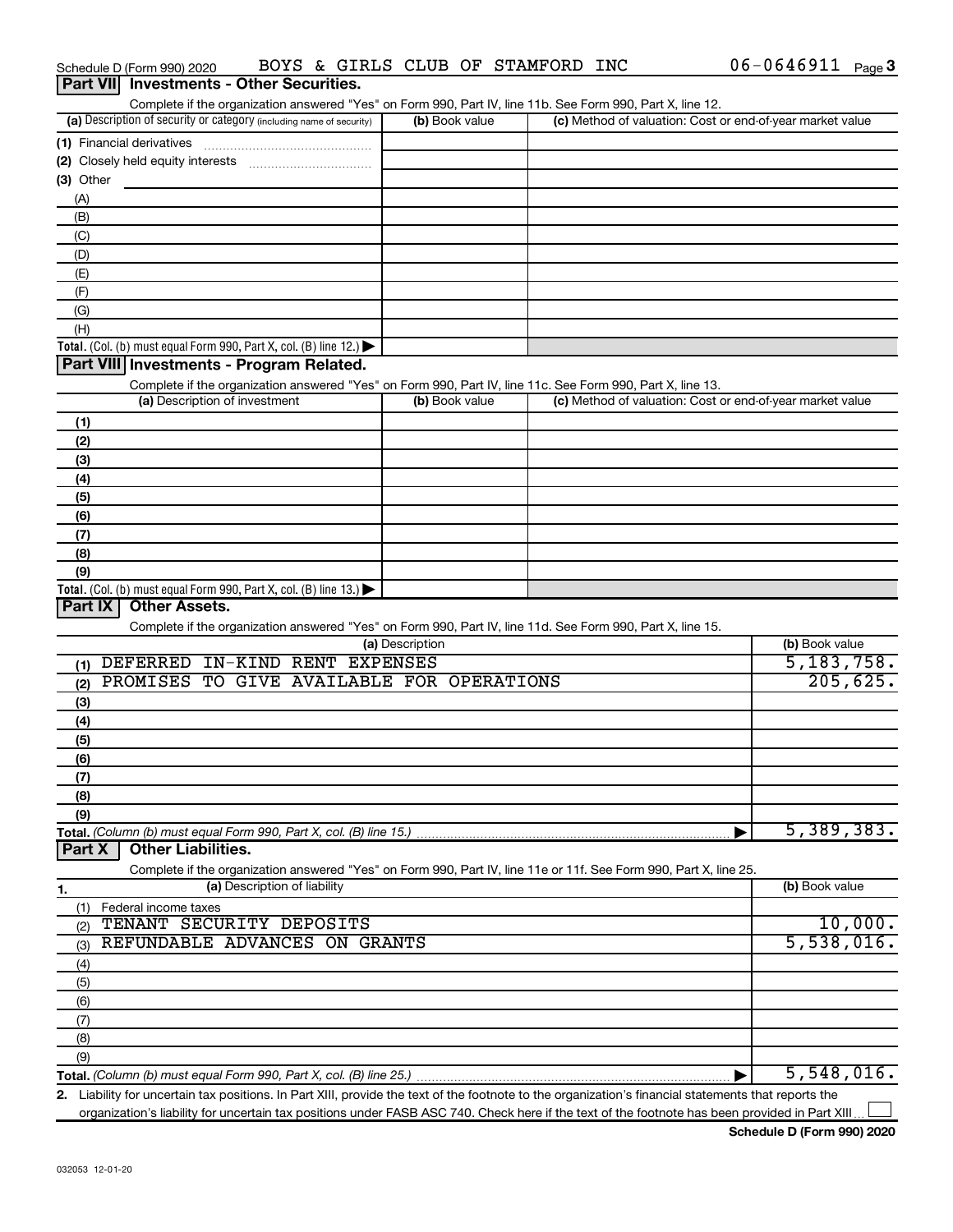|             | Part VII Investments - Other Securities.                                                                                                                                           |                 |                                                           |                |
|-------------|------------------------------------------------------------------------------------------------------------------------------------------------------------------------------------|-----------------|-----------------------------------------------------------|----------------|
|             | Complete if the organization answered "Yes" on Form 990, Part IV, line 11b. See Form 990, Part X, line 12.<br>(a) Description of security or category (including name of security) | (b) Book value  | (c) Method of valuation: Cost or end-of-year market value |                |
|             |                                                                                                                                                                                    |                 |                                                           |                |
|             | (1) Financial derivatives                                                                                                                                                          |                 |                                                           |                |
| $(3)$ Other |                                                                                                                                                                                    |                 |                                                           |                |
| (A)         |                                                                                                                                                                                    |                 |                                                           |                |
| (B)         |                                                                                                                                                                                    |                 |                                                           |                |
| (C)         |                                                                                                                                                                                    |                 |                                                           |                |
| (D)         |                                                                                                                                                                                    |                 |                                                           |                |
| (E)         |                                                                                                                                                                                    |                 |                                                           |                |
| (F)         |                                                                                                                                                                                    |                 |                                                           |                |
| (G)         |                                                                                                                                                                                    |                 |                                                           |                |
| (H)         |                                                                                                                                                                                    |                 |                                                           |                |
|             | Total. (Col. (b) must equal Form 990, Part X, col. (B) line 12.)                                                                                                                   |                 |                                                           |                |
|             | Part VIII Investments - Program Related.                                                                                                                                           |                 |                                                           |                |
|             | Complete if the organization answered "Yes" on Form 990, Part IV, line 11c. See Form 990, Part X, line 13.                                                                         |                 |                                                           |                |
|             | (a) Description of investment                                                                                                                                                      | (b) Book value  | (c) Method of valuation: Cost or end-of-year market value |                |
| (1)         |                                                                                                                                                                                    |                 |                                                           |                |
| (2)         |                                                                                                                                                                                    |                 |                                                           |                |
| (3)         |                                                                                                                                                                                    |                 |                                                           |                |
| (4)<br>(5)  |                                                                                                                                                                                    |                 |                                                           |                |
| (6)         |                                                                                                                                                                                    |                 |                                                           |                |
| (7)         |                                                                                                                                                                                    |                 |                                                           |                |
| (8)         |                                                                                                                                                                                    |                 |                                                           |                |
| (9)         |                                                                                                                                                                                    |                 |                                                           |                |
|             | Total. (Col. (b) must equal Form 990, Part X, col. (B) line 13.) $\blacktriangleright$                                                                                             |                 |                                                           |                |
| Part IX     | <b>Other Assets.</b>                                                                                                                                                               |                 |                                                           |                |
|             | Complete if the organization answered "Yes" on Form 990, Part IV, line 11d. See Form 990, Part X, line 15.                                                                         |                 |                                                           |                |
|             |                                                                                                                                                                                    | (a) Description |                                                           | (b) Book value |
| (1)         | DEFERRED IN-KIND RENT EXPENSES                                                                                                                                                     |                 |                                                           | 5, 183, 758.   |
| (2)         | PROMISES TO GIVE AVAILABLE FOR OPERATIONS                                                                                                                                          |                 |                                                           | 205,625.       |
| (3)         |                                                                                                                                                                                    |                 |                                                           |                |
| (4)         |                                                                                                                                                                                    |                 |                                                           |                |
| (5)         |                                                                                                                                                                                    |                 |                                                           |                |
| (6)         |                                                                                                                                                                                    |                 |                                                           |                |
| (7)         |                                                                                                                                                                                    |                 |                                                           |                |
| (8)         |                                                                                                                                                                                    |                 |                                                           |                |
| (9)         | Total. (Column (b) must equal Form 990, Part X, col. (B) line 15.)                                                                                                                 |                 |                                                           | 5,389,383.     |
| Part X      | <b>Other Liabilities.</b>                                                                                                                                                          |                 |                                                           |                |
|             | Complete if the organization answered "Yes" on Form 990, Part IV, line 11e or 11f. See Form 990, Part X, line 25.                                                                  |                 |                                                           |                |
| 1.          | (a) Description of liability                                                                                                                                                       |                 |                                                           | (b) Book value |
| (1)         | Federal income taxes                                                                                                                                                               |                 |                                                           |                |
| (2)         | TENANT SECURITY DEPOSITS                                                                                                                                                           |                 |                                                           | 10,000.        |
| (3)         | REFUNDABLE ADVANCES ON GRANTS                                                                                                                                                      |                 |                                                           | 5,538,016.     |
| (4)         |                                                                                                                                                                                    |                 |                                                           |                |
| (5)         |                                                                                                                                                                                    |                 |                                                           |                |
| (6)         |                                                                                                                                                                                    |                 |                                                           |                |
| (7)         |                                                                                                                                                                                    |                 |                                                           |                |
| (8)         |                                                                                                                                                                                    |                 |                                                           |                |
| (9)         |                                                                                                                                                                                    |                 |                                                           |                |
|             | 2 Lighility for uncertain tay positions In Part YIII provide the text of the footnote to the organization's financial statements that reports the                                  |                 |                                                           | 5,548,016.     |

Schedule D (Form 990) 2020  $\;$  BOYS & GIRLS CLUB OF STAMFORD INC  $\;$  06-0646911  $_{\rm Page}$ 

**2.** Liability for uncertain tax positions. In Part XIII, provide the text of the footnote to the organization's financial statements that reports the organization's liability for uncertain tax positions under FASB ASC 740. Check here if the text of the footnote has been provided in Part XIII.

†

06-0646911 Page 3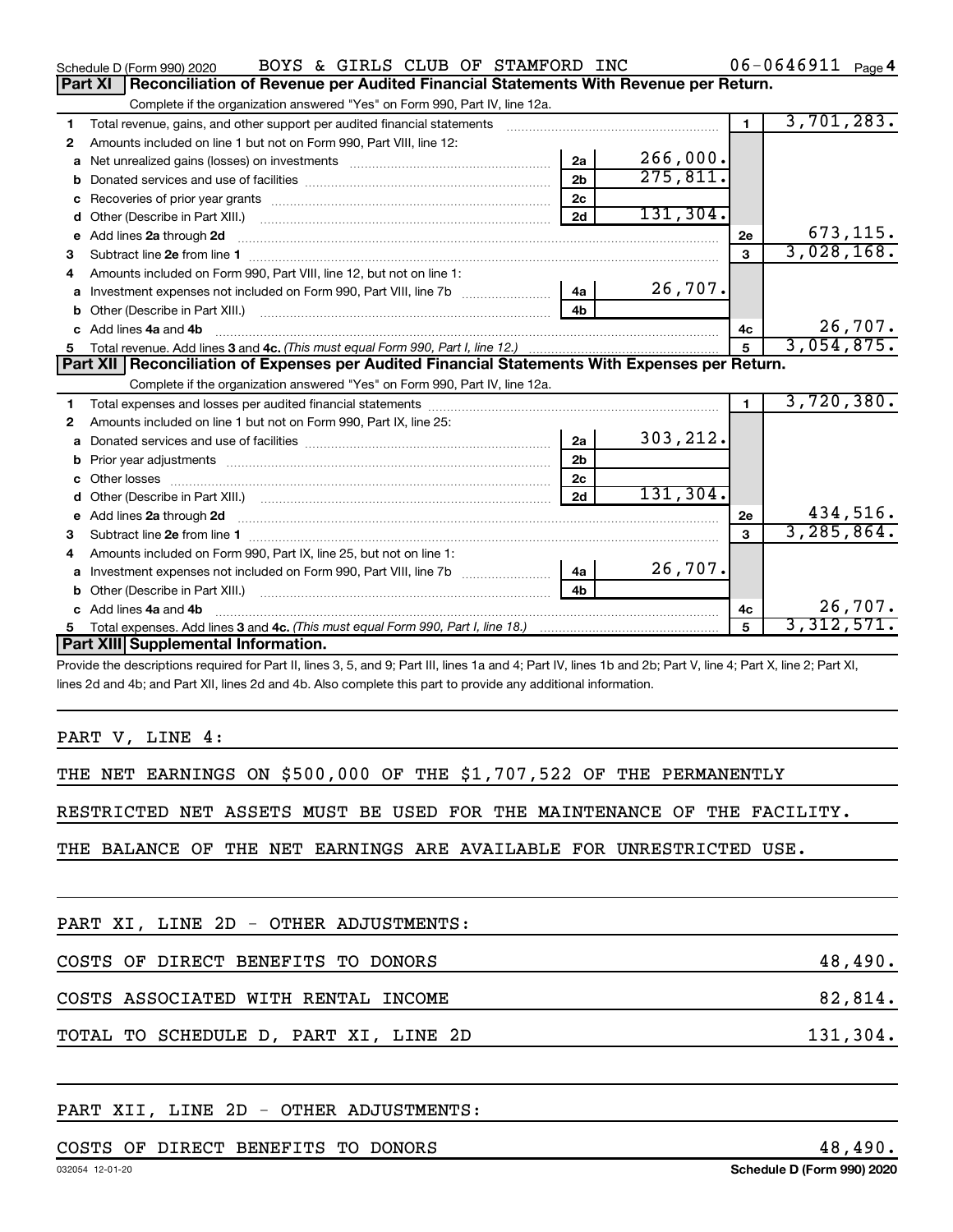|    | BOYS & GIRLS CLUB OF STAMFORD INC<br>Schedule D (Form 990) 2020                                                |                |           |                | $06 - 0646911$ Page 4 |
|----|----------------------------------------------------------------------------------------------------------------|----------------|-----------|----------------|-----------------------|
|    | Reconciliation of Revenue per Audited Financial Statements With Revenue per Return.<br>Part XI                 |                |           |                |                       |
|    | Complete if the organization answered "Yes" on Form 990, Part IV, line 12a.                                    |                |           |                |                       |
| 1  | Total revenue, gains, and other support per audited financial statements                                       |                |           | $\blacksquare$ | 3,701,283.            |
| 2  | Amounts included on line 1 but not on Form 990, Part VIII, line 12:                                            |                |           |                |                       |
| a  |                                                                                                                | 2a             | 266,000.  |                |                       |
|    |                                                                                                                | 2 <sub>b</sub> | 275,811.  |                |                       |
| c  |                                                                                                                | 2c             |           |                |                       |
| d  |                                                                                                                | 2d             | 131, 304. |                |                       |
| е  | Add lines 2a through 2d                                                                                        |                |           | 2e             | 673, 115.             |
| з  |                                                                                                                |                |           | 3              | 3,028,168.            |
| 4  | Amounts included on Form 990, Part VIII, line 12, but not on line 1:                                           |                |           |                |                       |
|    | Investment expenses not included on Form 990, Part VIII, line 7b [100] [2006]   4a                             |                | 26,707.   |                |                       |
|    |                                                                                                                | 4 <sub>h</sub> |           |                |                       |
| c. | Add lines 4a and 4b                                                                                            |                |           | 4c             | 26,707.               |
|    |                                                                                                                |                |           | 5              | 3,054,875.            |
|    |                                                                                                                |                |           |                |                       |
|    | Part XII   Reconciliation of Expenses per Audited Financial Statements With Expenses per Return.               |                |           |                |                       |
|    | Complete if the organization answered "Yes" on Form 990, Part IV, line 12a.                                    |                |           |                |                       |
| 1  |                                                                                                                |                |           | $\mathbf{1}$   | 3,720,380.            |
| 2  | Amounts included on line 1 but not on Form 990, Part IX, line 25:                                              |                |           |                |                       |
| a  |                                                                                                                | 2a             | 303, 212. |                |                       |
| b  | Prior year adjustments [11,111] Prior year adjustments [11,111] All material materials and the contract of the | 2 <sub>b</sub> |           |                |                       |
| C. |                                                                                                                | 2 <sub>c</sub> |           |                |                       |
| d  |                                                                                                                | 2d             | 131, 304. |                |                       |
|    |                                                                                                                |                |           | 2e             | 434,516.              |
| 3  |                                                                                                                |                |           | 3              | 3, 285, 864.          |
| 4  | Amounts included on Form 990, Part IX, line 25, but not on line 1:                                             |                |           |                |                       |
| a  | Investment expenses not included on Form 990, Part VIII, line 7b [                                             | 4a             | 26,707.   |                |                       |
|    |                                                                                                                | 4 <sub>b</sub> |           |                |                       |
| C. | Add lines 4a and 4b                                                                                            |                |           | 4с             | 26,707.               |
|    | Part XIII Supplemental Information.                                                                            |                |           | 5              | 3,312,571.            |

Provide the descriptions required for Part II, lines 3, 5, and 9; Part III, lines 1a and 4; Part IV, lines 1b and 2b; Part V, line 4; Part X, line 2; Part XI, lines 2d and 4b; and Part XII, lines 2d and 4b. Also complete this part to provide any additional information.

PART V, LINE 4:

THE NET EARNINGS ON \$500,000 OF THE \$1,707,522 OF THE PERMANENTLY

RESTRICTED NET ASSETS MUST BE USED FOR THE MAINTENANCE OF THE FACILITY.

THE BALANCE OF THE NET EARNINGS ARE AVAILABLE FOR UNRESTRICTED USE.

| PART XI, LINE 2D - OTHER ADJUSTMENTS: |          |
|---------------------------------------|----------|
| COSTS OF DIRECT BENEFITS TO DONORS    | 48,490.  |
| COSTS ASSOCIATED WITH RENTAL INCOME   | 82,814.  |
| TOTAL TO SCHEDULE D, PART XI, LINE 2D | 131,304. |
|                                       |          |

### PART XII, LINE 2D - OTHER ADJUSTMENTS:

COSTS OF DIRECT BENEFITS TO DONORS 48,490.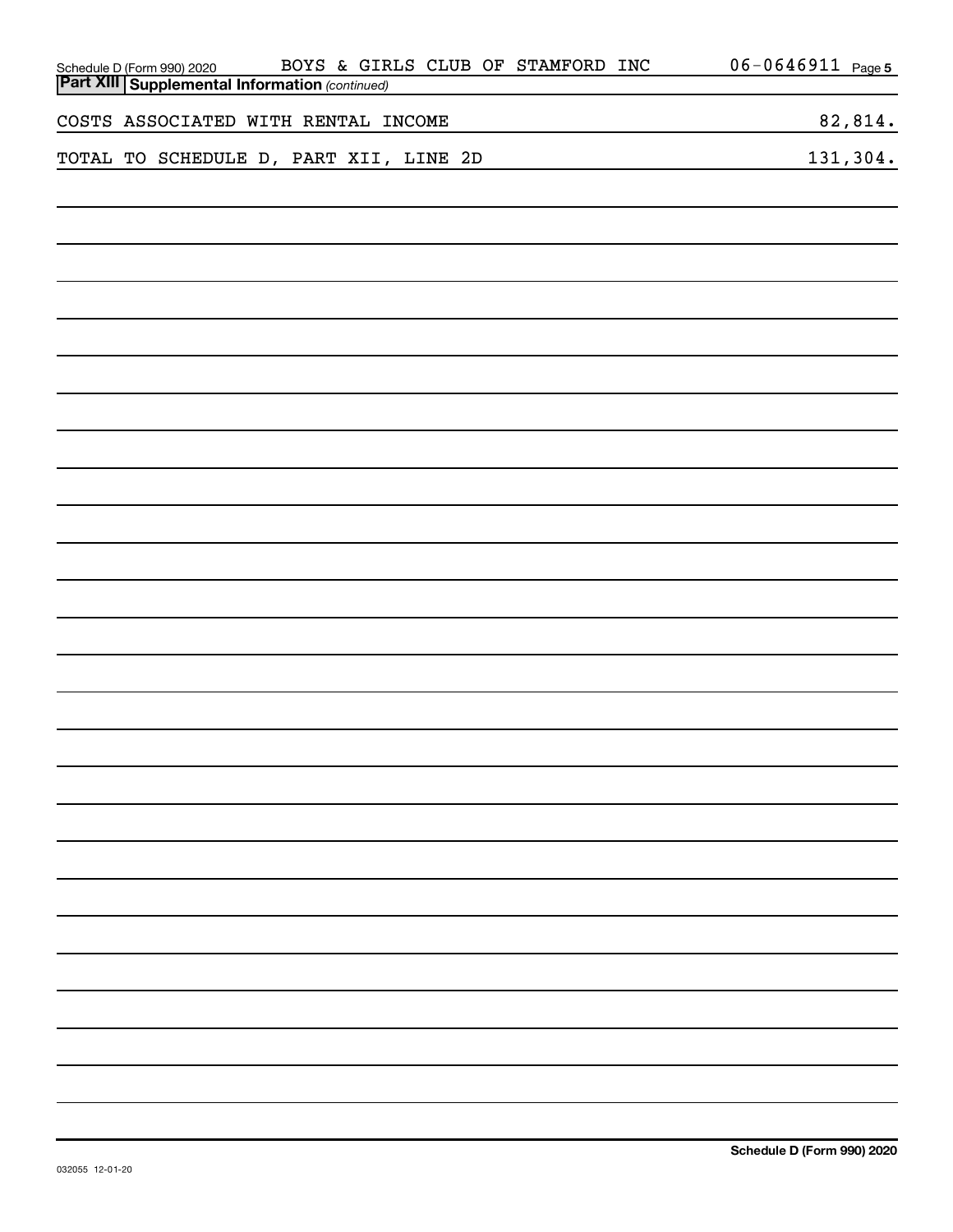| BOYS & GIRLS CLUB OF STAMFORD INC<br>Schedule D (Form 990) 2020 BOYS & GIR<br><b>Part XIII Supplemental Information</b> (continued) | $06 - 0646911$ Page 5 |
|-------------------------------------------------------------------------------------------------------------------------------------|-----------------------|
|                                                                                                                                     |                       |
| COSTS ASSOCIATED WITH RENTAL INCOME                                                                                                 | 82,814.               |
| TOTAL TO SCHEDULE D, PART XII, LINE 2D                                                                                              | 131,304.              |
|                                                                                                                                     |                       |
|                                                                                                                                     |                       |
|                                                                                                                                     |                       |
|                                                                                                                                     |                       |
|                                                                                                                                     |                       |
|                                                                                                                                     |                       |
|                                                                                                                                     |                       |
|                                                                                                                                     |                       |
|                                                                                                                                     |                       |
|                                                                                                                                     |                       |
|                                                                                                                                     |                       |
|                                                                                                                                     |                       |
|                                                                                                                                     |                       |
|                                                                                                                                     |                       |
|                                                                                                                                     |                       |
|                                                                                                                                     |                       |
|                                                                                                                                     |                       |
|                                                                                                                                     |                       |
|                                                                                                                                     |                       |
|                                                                                                                                     |                       |
|                                                                                                                                     |                       |
|                                                                                                                                     |                       |
|                                                                                                                                     |                       |
|                                                                                                                                     |                       |
|                                                                                                                                     |                       |
|                                                                                                                                     |                       |
|                                                                                                                                     |                       |
|                                                                                                                                     |                       |
|                                                                                                                                     |                       |
|                                                                                                                                     |                       |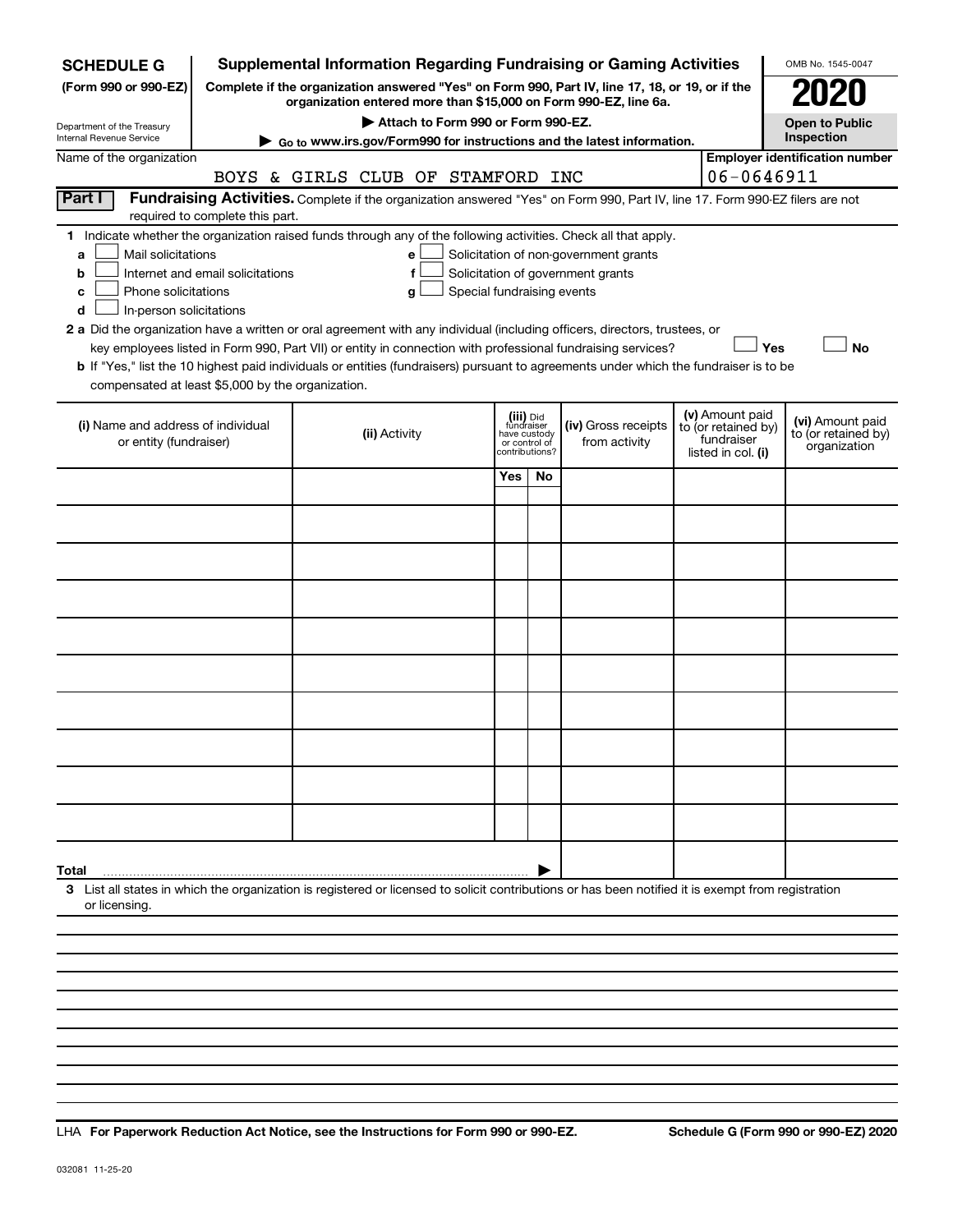| <b>SCHEDULE G</b>                                                                                                                                                                                                                                                                                                        |                                   |               |                                    |                            |                                           |                               | <b>Supplemental Information Regarding Fundraising or Gaming Activities</b>                                                                                          |                                                                            | OMB No. 1545-0047                                       |
|--------------------------------------------------------------------------------------------------------------------------------------------------------------------------------------------------------------------------------------------------------------------------------------------------------------------------|-----------------------------------|---------------|------------------------------------|----------------------------|-------------------------------------------|-------------------------------|---------------------------------------------------------------------------------------------------------------------------------------------------------------------|----------------------------------------------------------------------------|---------------------------------------------------------|
| (Form 990 or 990-EZ)                                                                                                                                                                                                                                                                                                     |                                   |               |                                    |                            |                                           |                               | Complete if the organization answered "Yes" on Form 990, Part IV, line 17, 18, or 19, or if the<br>organization entered more than \$15,000 on Form 990-EZ, line 6a. |                                                                            |                                                         |
| Department of the Treasury                                                                                                                                                                                                                                                                                               |                                   |               | Attach to Form 990 or Form 990-EZ. |                            |                                           |                               |                                                                                                                                                                     |                                                                            | <b>Open to Public</b>                                   |
| Internal Revenue Service                                                                                                                                                                                                                                                                                                 |                                   |               |                                    |                            |                                           |                               | Go to www.irs.gov/Form990 for instructions and the latest information.                                                                                              |                                                                            | Inspection                                              |
| Name of the organization                                                                                                                                                                                                                                                                                                 |                                   |               |                                    |                            |                                           |                               |                                                                                                                                                                     |                                                                            | <b>Employer identification number</b>                   |
|                                                                                                                                                                                                                                                                                                                          | BOYS & GIRLS CLUB OF STAMFORD INC |               |                                    |                            |                                           |                               |                                                                                                                                                                     | 06-0646911                                                                 |                                                         |
| Part I                                                                                                                                                                                                                                                                                                                   | required to complete this part.   |               |                                    |                            |                                           |                               | Fundraising Activities. Complete if the organization answered "Yes" on Form 990, Part IV, line 17. Form 990-EZ filers are not                                       |                                                                            |                                                         |
| 1 Indicate whether the organization raised funds through any of the following activities. Check all that apply.<br>Mail solicitations<br>a<br>b<br>Phone solicitations<br>c<br>In-person solicitations<br>d                                                                                                              | Internet and email solicitations  |               | е<br>f<br>g                        | Special fundraising events |                                           |                               | Solicitation of non-government grants<br>Solicitation of government grants                                                                                          |                                                                            |                                                         |
| 2 a Did the organization have a written or oral agreement with any individual (including officers, directors, trustees, or<br>b If "Yes," list the 10 highest paid individuals or entities (fundraisers) pursuant to agreements under which the fundraiser is to be<br>compensated at least \$5,000 by the organization. |                                   |               |                                    |                            |                                           |                               | key employees listed in Form 990, Part VII) or entity in connection with professional fundraising services?                                                         |                                                                            | Yes<br><b>No</b>                                        |
| (i) Name and address of individual<br>or entity (fundraiser)                                                                                                                                                                                                                                                             |                                   | (ii) Activity |                                    |                            | (iii) Did<br>fundraiser<br>contributions? | have custody<br>or control of | (iv) Gross receipts<br>from activity                                                                                                                                | (v) Amount paid<br>to (or retained by)<br>fundraiser<br>listed in col. (i) | (vi) Amount paid<br>to (or retained by)<br>organization |
|                                                                                                                                                                                                                                                                                                                          |                                   |               |                                    |                            | Yes                                       | No                            |                                                                                                                                                                     |                                                                            |                                                         |
|                                                                                                                                                                                                                                                                                                                          |                                   |               |                                    |                            |                                           |                               |                                                                                                                                                                     |                                                                            |                                                         |
|                                                                                                                                                                                                                                                                                                                          |                                   |               |                                    |                            |                                           |                               |                                                                                                                                                                     |                                                                            |                                                         |
|                                                                                                                                                                                                                                                                                                                          |                                   |               |                                    |                            |                                           |                               |                                                                                                                                                                     |                                                                            |                                                         |
|                                                                                                                                                                                                                                                                                                                          |                                   |               |                                    |                            |                                           |                               |                                                                                                                                                                     |                                                                            |                                                         |
|                                                                                                                                                                                                                                                                                                                          |                                   |               |                                    |                            |                                           |                               |                                                                                                                                                                     |                                                                            |                                                         |
|                                                                                                                                                                                                                                                                                                                          |                                   |               |                                    |                            |                                           |                               |                                                                                                                                                                     |                                                                            |                                                         |
|                                                                                                                                                                                                                                                                                                                          |                                   |               |                                    |                            |                                           |                               |                                                                                                                                                                     |                                                                            |                                                         |
|                                                                                                                                                                                                                                                                                                                          |                                   |               |                                    |                            |                                           |                               |                                                                                                                                                                     |                                                                            |                                                         |
|                                                                                                                                                                                                                                                                                                                          |                                   |               |                                    |                            |                                           |                               |                                                                                                                                                                     |                                                                            |                                                         |
| Total                                                                                                                                                                                                                                                                                                                    |                                   |               |                                    |                            |                                           |                               |                                                                                                                                                                     |                                                                            |                                                         |
| 3 List all states in which the organization is registered or licensed to solicit contributions or has been notified it is exempt from registration<br>or licensing.                                                                                                                                                      |                                   |               |                                    |                            |                                           |                               |                                                                                                                                                                     |                                                                            |                                                         |
|                                                                                                                                                                                                                                                                                                                          |                                   |               |                                    |                            |                                           |                               |                                                                                                                                                                     |                                                                            |                                                         |
|                                                                                                                                                                                                                                                                                                                          |                                   |               |                                    |                            |                                           |                               |                                                                                                                                                                     |                                                                            |                                                         |

**For Paperwork Reduction Act Notice, see the Instructions for Form 990 or 990-EZ. Schedule G (Form 990 or 990-EZ) 2020** LHA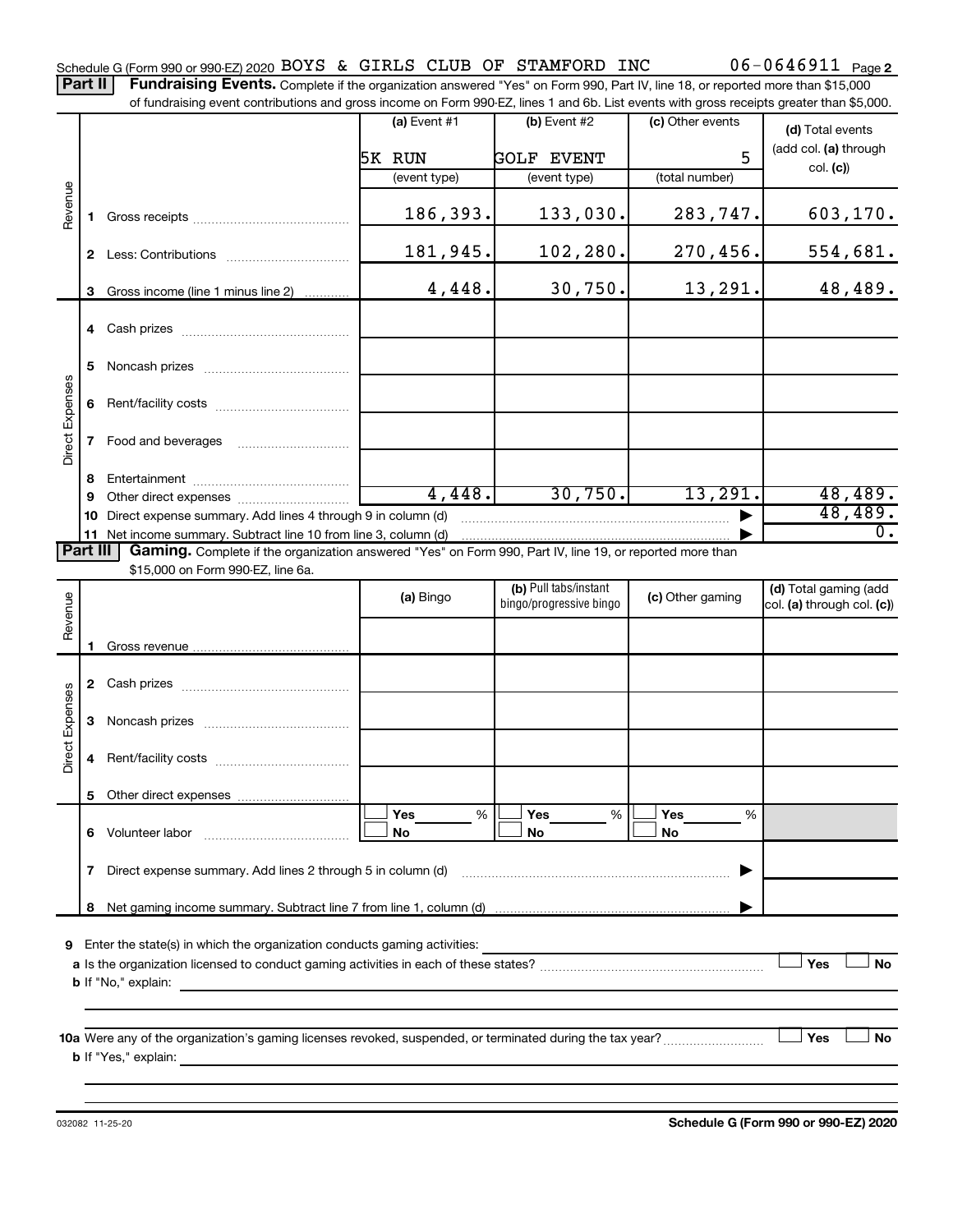Part II | Fundraising Events. Complete if the organization answered "Yes" on Form 990, Part IV, line 18, or reported more than \$15,000 of fundraising event contributions and gross income on Form 990-EZ, lines 1 and 6b. List events with gross receipts greater than \$5,000.

|                 |              |                                                                                                          | $(a)$ Event #1 | (b) Event #2                                     | (c) Other events | (d) Total events                                    |
|-----------------|--------------|----------------------------------------------------------------------------------------------------------|----------------|--------------------------------------------------|------------------|-----------------------------------------------------|
|                 |              |                                                                                                          |                |                                                  | 5                | (add col. (a) through                               |
|                 |              |                                                                                                          | 5K RUN         | <b>GOLF EVENT</b>                                |                  | col. (c)                                            |
|                 |              |                                                                                                          | (event type)   | (event type)                                     | (total number)   |                                                     |
| Revenue         | 1.           |                                                                                                          | 186,393.       | 133,030.                                         | 283,747.         | 603,170.                                            |
|                 | $\mathbf{2}$ |                                                                                                          | 181,945.       | 102,280.                                         | 270,456.         | 554,681.                                            |
|                 | 3            | Gross income (line 1 minus line 2)                                                                       | 4,448.         | 30,750.                                          | 13,291.          | 48,489.                                             |
|                 |              |                                                                                                          |                |                                                  |                  |                                                     |
|                 | 5.           |                                                                                                          |                |                                                  |                  |                                                     |
|                 | 6            |                                                                                                          |                |                                                  |                  |                                                     |
| Direct Expenses | 7            | Food and beverages                                                                                       |                |                                                  |                  |                                                     |
|                 | 8            |                                                                                                          |                |                                                  |                  |                                                     |
|                 | 9            |                                                                                                          | 4,448.         | 30,750.                                          | 13,291.          | 48,489.                                             |
|                 | 10           | Direct expense summary. Add lines 4 through 9 in column (d)                                              |                |                                                  |                  | 48,489.                                             |
|                 |              | 11 Net income summary. Subtract line 10 from line 3, column (d)                                          |                |                                                  |                  | $\overline{0}$ .                                    |
| <b>Part III</b> |              | Gaming. Complete if the organization answered "Yes" on Form 990, Part IV, line 19, or reported more than |                |                                                  |                  |                                                     |
|                 |              | \$15,000 on Form 990-EZ, line 6a.                                                                        |                |                                                  |                  |                                                     |
| Revenue         |              |                                                                                                          | (a) Bingo      | (b) Pull tabs/instant<br>bingo/progressive bingo | (c) Other gaming | (d) Total gaming (add<br>col. (a) through col. (c)) |
|                 |              |                                                                                                          |                |                                                  |                  |                                                     |
|                 |              |                                                                                                          |                |                                                  |                  |                                                     |
|                 |              |                                                                                                          |                |                                                  |                  |                                                     |
|                 | 3            |                                                                                                          |                |                                                  |                  |                                                     |
| Direct Expenses |              |                                                                                                          |                |                                                  |                  |                                                     |
|                 | 4            |                                                                                                          |                |                                                  |                  |                                                     |
|                 |              |                                                                                                          |                |                                                  |                  |                                                     |
|                 |              |                                                                                                          | Yes<br>%       | Yes<br>%                                         | Yes<br>%         |                                                     |
|                 | 6            | Volunteer labor                                                                                          | No             | No                                               | No               |                                                     |
|                 | 7            | Direct expense summary. Add lines 2 through 5 in column (d)                                              |                |                                                  |                  |                                                     |
|                 | 8            |                                                                                                          |                |                                                  |                  |                                                     |
|                 |              |                                                                                                          |                |                                                  |                  |                                                     |
| 9               |              | Enter the state(s) in which the organization conducts gaming activities:                                 |                |                                                  |                  |                                                     |
|                 |              |                                                                                                          |                |                                                  |                  | Yes<br>No                                           |
|                 |              | <b>b</b> If "No," explain:<br>the control of the control of the control of the control of the control of |                |                                                  |                  |                                                     |
|                 |              |                                                                                                          |                |                                                  |                  |                                                     |
|                 |              |                                                                                                          |                |                                                  |                  |                                                     |
|                 |              |                                                                                                          |                |                                                  |                  | Yes<br>No                                           |
|                 |              | <b>b</b> If "Yes," explain:                                                                              |                |                                                  |                  |                                                     |
|                 |              |                                                                                                          |                |                                                  |                  |                                                     |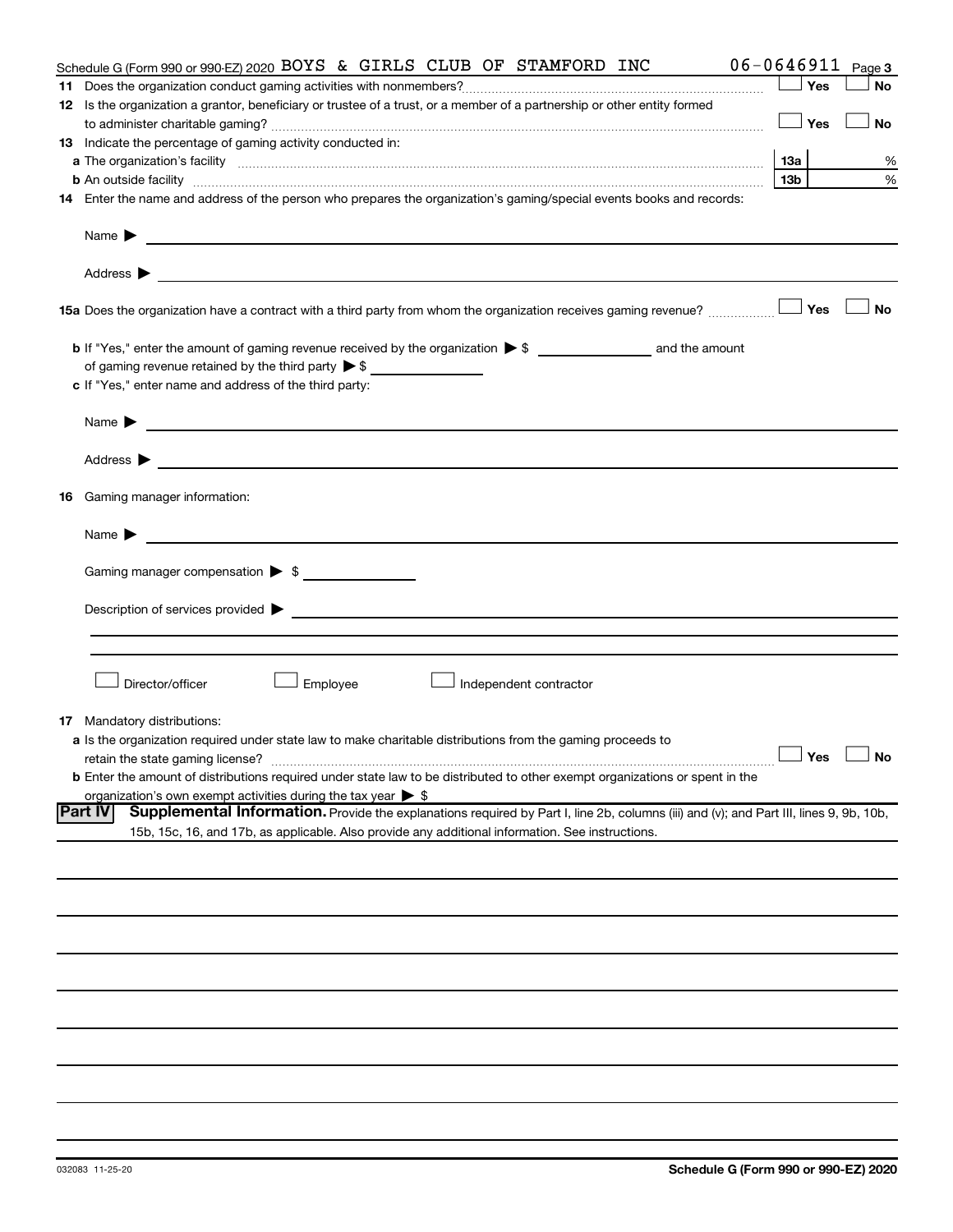| Schedule G (Form 990 or 990-EZ) 2020 BOYS & GIRLS CLUB OF STAMFORD INC                                                                                   |     |     | $06 - 0646911$ Page 3 |
|----------------------------------------------------------------------------------------------------------------------------------------------------------|-----|-----|-----------------------|
|                                                                                                                                                          |     | Yes | No                    |
| 12 Is the organization a grantor, beneficiary or trustee of a trust, or a member of a partnership or other entity formed                                 |     |     |                       |
|                                                                                                                                                          |     | Yes | No                    |
| 13 Indicate the percentage of gaming activity conducted in:                                                                                              |     |     |                       |
|                                                                                                                                                          |     |     | %                     |
| <b>b</b> An outside facility <i>www.communicality.communicality.communicality www.communicality.communicality.communicality.com</i>                      | 13b |     | %                     |
| 14 Enter the name and address of the person who prepares the organization's gaming/special events books and records:                                     |     |     |                       |
|                                                                                                                                                          |     |     |                       |
| 15a Does the organization have a contract with a third party from whom the organization receives gaming revenue?                                         |     | Yes | <b>No</b>             |
|                                                                                                                                                          |     |     |                       |
|                                                                                                                                                          |     |     |                       |
| of gaming revenue retained by the third party $\triangleright$ \$                                                                                        |     |     |                       |
| c If "Yes," enter name and address of the third party:                                                                                                   |     |     |                       |
| Name $\blacktriangleright$ $\_\_\_\_\_\_\_\_\$                                                                                                           |     |     |                       |
|                                                                                                                                                          |     |     |                       |
| <b>16</b> Gaming manager information:                                                                                                                    |     |     |                       |
| <u> 1989 - Johann Barnett, fransk politiker (d. 1989)</u><br>Name $\blacktriangleright$                                                                  |     |     |                       |
| Gaming manager compensation > \$                                                                                                                         |     |     |                       |
|                                                                                                                                                          |     |     |                       |
|                                                                                                                                                          |     |     |                       |
|                                                                                                                                                          |     |     |                       |
|                                                                                                                                                          |     |     |                       |
| Employee<br>Director/officer<br>Independent contractor                                                                                                   |     |     |                       |
| <b>17</b> Mandatory distributions:                                                                                                                       |     |     |                       |
| a Is the organization required under state law to make charitable distributions from the gaming proceeds to                                              |     |     |                       |
| retain the state gaming license?                                                                                                                         |     |     | $\Box$ Yes $\Box$ No  |
| <b>b</b> Enter the amount of distributions required under state law to be distributed to other exempt organizations or spent in the                      |     |     |                       |
| organization's own exempt activities during the tax year $\triangleright$ \$                                                                             |     |     |                       |
| Supplemental Information. Provide the explanations required by Part I, line 2b, columns (iii) and (v); and Part III, lines 9, 9b, 10b,<br><b>Part IV</b> |     |     |                       |
| 15b, 15c, 16, and 17b, as applicable. Also provide any additional information. See instructions.                                                         |     |     |                       |
|                                                                                                                                                          |     |     |                       |
|                                                                                                                                                          |     |     |                       |
|                                                                                                                                                          |     |     |                       |
|                                                                                                                                                          |     |     |                       |
|                                                                                                                                                          |     |     |                       |
|                                                                                                                                                          |     |     |                       |
|                                                                                                                                                          |     |     |                       |
|                                                                                                                                                          |     |     |                       |
|                                                                                                                                                          |     |     |                       |
|                                                                                                                                                          |     |     |                       |
|                                                                                                                                                          |     |     |                       |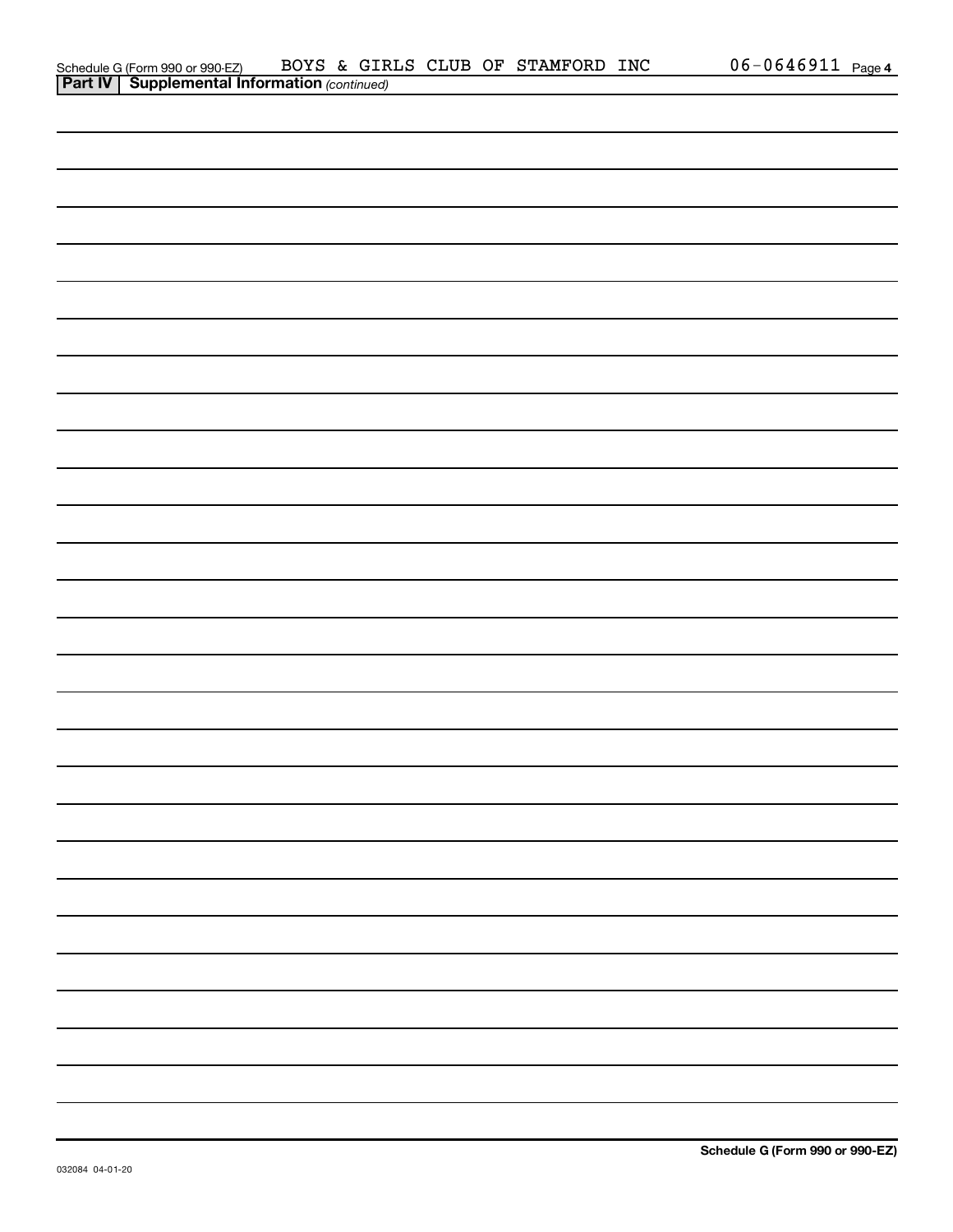| Schedule G (Form 990 or 990-EZ)                       |  |  | BOYS & GIRLS CLUB OF STAMFORD INC | $06 - 0646911$ Page 4 |  |
|-------------------------------------------------------|--|--|-----------------------------------|-----------------------|--|
| <b>Part IV   Supplemental Information (continued)</b> |  |  |                                   |                       |  |

| $\cdots$ | <b>Puppiemental information</b> (commaca) |  |
|----------|-------------------------------------------|--|
|          |                                           |  |
|          |                                           |  |
|          |                                           |  |
|          |                                           |  |
|          |                                           |  |
|          |                                           |  |
|          |                                           |  |
|          |                                           |  |
|          |                                           |  |
|          |                                           |  |
|          |                                           |  |
|          |                                           |  |
|          |                                           |  |
|          |                                           |  |
|          |                                           |  |
|          |                                           |  |
|          |                                           |  |
|          |                                           |  |
|          |                                           |  |
|          |                                           |  |
|          |                                           |  |
|          |                                           |  |
| —        |                                           |  |
|          |                                           |  |
|          |                                           |  |
|          |                                           |  |
|          |                                           |  |
|          |                                           |  |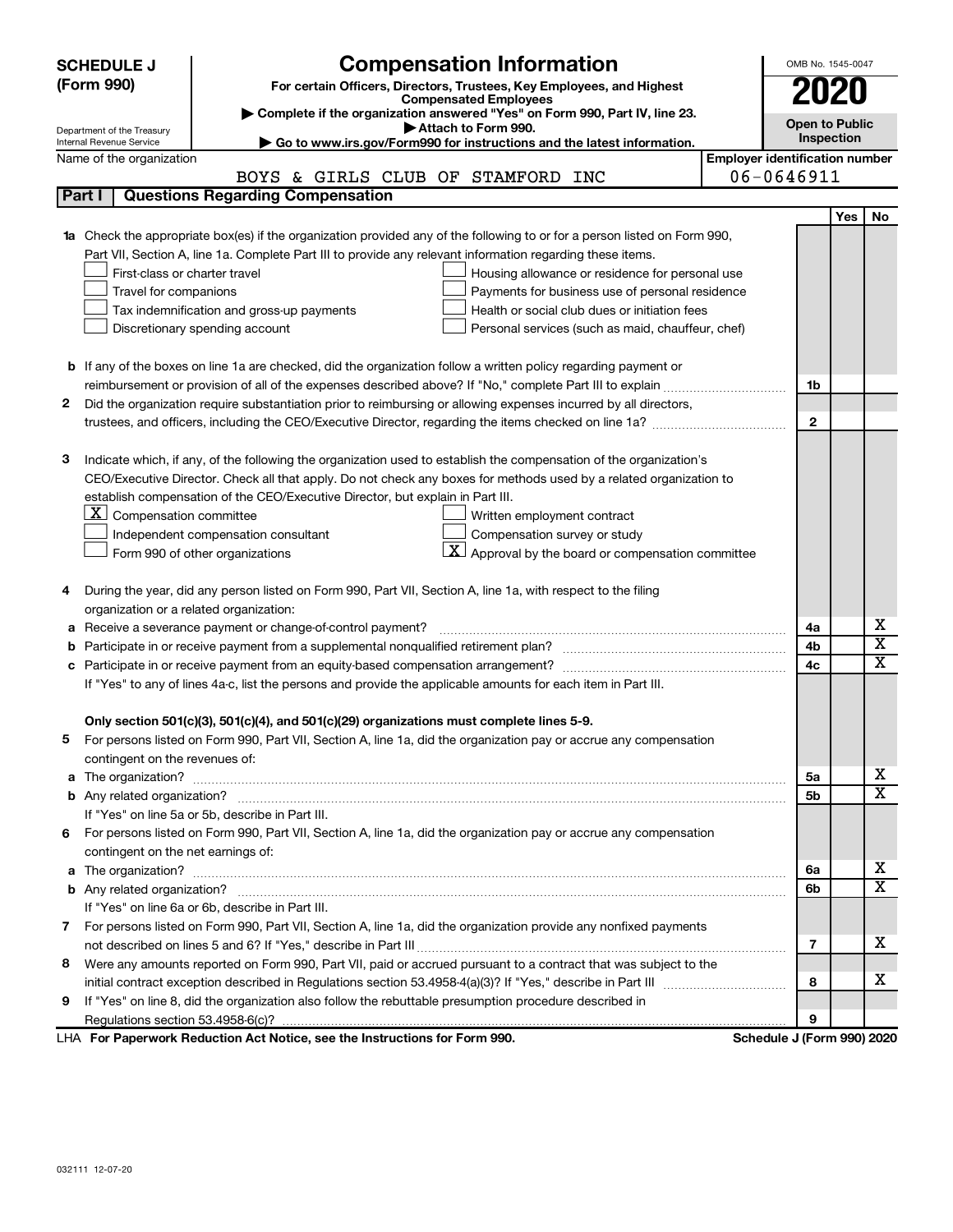|   | <b>SCHEDULE J</b>                                                                                                                                                                                                                    |                                                                       |  |  | <b>Compensation Information</b>   |                                                                            |                                       | OMB No. 1545-0047          |            |                              |
|---|--------------------------------------------------------------------------------------------------------------------------------------------------------------------------------------------------------------------------------------|-----------------------------------------------------------------------|--|--|-----------------------------------|----------------------------------------------------------------------------|---------------------------------------|----------------------------|------------|------------------------------|
|   | (Form 990)                                                                                                                                                                                                                           | For certain Officers, Directors, Trustees, Key Employees, and Highest |  |  |                                   | 2020                                                                       |                                       |                            |            |                              |
|   |                                                                                                                                                                                                                                      |                                                                       |  |  | <b>Compensated Employees</b>      |                                                                            |                                       |                            |            |                              |
|   |                                                                                                                                                                                                                                      |                                                                       |  |  | Attach to Form 990.               | Complete if the organization answered "Yes" on Form 990, Part IV, line 23. |                                       | <b>Open to Public</b>      |            |                              |
|   | Department of the Treasury<br>Internal Revenue Service                                                                                                                                                                               |                                                                       |  |  |                                   | Go to www.irs.gov/Form990 for instructions and the latest information.     |                                       |                            | Inspection |                              |
|   | Name of the organization                                                                                                                                                                                                             |                                                                       |  |  |                                   |                                                                            | <b>Employer identification number</b> |                            |            |                              |
|   |                                                                                                                                                                                                                                      |                                                                       |  |  | BOYS & GIRLS CLUB OF STAMFORD INC |                                                                            |                                       | 06-0646911                 |            |                              |
|   | <b>Questions Regarding Compensation</b><br>Part I                                                                                                                                                                                    |                                                                       |  |  |                                   |                                                                            |                                       |                            |            |                              |
|   |                                                                                                                                                                                                                                      |                                                                       |  |  |                                   |                                                                            |                                       |                            | Yes        | No                           |
|   | 1a Check the appropriate box(es) if the organization provided any of the following to or for a person listed on Form 990,                                                                                                            |                                                                       |  |  |                                   |                                                                            |                                       |                            |            |                              |
|   | Part VII, Section A, line 1a. Complete Part III to provide any relevant information regarding these items.                                                                                                                           |                                                                       |  |  |                                   |                                                                            |                                       |                            |            |                              |
|   | First-class or charter travel                                                                                                                                                                                                        |                                                                       |  |  |                                   | Housing allowance or residence for personal use                            |                                       |                            |            |                              |
|   | Travel for companions                                                                                                                                                                                                                |                                                                       |  |  |                                   | Payments for business use of personal residence                            |                                       |                            |            |                              |
|   | Tax indemnification and gross-up payments                                                                                                                                                                                            |                                                                       |  |  |                                   | Health or social club dues or initiation fees                              |                                       |                            |            |                              |
|   | Discretionary spending account                                                                                                                                                                                                       |                                                                       |  |  |                                   | Personal services (such as maid, chauffeur, chef)                          |                                       |                            |            |                              |
|   |                                                                                                                                                                                                                                      |                                                                       |  |  |                                   |                                                                            |                                       |                            |            |                              |
|   | <b>b</b> If any of the boxes on line 1a are checked, did the organization follow a written policy regarding payment or                                                                                                               |                                                                       |  |  |                                   |                                                                            |                                       |                            |            |                              |
|   | reimbursement or provision of all of the expenses described above? If "No," complete Part III to explain                                                                                                                             |                                                                       |  |  |                                   |                                                                            |                                       | 1b                         |            |                              |
| 2 | Did the organization require substantiation prior to reimbursing or allowing expenses incurred by all directors,                                                                                                                     |                                                                       |  |  |                                   |                                                                            |                                       |                            |            |                              |
|   |                                                                                                                                                                                                                                      |                                                                       |  |  |                                   |                                                                            |                                       | $\mathbf{2}$               |            |                              |
|   |                                                                                                                                                                                                                                      |                                                                       |  |  |                                   |                                                                            |                                       |                            |            |                              |
| з | Indicate which, if any, of the following the organization used to establish the compensation of the organization's                                                                                                                   |                                                                       |  |  |                                   |                                                                            |                                       |                            |            |                              |
|   | CEO/Executive Director. Check all that apply. Do not check any boxes for methods used by a related organization to                                                                                                                   |                                                                       |  |  |                                   |                                                                            |                                       |                            |            |                              |
|   | establish compensation of the CEO/Executive Director, but explain in Part III.                                                                                                                                                       |                                                                       |  |  |                                   |                                                                            |                                       |                            |            |                              |
|   | $ \mathbf{X} $ Compensation committee                                                                                                                                                                                                |                                                                       |  |  | Written employment contract       |                                                                            |                                       |                            |            |                              |
|   | Independent compensation consultant                                                                                                                                                                                                  |                                                                       |  |  | Compensation survey or study      |                                                                            |                                       |                            |            |                              |
|   | Form 990 of other organizations                                                                                                                                                                                                      |                                                                       |  |  |                                   | $\mathbf{X}$ Approval by the board or compensation committee               |                                       |                            |            |                              |
|   |                                                                                                                                                                                                                                      |                                                                       |  |  |                                   |                                                                            |                                       |                            |            |                              |
| 4 | During the year, did any person listed on Form 990, Part VII, Section A, line 1a, with respect to the filing                                                                                                                         |                                                                       |  |  |                                   |                                                                            |                                       |                            |            |                              |
|   | organization or a related organization:                                                                                                                                                                                              |                                                                       |  |  |                                   |                                                                            |                                       |                            |            |                              |
| а | Receive a severance payment or change-of-control payment?                                                                                                                                                                            |                                                                       |  |  |                                   |                                                                            |                                       | 4a                         |            | х                            |
| b |                                                                                                                                                                                                                                      |                                                                       |  |  |                                   |                                                                            |                                       | 4b                         |            | $\overline{\mathbf{X}}$      |
| с |                                                                                                                                                                                                                                      |                                                                       |  |  |                                   |                                                                            |                                       | 4c                         |            | $\mathbf x$                  |
|   | If "Yes" to any of lines 4a-c, list the persons and provide the applicable amounts for each item in Part III.                                                                                                                        |                                                                       |  |  |                                   |                                                                            |                                       |                            |            |                              |
|   |                                                                                                                                                                                                                                      |                                                                       |  |  |                                   |                                                                            |                                       |                            |            |                              |
|   | Only section 501(c)(3), 501(c)(4), and 501(c)(29) organizations must complete lines 5-9.                                                                                                                                             |                                                                       |  |  |                                   |                                                                            |                                       |                            |            |                              |
|   | For persons listed on Form 990, Part VII, Section A, line 1a, did the organization pay or accrue any compensation                                                                                                                    |                                                                       |  |  |                                   |                                                                            |                                       |                            |            |                              |
|   | contingent on the revenues of:                                                                                                                                                                                                       |                                                                       |  |  |                                   |                                                                            |                                       |                            |            |                              |
|   |                                                                                                                                                                                                                                      |                                                                       |  |  |                                   |                                                                            |                                       | 5a                         |            | х                            |
|   |                                                                                                                                                                                                                                      |                                                                       |  |  |                                   |                                                                            |                                       | 5b                         |            | X                            |
|   | If "Yes" on line 5a or 5b, describe in Part III.                                                                                                                                                                                     |                                                                       |  |  |                                   |                                                                            |                                       |                            |            |                              |
| 6 | For persons listed on Form 990, Part VII, Section A, line 1a, did the organization pay or accrue any compensation                                                                                                                    |                                                                       |  |  |                                   |                                                                            |                                       |                            |            |                              |
|   | contingent on the net earnings of:                                                                                                                                                                                                   |                                                                       |  |  |                                   |                                                                            |                                       |                            |            |                              |
| a | The organization? <b>With the contract of the contract of the contract of the contract of the contract of the contract of the contract of the contract of the contract of the contract of the contract of the contract of the co</b> |                                                                       |  |  |                                   |                                                                            |                                       | 6а                         |            | х<br>$\overline{\mathbf{X}}$ |
|   |                                                                                                                                                                                                                                      |                                                                       |  |  |                                   |                                                                            |                                       | 6b                         |            |                              |
|   | If "Yes" on line 6a or 6b, describe in Part III.                                                                                                                                                                                     |                                                                       |  |  |                                   |                                                                            |                                       |                            |            |                              |
|   | 7 For persons listed on Form 990, Part VII, Section A, line 1a, did the organization provide any nonfixed payments                                                                                                                   |                                                                       |  |  |                                   |                                                                            |                                       |                            |            |                              |
|   |                                                                                                                                                                                                                                      |                                                                       |  |  |                                   |                                                                            |                                       | 7                          |            | x.                           |
| 8 | Were any amounts reported on Form 990, Part VII, paid or accrued pursuant to a contract that was subject to the                                                                                                                      |                                                                       |  |  |                                   |                                                                            |                                       |                            |            |                              |
|   |                                                                                                                                                                                                                                      |                                                                       |  |  |                                   |                                                                            |                                       | 8                          |            | х                            |
| 9 | If "Yes" on line 8, did the organization also follow the rebuttable presumption procedure described in                                                                                                                               |                                                                       |  |  |                                   |                                                                            |                                       |                            |            |                              |
|   |                                                                                                                                                                                                                                      |                                                                       |  |  |                                   |                                                                            |                                       | 9                          |            |                              |
|   | LHA For Paperwork Reduction Act Notice, see the Instructions for Form 990.                                                                                                                                                           |                                                                       |  |  |                                   |                                                                            |                                       | Schedule J (Form 990) 2020 |            |                              |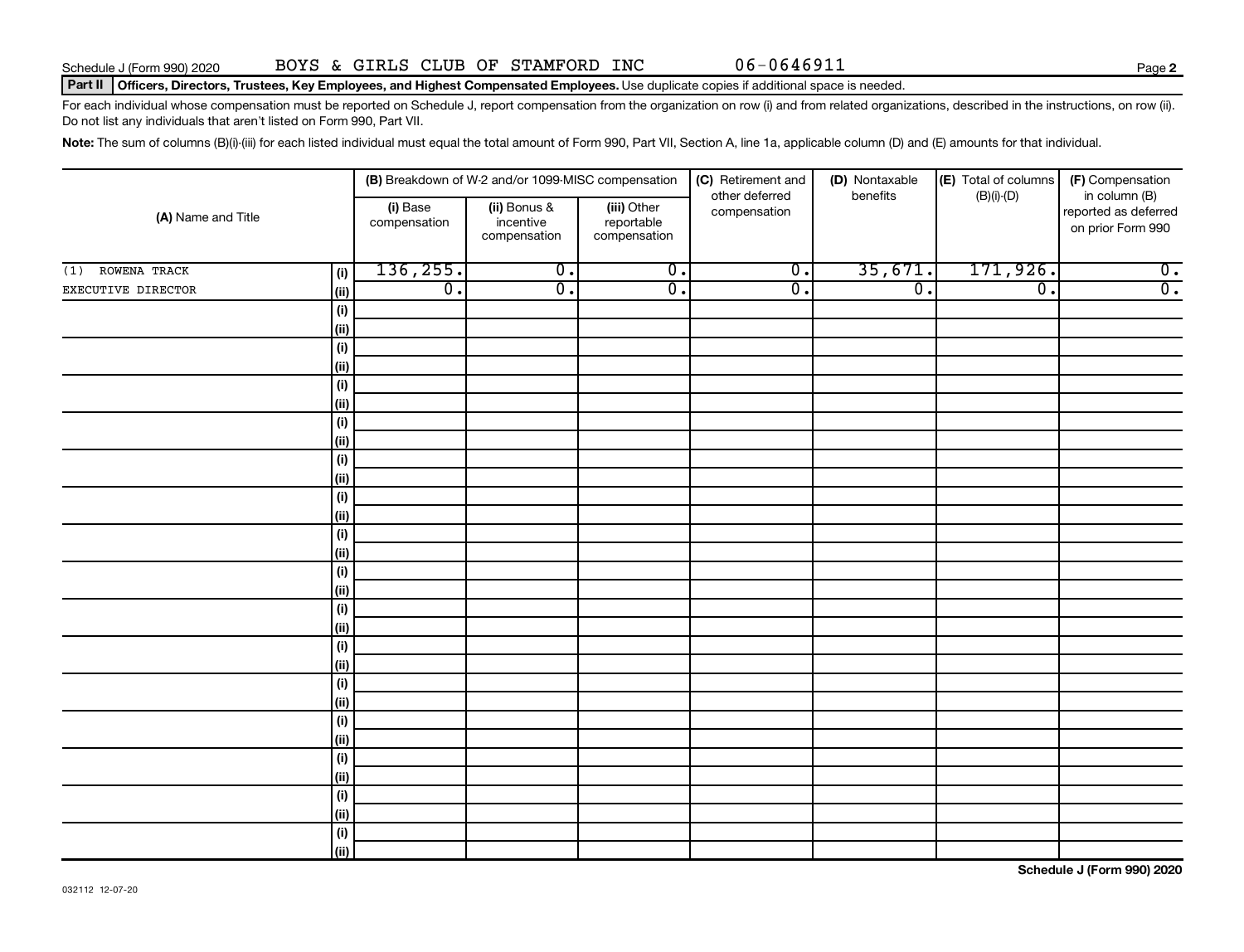#### Part II | Officers, Directors, Trustees, Key Employees, and Highest Compensated Employees. Use duplicate copies if additional space is needed.

For each individual whose compensation must be reported on Schedule J, report compensation from the organization on row (i) and from related organizations, described in the instructions, on row (ii). Do not list any individuals that aren't listed on Form 990, Part VII.

Note: The sum of columns (B)(i)-(iii) for each listed individual must equal the total amount of Form 990, Part VII, Section A, line 1a, applicable column (D) and (E) amounts for that individual.

|                     |             |                          | (B) Breakdown of W-2 and/or 1099-MISC compensation |                                           | (C) Retirement and             | (D) Nontaxable              | (E) Total of columns        | (F) Compensation                                           |  |
|---------------------|-------------|--------------------------|----------------------------------------------------|-------------------------------------------|--------------------------------|-----------------------------|-----------------------------|------------------------------------------------------------|--|
| (A) Name and Title  |             | (i) Base<br>compensation | (ii) Bonus &<br>incentive<br>compensation          | (iii) Other<br>reportable<br>compensation | other deferred<br>compensation | benefits                    | $(B)(i)-(D)$                | in column (B)<br>reported as deferred<br>on prior Form 990 |  |
| ROWENA TRACK<br>(1) | (i)         | 136, 255.                | $\overline{0}$ .                                   | $\overline{0}$ .                          | $\overline{0}$ .               | 35,671.                     | 171,926.                    | $\overline{0}$ .                                           |  |
| EXECUTIVE DIRECTOR  | (ii)        | $\overline{0}$ .         | $\overline{\mathfrak{o}}$ .                        | $\overline{0}$ .                          | $\overline{0}$ .               | $\overline{\mathfrak{o}}$ . | $\overline{\mathfrak{o}}$ . | $\overline{0}$ .                                           |  |
|                     | $(\sf{i})$  |                          |                                                    |                                           |                                |                             |                             |                                                            |  |
|                     | (ii)        |                          |                                                    |                                           |                                |                             |                             |                                                            |  |
|                     | $(\sf{i})$  |                          |                                                    |                                           |                                |                             |                             |                                                            |  |
|                     | (ii)        |                          |                                                    |                                           |                                |                             |                             |                                                            |  |
|                     | $(\sf{i})$  |                          |                                                    |                                           |                                |                             |                             |                                                            |  |
|                     | (ii)        |                          |                                                    |                                           |                                |                             |                             |                                                            |  |
|                     | $(\sf{i})$  |                          |                                                    |                                           |                                |                             |                             |                                                            |  |
|                     | (ii)        |                          |                                                    |                                           |                                |                             |                             |                                                            |  |
|                     | $(\sf{i})$  |                          |                                                    |                                           |                                |                             |                             |                                                            |  |
|                     | (ii)        |                          |                                                    |                                           |                                |                             |                             |                                                            |  |
|                     | $(\sf{i})$  |                          |                                                    |                                           |                                |                             |                             |                                                            |  |
|                     | (ii)        |                          |                                                    |                                           |                                |                             |                             |                                                            |  |
|                     | (i)         |                          |                                                    |                                           |                                |                             |                             |                                                            |  |
|                     | (ii)        |                          |                                                    |                                           |                                |                             |                             |                                                            |  |
|                     | (i)<br>(ii) |                          |                                                    |                                           |                                |                             |                             |                                                            |  |
|                     | (i)         |                          |                                                    |                                           |                                |                             |                             |                                                            |  |
|                     | (ii)        |                          |                                                    |                                           |                                |                             |                             |                                                            |  |
|                     | $(\sf{i})$  |                          |                                                    |                                           |                                |                             |                             |                                                            |  |
|                     | (ii)        |                          |                                                    |                                           |                                |                             |                             |                                                            |  |
|                     | $(\sf{i})$  |                          |                                                    |                                           |                                |                             |                             |                                                            |  |
|                     | (ii)        |                          |                                                    |                                           |                                |                             |                             |                                                            |  |
|                     | $(\sf{i})$  |                          |                                                    |                                           |                                |                             |                             |                                                            |  |
|                     | (ii)        |                          |                                                    |                                           |                                |                             |                             |                                                            |  |
|                     | $(\sf{i})$  |                          |                                                    |                                           |                                |                             |                             |                                                            |  |
|                     | (ii)        |                          |                                                    |                                           |                                |                             |                             |                                                            |  |
|                     | (i)         |                          |                                                    |                                           |                                |                             |                             |                                                            |  |
|                     | (ii)        |                          |                                                    |                                           |                                |                             |                             |                                                            |  |
|                     | (i)         |                          |                                                    |                                           |                                |                             |                             |                                                            |  |
|                     | (ii)        |                          |                                                    |                                           |                                |                             |                             |                                                            |  |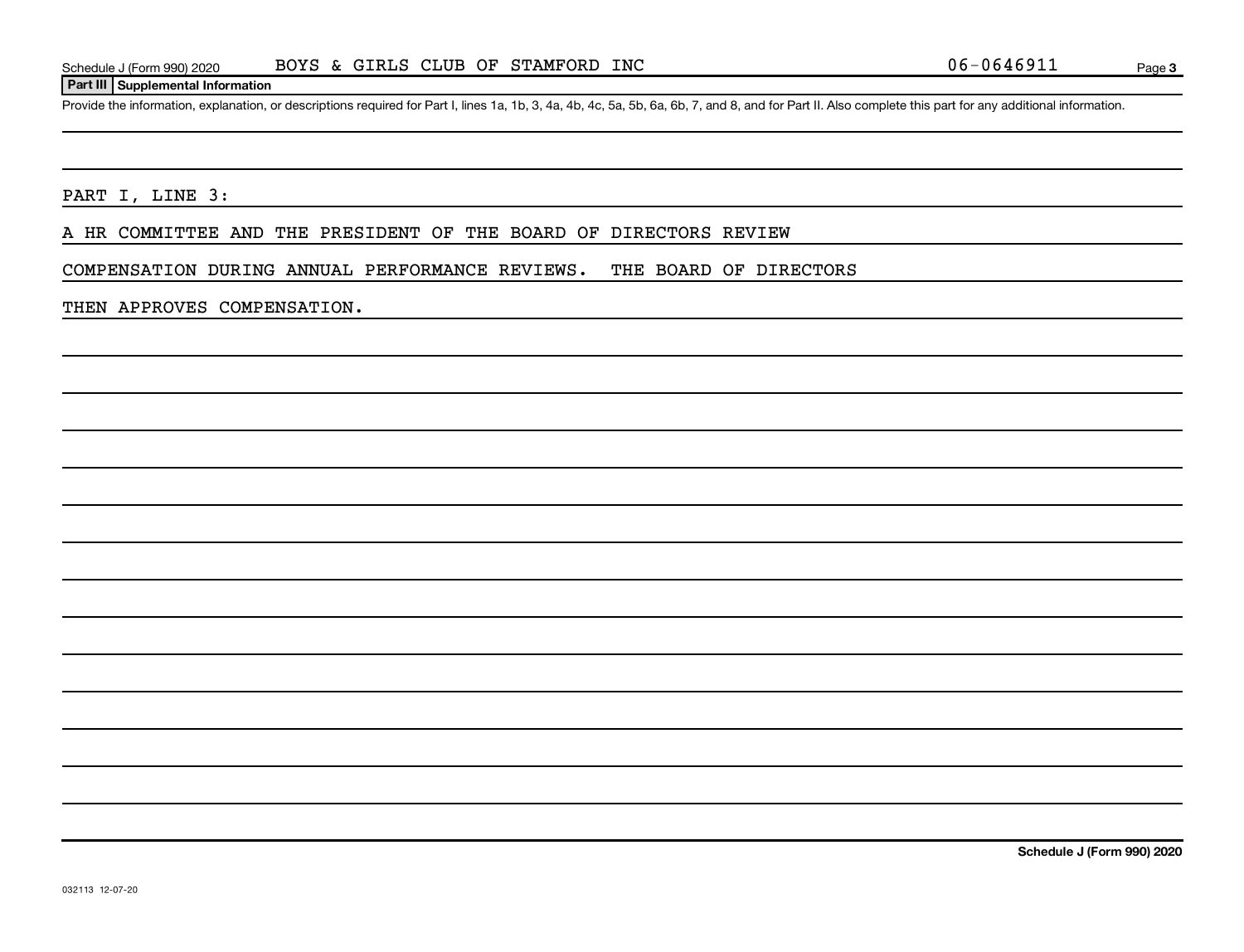### **Part III Supplemental Information**

Provide the information, explanation, or descriptions required for Part I, lines 1a, 1b, 3, 4a, 4b, 4c, 5a, 5b, 6a, 6b, 7, and 8, and for Part II. Also complete this part for any additional information.

PART I, LINE 3:

A HR COMMITTEE AND THE PRESIDENT OF THE BOARD OF DIRECTORS REVIEW

COMPENSATION DURING ANNUAL PERFORMANCE REVIEWS. THE BOARD OF DIRECTORS

THEN APPROVES COMPENSATION.

**Schedule J (Form 990) 2020**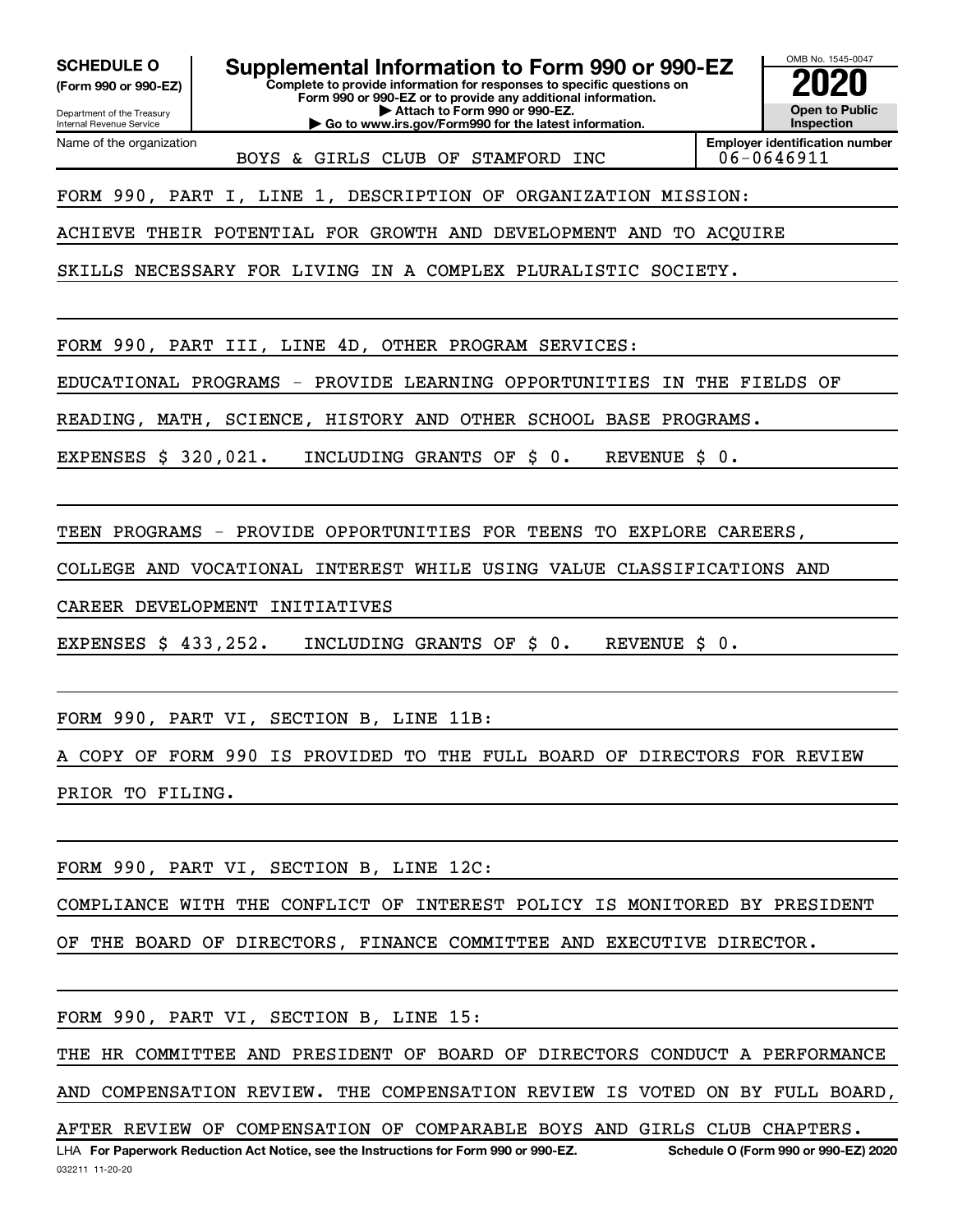**(Form 990 or 990-EZ)**

**SCHEDULE O Supplemental Information to Form 990 or 990-EZ 2020**<br>(Form 990 or 990-EZ) Complete to provide information for responses to specific questions on

**Complete to provide information for responses to specific questions on Form 990 or 990-EZ or to provide any additional information. | Attach to Form 990 or 990-EZ. | Go to www.irs.gov/Form990 for the latest information.**

Department of the Treasury Internal Revenue Service Name of the organization

BOYS & GIRLS CLUB OF STAMFORD INC | 06-0646911

**Employer identification number**

OMB No. 1545-0047

**Open to Public Inspection**

FORM 990, PART I, LINE 1, DESCRIPTION OF ORGANIZATION MISSION:

ACHIEVE THEIR POTENTIAL FOR GROWTH AND DEVELOPMENT AND TO ACQUIRE

SKILLS NECESSARY FOR LIVING IN A COMPLEX PLURALISTIC SOCIETY.

FORM 990, PART III, LINE 4D, OTHER PROGRAM SERVICES:

EDUCATIONAL PROGRAMS - PROVIDE LEARNING OPPORTUNITIES IN THE FIELDS OF

READING, MATH, SCIENCE, HISTORY AND OTHER SCHOOL BASE PROGRAMS.

EXPENSES \$ 320,021. INCLUDING GRANTS OF \$ 0. REVENUE \$ 0.

TEEN PROGRAMS - PROVIDE OPPORTUNITIES FOR TEENS TO EXPLORE CAREERS,

COLLEGE AND VOCATIONAL INTEREST WHILE USING VALUE CLASSIFICATIONS AND

CAREER DEVELOPMENT INITIATIVES

EXPENSES \$ 433,252. INCLUDING GRANTS OF \$ 0. REVENUE \$ 0.

FORM 990, PART VI, SECTION B, LINE 11B:

A COPY OF FORM 990 IS PROVIDED TO THE FULL BOARD OF DIRECTORS FOR REVIEW PRIOR TO FILING.

FORM 990, PART VI, SECTION B, LINE 12C:

COMPLIANCE WITH THE CONFLICT OF INTEREST POLICY IS MONITORED BY PRESIDENT

OF THE BOARD OF DIRECTORS, FINANCE COMMITTEE AND EXECUTIVE DIRECTOR.

FORM 990, PART VI, SECTION B, LINE 15:

THE HR COMMITTEE AND PRESIDENT OF BOARD OF DIRECTORS CONDUCT A PERFORMANCE

AND COMPENSATION REVIEW. THE COMPENSATION REVIEW IS VOTED ON BY FULL BOARD,